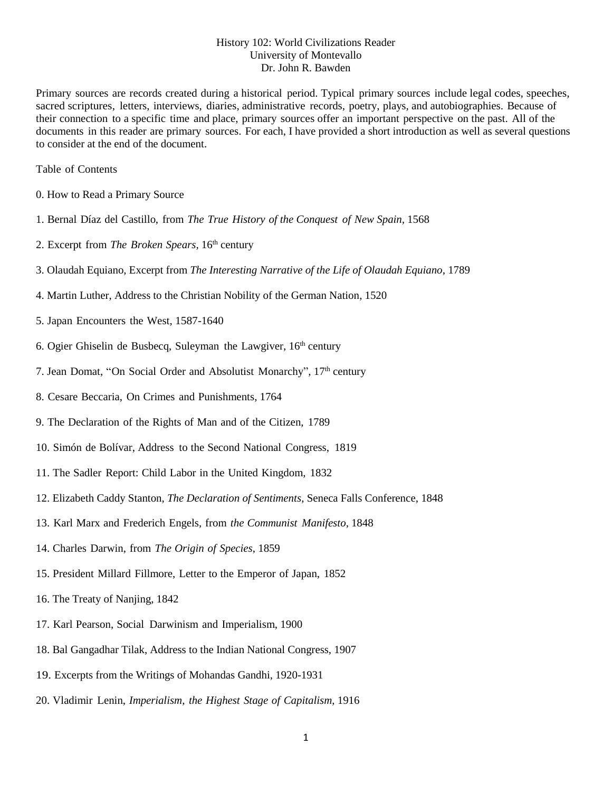### History 102: World Civilizations Reader University of Montevallo Dr. John R. Bawden

Primary sources are records created during a historical period. Typical primary sources include legal codes, speeches, sacred scriptures, letters, interviews, diaries, administrative records, poetry, plays, and autobiographies. Because of their connection to a specific time and place, primary sources offer an important perspective on the past. All of the documents in this reader are primary sources. For each, I have provided a short introduction as well as several questions to consider at the end of the document.

Table of Contents

- 0. How to Read a Primary Source
- 1. Bernal Díaz del Castillo, from *The True History of the Conquest of New Spain,* 1568
- 2. Excerpt from *The Broken Spears,* 16th century
- 3. Olaudah Equiano, Excerpt from *The Interesting Narrative of the Life of Olaudah Equiano*, 1789
- 4. Martin Luther, Address to the Christian Nobility of the German Nation, 1520
- 5. Japan Encounters the West, 1587-1640
- 6. Ogier Ghiselin de Busbecq, Suleyman the Lawgiver,  $16<sup>th</sup>$  century
- 7. Jean Domat, "On Social Order and Absolutist Monarchy", 17<sup>th</sup> century
- 8. Cesare Beccaria, On Crimes and Punishments, 1764
- 9. The Declaration of the Rights of Man and of the Citizen, 1789
- 10. Simón de Bolívar, Address to the Second National Congress, 1819
- 11. The Sadler Report: Child Labor in the United Kingdom, 1832
- 12. Elizabeth Caddy Stanton, *The Declaration of Sentiments*, Seneca Falls Conference, 1848
- 13. Karl Marx and Frederich Engels, from *the Communist Manifesto*, 1848
- 14. Charles Darwin, from *The Origin of Species*, 1859
- 15. President Millard Fillmore, Letter to the Emperor of Japan, 1852
- 16. The Treaty of Nanjing, 1842
- 17. Karl Pearson, Social Darwinism and Imperialism, 1900
- 18. Bal Gangadhar Tilak, Address to the Indian National Congress, 1907
- 19. Excerpts from the Writings of Mohandas Gandhi, 1920-1931
- 20. Vladimir Lenin, *Imperialism, the Highest Stage of Capitalism*, 1916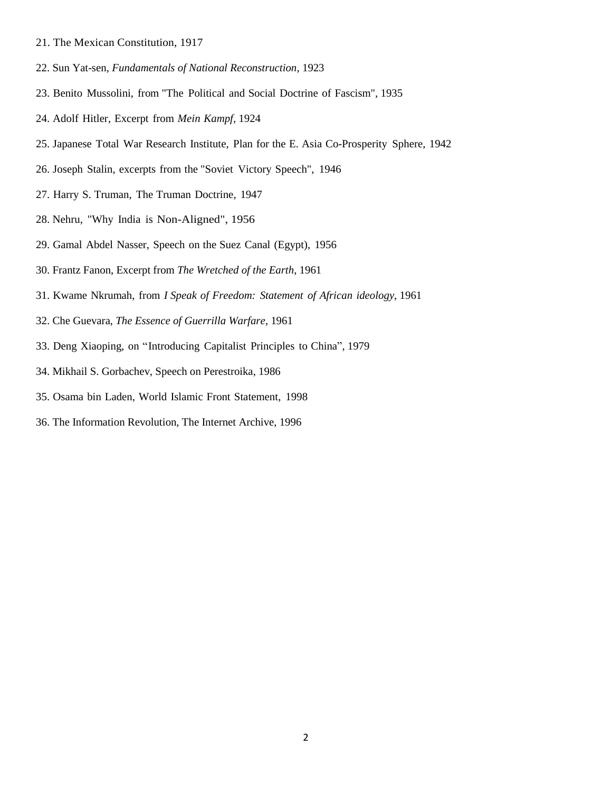- 21. The Mexican Constitution, 1917
- 22. Sun Yat-sen, *Fundamentals of National Reconstruction*, 1923
- 23. Benito Mussolini, from "The Political and Social Doctrine of Fascism", 1935
- 24. Adolf Hitler, Excerpt from *Mein Kampf,* 1924
- 25. Japanese Total War Research Institute, Plan for the E. Asia Co-Prosperity Sphere, 1942
- 26. Joseph Stalin, excerpts from the "Soviet Victory Speech", 1946
- 27. Harry S. Truman, The Truman Doctrine, 1947
- 28. Nehru, "Why India is Non-Aligned", 1956
- 29. Gamal Abdel Nasser, Speech on the Suez Canal (Egypt), 1956
- 30. Frantz Fanon, Excerpt from *The Wretched of the Earth*, 1961
- 31. Kwame Nkrumah, from *I Speak of Freedom: Statement of African ideology*, 1961
- 32. Che Guevara, *The Essence of Guerrilla Warfare*, 1961
- 33. Deng Xiaoping, on "Introducing Capitalist Principles to China", 1979
- 34. Mikhail S. Gorbachev, Speech on Perestroika, 1986
- 35. Osama bin Laden, World Islamic Front Statement, 1998
- 36. The Information Revolution, The Internet Archive, 1996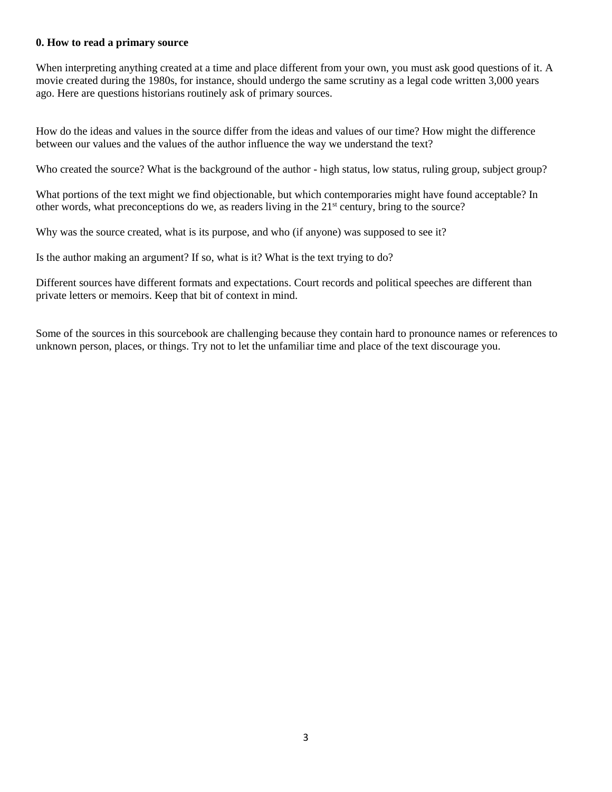### **0. How to read a primary source**

When interpreting anything created at a time and place different from your own, you must ask good questions of it. A movie created during the 1980s, for instance, should undergo the same scrutiny as a legal code written 3,000 years ago. Here are questions historians routinely ask of primary sources.

How do the ideas and values in the source differ from the ideas and values of our time? How might the difference between our values and the values of the author influence the way we understand the text?

Who created the source? What is the background of the author - high status, low status, ruling group, subject group?

What portions of the text might we find objectionable, but which contemporaries might have found acceptable? In other words, what preconceptions do we, as readers living in the  $21<sup>st</sup>$  century, bring to the source?

Why was the source created, what is its purpose, and who (if anyone) was supposed to see it?

Is the author making an argument? If so, what is it? What is the text trying to do?

Different sources have different formats and expectations. Court records and political speeches are different than private letters or memoirs. Keep that bit of context in mind.

Some of the sources in this sourcebook are challenging because they contain hard to pronounce names or references to unknown person, places, or things. Try not to let the unfamiliar time and place of the text discourage you.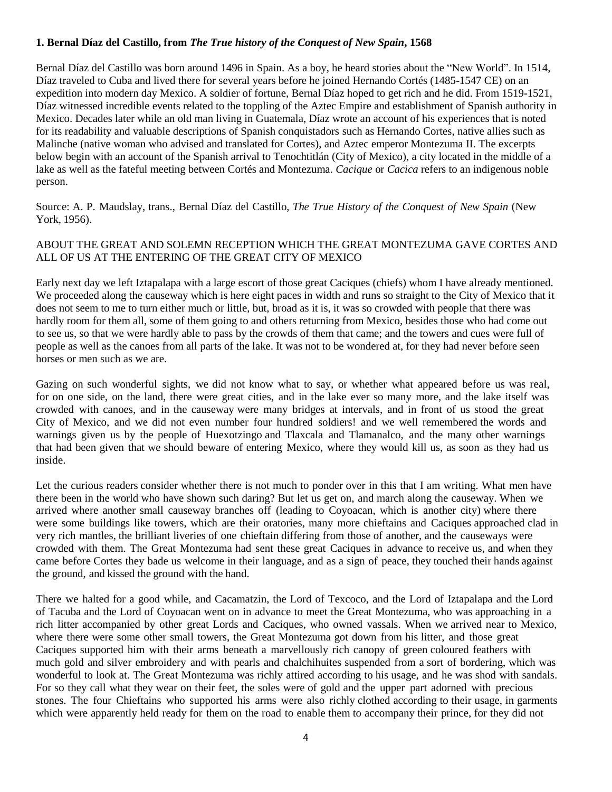# **1. Bernal Díaz del Castillo, from** *The True history of the Conquest of New Spain***, 1568**

Bernal Díaz del Castillo was born around 1496 in Spain. As a boy, he heard stories about the "New World". In 1514, Díaz traveled to Cuba and lived there for several years before he joined Hernando Cortés (1485-1547 CE) on an expedition into modern day Mexico. A soldier of fortune, Bernal Díaz hoped to get rich and he did. From 1519-1521, Díaz witnessed incredible events related to the toppling of the Aztec Empire and establishment of Spanish authority in Mexico. Decades later while an old man living in Guatemala, Díaz wrote an account of his experiences that is noted for its readability and valuable descriptions of Spanish conquistadors such as Hernando Cortes, native allies such as Malinche (native woman who advised and translated for Cortes), and Aztec emperor Montezuma II. The excerpts below begin with an account of the Spanish arrival to Tenochtitlán (City of Mexico), a city located in the middle of a lake as well as the fateful meeting between Cortés and Montezuma. *Cacique* or *Cacica* refers to an indigenous noble person.

Source: A. P. Maudslay, trans., Bernal Díaz del Castillo, *The True History of the Conquest of New Spain* (New York, 1956).

# ABOUT THE GREAT AND SOLEMN RECEPTION WHICH THE GREAT MONTEZUMA GAVE CORTES AND ALL OF US AT THE ENTERING OF THE GREAT CITY OF MEXICO

Early next day we left Iztapalapa with a large escort of those great Caciques (chiefs) whom I have already mentioned. We proceeded along the causeway which is here eight paces in width and runs so straight to the City of Mexico that it does not seem to me to turn either much or little, but, broad as it is, it was so crowded with people that there was hardly room for them all, some of them going to and others returning from Mexico, besides those who had come out to see us, so that we were hardly able to pass by the crowds of them that came; and the towers and cues were full of people as well as the canoes from all parts of the lake. It was not to be wondered at, for they had never before seen horses or men such as we are.

Gazing on such wonderful sights, we did not know what to say, or whether what appeared before us was real, for on one side, on the land, there were great cities, and in the lake ever so many more, and the lake itself was crowded with canoes, and in the causeway were many bridges at intervals, and in front of us stood the great City of Mexico, and we did not even number four hundred soldiers! and we well remembered the words and warnings given us by the people of Huexotzingo and Tlaxcala and Tlamanalco, and the many other warnings that had been given that we should beware of entering Mexico, where they would kill us, as soon as they had us inside.

Let the curious readers consider whether there is not much to ponder over in this that I am writing. What men have there been in the world who have shown such daring? But let us get on, and march along the causeway. When we arrived where another small causeway branches off (leading to Coyoacan, which is another city) where there were some buildings like towers, which are their oratories, many more chieftains and Caciques approached clad in very rich mantles, the brilliant liveries of one chieftain differing from those of another, and the causeways were crowded with them. The Great Montezuma had sent these great Caciques in advance to receive us, and when they came before Cortes they bade us welcome in their language, and as a sign of peace, they touched their hands against the ground, and kissed the ground with the hand.

There we halted for a good while, and Cacamatzin, the Lord of Texcoco, and the Lord of Iztapalapa and the Lord of Tacuba and the Lord of Coyoacan went on in advance to meet the Great Montezuma, who was approaching in a rich litter accompanied by other great Lords and Caciques, who owned vassals. When we arrived near to Mexico, where there were some other small towers, the Great Montezuma got down from his litter, and those great Caciques supported him with their arms beneath a marvellously rich canopy of green coloured feathers with much gold and silver embroidery and with pearls and chalchihuites suspended from a sort of bordering, which was wonderful to look at. The Great Montezuma was richly attired according to his usage, and he was shod with sandals. For so they call what they wear on their feet, the soles were of gold and the upper part adorned with precious stones. The four Chieftains who supported his arms were also richly clothed according to their usage, in garments which were apparently held ready for them on the road to enable them to accompany their prince, for they did not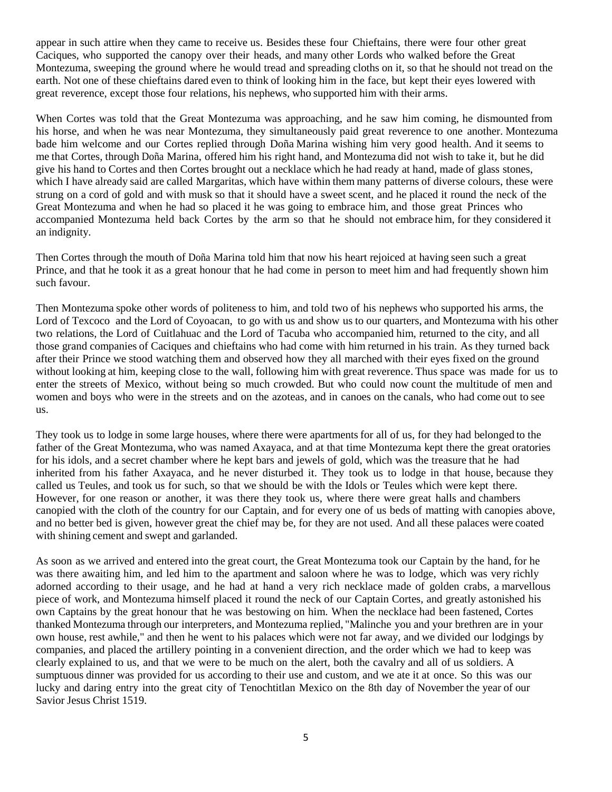appear in such attire when they came to receive us. Besides these four Chieftains, there were four other great Caciques, who supported the canopy over their heads, and many other Lords who walked before the Great Montezuma, sweeping the ground where he would tread and spreading cloths on it, so that he should not tread on the earth. Not one of these chieftains dared even to think of looking him in the face, but kept their eyes lowered with great reverence, except those four relations, his nephews, who supported him with their arms.

When Cortes was told that the Great Montezuma was approaching, and he saw him coming, he dismounted from his horse, and when he was near Montezuma, they simultaneously paid great reverence to one another. Montezuma bade him welcome and our Cortes replied through Doña Marina wishing him very good health. And it seems to me that Cortes, through Doña Marina, offered him his right hand, and Montezuma did not wish to take it, but he did give his hand to Cortes and then Cortes brought out a necklace which he had ready at hand, made of glass stones, which I have already said are called Margaritas, which have within them many patterns of diverse colours, these were strung on a cord of gold and with musk so that it should have a sweet scent, and he placed it round the neck of the Great Montezuma and when he had so placed it he was going to embrace him, and those great Princes who accompanied Montezuma held back Cortes by the arm so that he should not embrace him, for they considered it an indignity.

Then Cortes through the mouth of Doña Marina told him that now his heart rejoiced at having seen such a great Prince, and that he took it as a great honour that he had come in person to meet him and had frequently shown him such favour.

Then Montezuma spoke other words of politeness to him, and told two of his nephews who supported his arms, the Lord of Texcoco and the Lord of Coyoacan, to go with us and show us to our quarters, and Montezuma with his other two relations, the Lord of Cuitlahuac and the Lord of Tacuba who accompanied him, returned to the city, and all those grand companies of Caciques and chieftains who had come with him returned in his train. As they turned back after their Prince we stood watching them and observed how they all marched with their eyes fixed on the ground without looking at him, keeping close to the wall, following him with great reverence. Thus space was made for us to enter the streets of Mexico, without being so much crowded. But who could now count the multitude of men and women and boys who were in the streets and on the azoteas, and in canoes on the canals, who had come out to see us.

They took us to lodge in some large houses, where there were apartments for all of us, for they had belonged to the father of the Great Montezuma, who was named Axayaca, and at that time Montezuma kept there the great oratories for his idols, and a secret chamber where he kept bars and jewels of gold, which was the treasure that he had inherited from his father Axayaca, and he never disturbed it. They took us to lodge in that house, because they called us Teules, and took us for such, so that we should be with the Idols or Teules which were kept there. However, for one reason or another, it was there they took us, where there were great halls and chambers canopied with the cloth of the country for our Captain, and for every one of us beds of matting with canopies above, and no better bed is given, however great the chief may be, for they are not used. And all these palaces were coated with shining cement and swept and garlanded.

As soon as we arrived and entered into the great court, the Great Montezuma took our Captain by the hand, for he was there awaiting him, and led him to the apartment and saloon where he was to lodge, which was very richly adorned according to their usage, and he had at hand a very rich necklace made of golden crabs, a marvellous piece of work, and Montezuma himself placed it round the neck of our Captain Cortes, and greatly astonished his own Captains by the great honour that he was bestowing on him. When the necklace had been fastened, Cortes thanked Montezuma through our interpreters, and Montezuma replied, "Malinche you and your brethren are in your own house, rest awhile," and then he went to his palaces which were not far away, and we divided our lodgings by companies, and placed the artillery pointing in a convenient direction, and the order which we had to keep was clearly explained to us, and that we were to be much on the alert, both the cavalry and all of us soldiers. A sumptuous dinner was provided for us according to their use and custom, and we ate it at once. So this was our lucky and daring entry into the great city of Tenochtitlan Mexico on the 8th day of November the year of our Savior Jesus Christ 1519.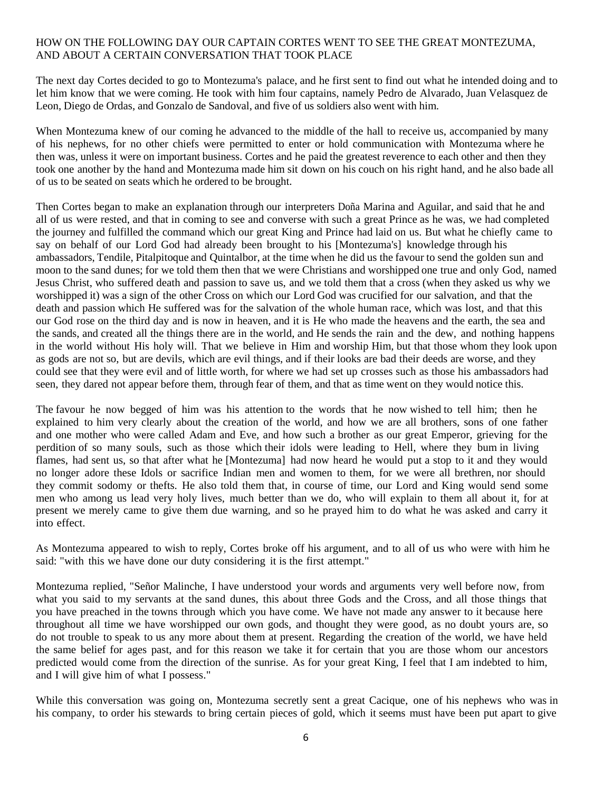## HOW ON THE FOLLOWING DAY OUR CAPTAIN CORTES WENT TO SEE THE GREAT MONTEZUMA, AND ABOUT A CERTAIN CONVERSATION THAT TOOK PLACE

The next day Cortes decided to go to Montezuma's palace, and he first sent to find out what he intended doing and to let him know that we were coming. He took with him four captains, namely Pedro de Alvarado, Juan Velasquez de Leon, Diego de Ordas, and Gonzalo de Sandoval, and five of us soldiers also went with him.

When Montezuma knew of our coming he advanced to the middle of the hall to receive us, accompanied by many of his nephews, for no other chiefs were permitted to enter or hold communication with Montezuma where he then was, unless it were on important business. Cortes and he paid the greatest reverence to each other and then they took one another by the hand and Montezuma made him sit down on his couch on his right hand, and he also bade all of us to be seated on seats which he ordered to be brought.

Then Cortes began to make an explanation through our interpreters Doña Marina and Aguilar, and said that he and all of us were rested, and that in coming to see and converse with such a great Prince as he was, we had completed the journey and fulfilled the command which our great King and Prince had laid on us. But what he chiefly came to say on behalf of our Lord God had already been brought to his [Montezuma's] knowledge through his ambassadors, Tendile, Pitalpitoque and Quintalbor, at the time when he did us the favour to send the golden sun and moon to the sand dunes; for we told them then that we were Christians and worshipped one true and only God, named Jesus Christ, who suffered death and passion to save us, and we told them that a cross (when they asked us why we worshipped it) was a sign of the other Cross on which our Lord God was crucified for our salvation, and that the death and passion which He suffered was for the salvation of the whole human race, which was lost, and that this our God rose on the third day and is now in heaven, and it is He who made the heavens and the earth, the sea and the sands, and created all the things there are in the world, and He sends the rain and the dew, and nothing happens in the world without His holy will. That we believe in Him and worship Him, but that those whom they look upon as gods are not so, but are devils, which are evil things, and if their looks are bad their deeds are worse, and they could see that they were evil and of little worth, for where we had set up crosses such as those his ambassadors had seen, they dared not appear before them, through fear of them, and that as time went on they would notice this.

The favour he now begged of him was his attention to the words that he now wished to tell him; then he explained to him very clearly about the creation of the world, and how we are all brothers, sons of one father and one mother who were called Adam and Eve, and how such a brother as our great Emperor, grieving for the perdition of so many souls, such as those which their idols were leading to Hell, where they bum in living flames, had sent us, so that after what he [Montezuma] had now heard he would put a stop to it and they would no longer adore these Idols or sacrifice Indian men and women to them, for we were all brethren, nor should they commit sodomy or thefts. He also told them that, in course of time, our Lord and King would send some men who among us lead very holy lives, much better than we do, who will explain to them all about it, for at present we merely came to give them due warning, and so he prayed him to do what he was asked and carry it into effect.

As Montezuma appeared to wish to reply, Cortes broke off his argument, and to all of us who were with him he said: "with this we have done our duty considering it is the first attempt."

Montezuma replied, "Señor Malinche, I have understood your words and arguments very well before now, from what you said to my servants at the sand dunes, this about three Gods and the Cross, and all those things that you have preached in the towns through which you have come. We have not made any answer to it because here throughout all time we have worshipped our own gods, and thought they were good, as no doubt yours are, so do not trouble to speak to us any more about them at present. Regarding the creation of the world, we have held the same belief for ages past, and for this reason we take it for certain that you are those whom our ancestors predicted would come from the direction of the sunrise. As for your great King, I feel that I am indebted to him, and I will give him of what I possess."

While this conversation was going on, Montezuma secretly sent a great Cacique, one of his nephews who was in his company, to order his stewards to bring certain pieces of gold, which it seems must have been put apart to give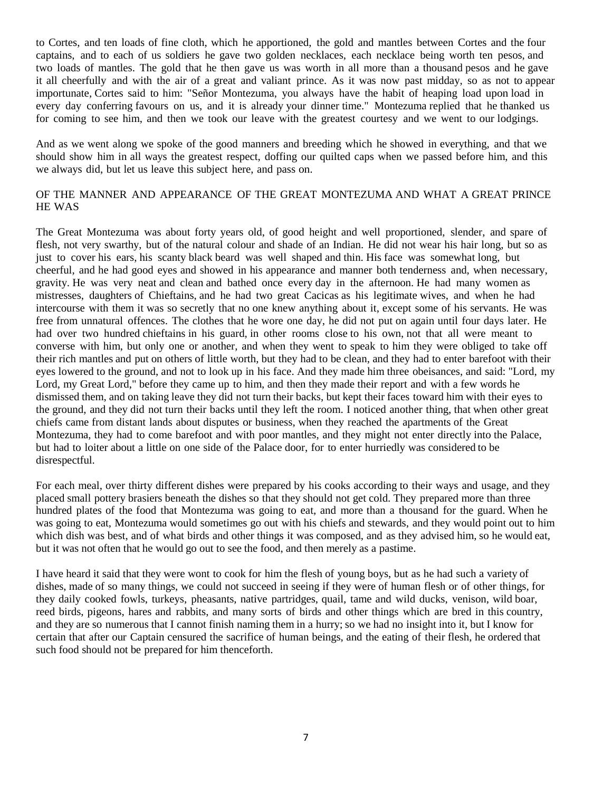to Cortes, and ten loads of fine cloth, which he apportioned, the gold and mantles between Cortes and the four captains, and to each of us soldiers he gave two golden necklaces, each necklace being worth ten pesos, and two loads of mantles. The gold that he then gave us was worth in all more than a thousand pesos and he gave it all cheerfully and with the air of a great and valiant prince. As it was now past midday, so as not to appear importunate, Cortes said to him: "Señor Montezuma, you always have the habit of heaping load upon load in every day conferring favours on us, and it is already your dinner time." Montezuma replied that he thanked us for coming to see him, and then we took our leave with the greatest courtesy and we went to our lodgings.

And as we went along we spoke of the good manners and breeding which he showed in everything, and that we should show him in all ways the greatest respect, doffing our quilted caps when we passed before him, and this we always did, but let us leave this subject here, and pass on.

# OF THE MANNER AND APPEARANCE OF THE GREAT MONTEZUMA AND WHAT A GREAT PRINCE HE WAS

The Great Montezuma was about forty years old, of good height and well proportioned, slender, and spare of flesh, not very swarthy, but of the natural colour and shade of an Indian. He did not wear his hair long, but so as just to cover his ears, his scanty black beard was well shaped and thin. His face was somewhat long, but cheerful, and he had good eyes and showed in his appearance and manner both tenderness and, when necessary, gravity. He was very neat and clean and bathed once every day in the afternoon. He had many women as mistresses, daughters of Chieftains, and he had two great Cacicas as his legitimate wives, and when he had intercourse with them it was so secretly that no one knew anything about it, except some of his servants. He was free from unnatural offences. The clothes that he wore one day, he did not put on again until four days later. He had over two hundred chieftains in his guard, in other rooms close to his own, not that all were meant to converse with him, but only one or another, and when they went to speak to him they were obliged to take off their rich mantles and put on others of little worth, but they had to be clean, and they had to enter barefoot with their eyes lowered to the ground, and not to look up in his face. And they made him three obeisances, and said: "Lord, my Lord, my Great Lord," before they came up to him, and then they made their report and with a few words he dismissed them, and on taking leave they did not turn their backs, but kept their faces toward him with their eyes to the ground, and they did not turn their backs until they left the room. I noticed another thing, that when other great chiefs came from distant lands about disputes or business, when they reached the apartments of the Great Montezuma, they had to come barefoot and with poor mantles, and they might not enter directly into the Palace, but had to loiter about a little on one side of the Palace door, for to enter hurriedly was considered to be disrespectful.

For each meal, over thirty different dishes were prepared by his cooks according to their ways and usage, and they placed small pottery brasiers beneath the dishes so that they should not get cold. They prepared more than three hundred plates of the food that Montezuma was going to eat, and more than a thousand for the guard. When he was going to eat, Montezuma would sometimes go out with his chiefs and stewards, and they would point out to him which dish was best, and of what birds and other things it was composed, and as they advised him, so he would eat, but it was not often that he would go out to see the food, and then merely as a pastime.

I have heard it said that they were wont to cook for him the flesh of young boys, but as he had such a variety of dishes, made of so many things, we could not succeed in seeing if they were of human flesh or of other things, for they daily cooked fowls, turkeys, pheasants, native partridges, quail, tame and wild ducks, venison, wild boar, reed birds, pigeons, hares and rabbits, and many sorts of birds and other things which are bred in this country, and they are so numerous that I cannot finish naming them in a hurry; so we had no insight into it, but I know for certain that after our Captain censured the sacrifice of human beings, and the eating of their flesh, he ordered that such food should not be prepared for him thenceforth.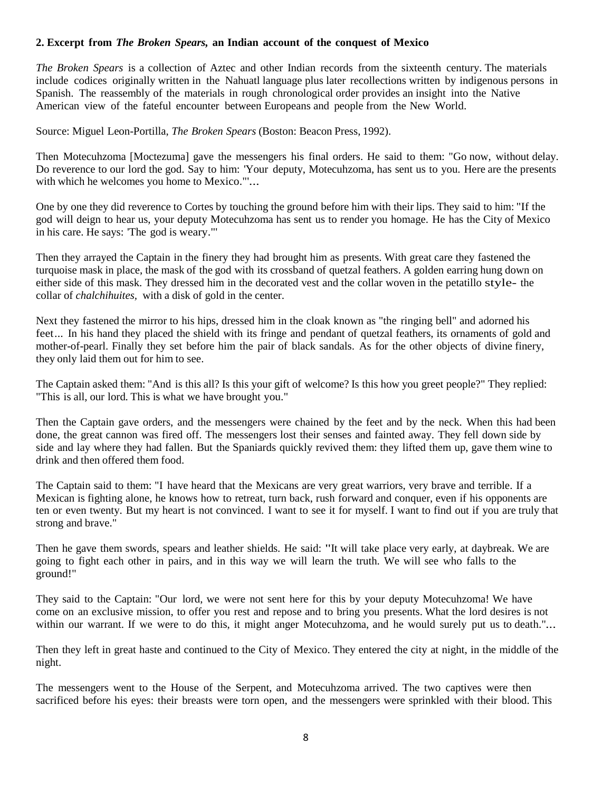## **2. Excerpt from** *The Broken Spears,* **an Indian account of the conquest of Mexico**

*The Broken Spears* is a collection of Aztec and other Indian records from the sixteenth century. The materials include codices originally written in the Nahuatl language plus later recollections written by indigenous persons in Spanish. The reassembly of the materials in rough chronological order provides an insight into the Native American view of the fateful encounter between Europeans and people from the New World.

Source: Miguel Leon-Portilla, *The Broken Spears* (Boston: Beacon Press, 1992).

Then Motecuhzoma [Moctezuma] gave the messengers his final orders. He said to them: "Go now, without delay. Do reverence to our lord the god. Say to him: 'Your deputy, Motecuhzoma, has sent us to you. Here are the presents with which he welcomes you home to Mexico."'...

One by one they did reverence to Cortes by touching the ground before him with their lips. They said to him: "If the god will deign to hear us, your deputy Motecuhzoma has sent us to render you homage. He has the City of Mexico in his care. He says: 'The god is weary."'

Then they arrayed the Captain in the finery they had brought him as presents. With great care they fastened the turquoise mask in place, the mask of the god with its crossband of quetzal feathers. A golden earring hung down on either side of this mask. They dressed him in the decorated vest and the collar woven in the petatillo style- the collar of *chalchihuites,* with a disk of gold in the center.

Next they fastened the mirror to his hips, dressed him in the cloak known as "the ringing bell" and adorned his feet... In his hand they placed the shield with its fringe and pendant of quetzal feathers, its ornaments of gold and mother-of-pearl. Finally they set before him the pair of black sandals. As for the other objects of divine finery, they only laid them out for him to see.

The Captain asked them: "And is this all? Is this your gift of welcome? Is this how you greet people?" They replied: "This is all, our lord. This is what we have brought you."

Then the Captain gave orders, and the messengers were chained by the feet and by the neck. When this had been done, the great cannon was fired off. The messengers lost their senses and fainted away. They fell down side by side and lay where they had fallen. But the Spaniards quickly revived them: they lifted them up, gave them wine to drink and then offered them food.

The Captain said to them: "I have heard that the Mexicans are very great warriors, very brave and terrible. If a Mexican is fighting alone, he knows how to retreat, turn back, rush forward and conquer, even if his opponents are ten or even twenty. But my heart is not convinced. I want to see it for myself. I want to find out if you are truly that strong and brave."

Then he gave them swords, spears and leather shields. He said: "It will take place very early, at daybreak. We are going to fight each other in pairs, and in this way we will learn the truth. We will see who falls to the ground!"

They said to the Captain: "Our lord, we were not sent here for this by your deputy Motecuhzoma! We have come on an exclusive mission, to offer you rest and repose and to bring you presents. What the lord desires is not within our warrant. If we were to do this, it might anger Motecuhzoma, and he would surely put us to death."...

Then they left in great haste and continued to the City of Mexico. They entered the city at night, in the middle of the night.

The messengers went to the House of the Serpent, and Motecuhzoma arrived. The two captives were then sacrificed before his eyes: their breasts were torn open, and the messengers were sprinkled with their blood. This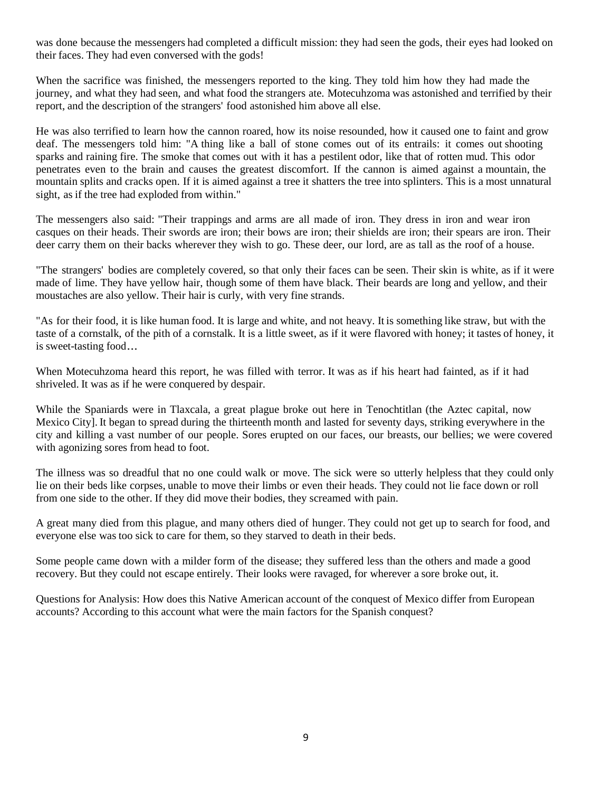was done because the messengers had completed a difficult mission: they had seen the gods, their eyes had looked on their faces. They had even conversed with the gods!

When the sacrifice was finished, the messengers reported to the king. They told him how they had made the journey, and what they had seen, and what food the strangers ate. Motecuhzoma was astonished and terrified by their report, and the description of the strangers' food astonished him above all else.

He was also terrified to learn how the cannon roared, how its noise resounded, how it caused one to faint and grow deaf. The messengers told him: "A thing like a ball of stone comes out of its entrails: it comes out shooting sparks and raining fire. The smoke that comes out with it has a pestilent odor, like that of rotten mud. This odor penetrates even to the brain and causes the greatest discomfort. If the cannon is aimed against a mountain, the mountain splits and cracks open. If it is aimed against a tree it shatters the tree into splinters. This is a most unnatural sight, as if the tree had exploded from within."

The messengers also said: "Their trappings and arms are all made of iron. They dress in iron and wear iron casques on their heads. Their swords are iron; their bows are iron; their shields are iron; their spears are iron. Their deer carry them on their backs wherever they wish to go. These deer, our lord, are as tall as the roof of a house.

"The strangers' bodies are completely covered, so that only their faces can be seen. Their skin is white, as if it were made of lime. They have yellow hair, though some of them have black. Their beards are long and yellow, and their moustaches are also yellow. Their hair is curly, with very fine strands.

"As for their food, it is like human food. It is large and white, and not heavy. It is something like straw, but with the taste of a cornstalk, of the pith of a cornstalk. It is a little sweet, as if it were flavored with honey; it tastes of honey, it is sweet-tasting food...

When Motecuhzoma heard this report, he was filled with terror. It was as if his heart had fainted, as if it had shriveled. It was as if he were conquered by despair.

While the Spaniards were in Tlaxcala, a great plague broke out here in Tenochtitlan (the Aztec capital, now Mexico City]. It began to spread during the thirteenth month and lasted for seventy days, striking everywhere in the city and killing a vast number of our people. Sores erupted on our faces, our breasts, our bellies; we were covered with agonizing sores from head to foot.

The illness was so dreadful that no one could walk or move. The sick were so utterly helpless that they could only lie on their beds like corpses, unable to move their limbs or even their heads. They could not lie face down or roll from one side to the other. If they did move their bodies, they screamed with pain.

A great many died from this plague, and many others died of hunger. They could not get up to search for food, and everyone else was too sick to care for them, so they starved to death in their beds.

Some people came down with a milder form of the disease; they suffered less than the others and made a good recovery. But they could not escape entirely. Their looks were ravaged, for wherever a sore broke out, it.

Questions for Analysis: How does this Native American account of the conquest of Mexico differ from European accounts? According to this account what were the main factors for the Spanish conquest?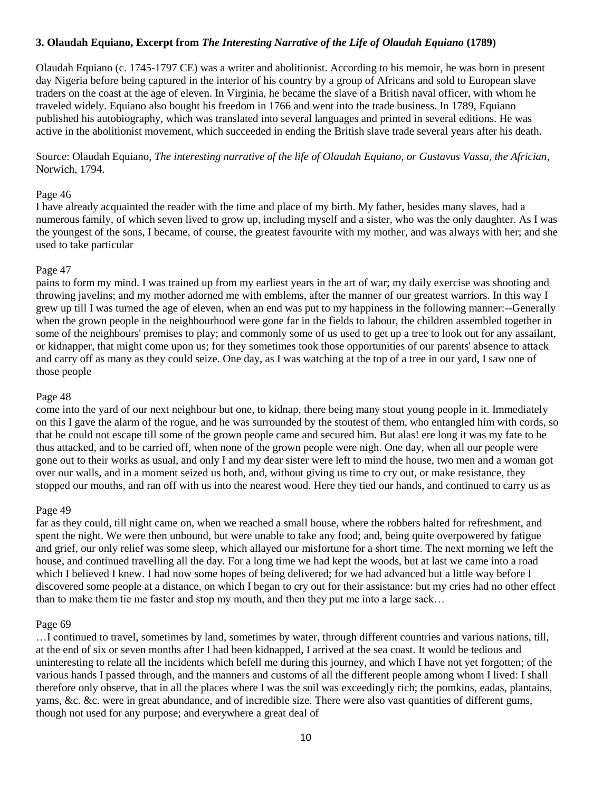# **3. Olaudah Equiano, Excerpt from** *The Interesting Narrative of the Life of Olaudah Equiano* **(1789)**

Olaudah Equiano (c. 1745-1797 CE) was a writer and abolitionist. According to his memoir, he was born in present day Nigeria before being captured in the interior of his country by a group of Africans and sold to European slave traders on the coast at the age of eleven. In Virginia, he became the slave of a British naval officer, with whom he traveled widely. Equiano also bought his freedom in 1766 and went into the trade business. In 1789, Equiano published his autobiography, which was translated into several languages and printed in several editions. He was active in the abolitionist movement, which succeeded in ending the British slave trade several years after his death.

Source: Olaudah Equiano, *The interesting narrative of the life of Olaudah Equiano, or Gustavus Vassa, the Africian*, Norwich, 1794.

## Page 46

I have already acquainted the reader with the time and place of my birth. My father, besides many slaves, had a numerous family, of which seven lived to grow up, including myself and a sister, who was the only daughter. As I was the youngest of the sons, I became, of course, the greatest favourite with my mother, and was always with her; and she used to take particular

## Page 47

pains to form my mind. I was trained up from my earliest years in the art of war; my daily exercise was shooting and throwing javelins; and my mother adorned me with emblems, after the manner of our greatest warriors. In this way I grew up till I was turned the age of eleven, when an end was put to my happiness in the following manner:--Generally when the grown people in the neighbourhood were gone far in the fields to labour, the children assembled together in some of the neighbours' premises to play; and commonly some of us used to get up a tree to look out for any assailant, or kidnapper, that might come upon us; for they sometimes took those opportunities of our parents' absence to attack and carry off as many as they could seize. One day, as I was watching at the top of a tree in our yard, I saw one of those people

### Page 48

come into the yard of our next neighbour but one, to kidnap, there being many stout young people in it. Immediately on this I gave the alarm of the rogue, and he was surrounded by the stoutest of them, who entangled him with cords, so that he could not escape till some of the grown people came and secured him. But alas! ere long it was my fate to be thus attacked, and to be carried off, when none of the grown people were nigh. One day, when all our people were gone out to their works as usual, and only I and my dear sister were left to mind the house, two men and a woman got over our walls, and in a moment seized us both, and, without giving us time to cry out, or make resistance, they stopped our mouths, and ran off with us into the nearest wood. Here they tied our hands, and continued to carry us as

#### Page 49

far as they could, till night came on, when we reached a small house, where the robbers halted for refreshment, and spent the night. We were then unbound, but were unable to take any food; and, being quite overpowered by fatigue and grief, our only relief was some sleep, which allayed our misfortune for a short time. The next morning we left the house, and continued travelling all the day. For a long time we had kept the woods, but at last we came into a road which I believed I knew. I had now some hopes of being delivered; for we had advanced but a little way before I discovered some people at a distance, on which I began to cry out for their assistance: but my cries had no other effect than to make them tie me faster and stop my mouth, and then they put me into a large sack…

#### Page 69

…I continued to travel, sometimes by land, sometimes by water, through different countries and various nations, till, at the end of six or seven months after I had been kidnapped, I arrived at the sea coast. It would be tedious and uninteresting to relate all the incidents which befell me during this journey, and which I have not yet forgotten; of the various hands I passed through, and the manners and customs of all the different people among whom I lived: I shall therefore only observe, that in all the places where I was the soil was exceedingly rich; the pomkins, eadas, plantains, yams, &c. &c. were in great abundance, and of incredible size. There were also vast quantities of different gums, though not used for any purpose; and everywhere a great deal of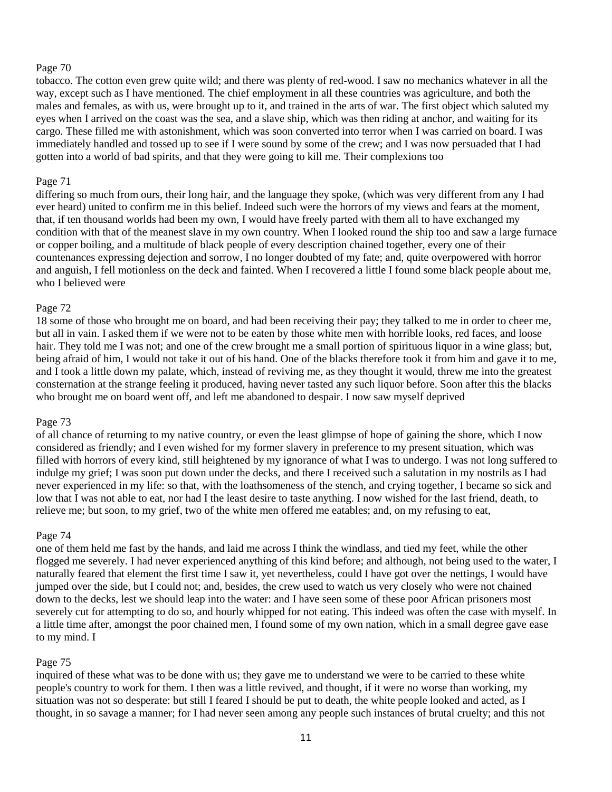## Page 70

tobacco. The cotton even grew quite wild; and there was plenty of red-wood. I saw no mechanics whatever in all the way, except such as I have mentioned. The chief employment in all these countries was agriculture, and both the males and females, as with us, were brought up to it, and trained in the arts of war. The first object which saluted my eyes when I arrived on the coast was the sea, and a slave ship, which was then riding at anchor, and waiting for its cargo. These filled me with astonishment, which was soon converted into terror when I was carried on board. I was immediately handled and tossed up to see if I were sound by some of the crew; and I was now persuaded that I had gotten into a world of bad spirits, and that they were going to kill me. Their complexions too

### Page 71

differing so much from ours, their long hair, and the language they spoke, (which was very different from any I had ever heard) united to confirm me in this belief. Indeed such were the horrors of my views and fears at the moment, that, if ten thousand worlds had been my own, I would have freely parted with them all to have exchanged my condition with that of the meanest slave in my own country. When I looked round the ship too and saw a large furnace or copper boiling, and a multitude of black people of every description chained together, every one of their countenances expressing dejection and sorrow, I no longer doubted of my fate; and, quite overpowered with horror and anguish, I fell motionless on the deck and fainted. When I recovered a little I found some black people about me, who I believed were

### Page 72

18 some of those who brought me on board, and had been receiving their pay; they talked to me in order to cheer me, but all in vain. I asked them if we were not to be eaten by those white men with horrible looks, red faces, and loose hair. They told me I was not; and one of the crew brought me a small portion of spirituous liquor in a wine glass; but, being afraid of him, I would not take it out of his hand. One of the blacks therefore took it from him and gave it to me, and I took a little down my palate, which, instead of reviving me, as they thought it would, threw me into the greatest consternation at the strange feeling it produced, having never tasted any such liquor before. Soon after this the blacks who brought me on board went off, and left me abandoned to despair. I now saw myself deprived

#### Page 73

of all chance of returning to my native country, or even the least glimpse of hope of gaining the shore, which I now considered as friendly; and I even wished for my former slavery in preference to my present situation, which was filled with horrors of every kind, still heightened by my ignorance of what I was to undergo. I was not long suffered to indulge my grief; I was soon put down under the decks, and there I received such a salutation in my nostrils as I had never experienced in my life: so that, with the loathsomeness of the stench, and crying together, I became so sick and low that I was not able to eat, nor had I the least desire to taste anything. I now wished for the last friend, death, to relieve me; but soon, to my grief, two of the white men offered me eatables; and, on my refusing to eat,

#### Page 74

one of them held me fast by the hands, and laid me across I think the windlass, and tied my feet, while the other flogged me severely. I had never experienced anything of this kind before; and although, not being used to the water, I naturally feared that element the first time I saw it, yet nevertheless, could I have got over the nettings, I would have jumped over the side, but I could not; and, besides, the crew used to watch us very closely who were not chained down to the decks, lest we should leap into the water: and I have seen some of these poor African prisoners most severely cut for attempting to do so, and hourly whipped for not eating. This indeed was often the case with myself. In a little time after, amongst the poor chained men, I found some of my own nation, which in a small degree gave ease to my mind. I

#### Page 75

inquired of these what was to be done with us; they gave me to understand we were to be carried to these white people's country to work for them. I then was a little revived, and thought, if it were no worse than working, my situation was not so desperate: but still I feared I should be put to death, the white people looked and acted, as I thought, in so savage a manner; for I had never seen among any people such instances of brutal cruelty; and this not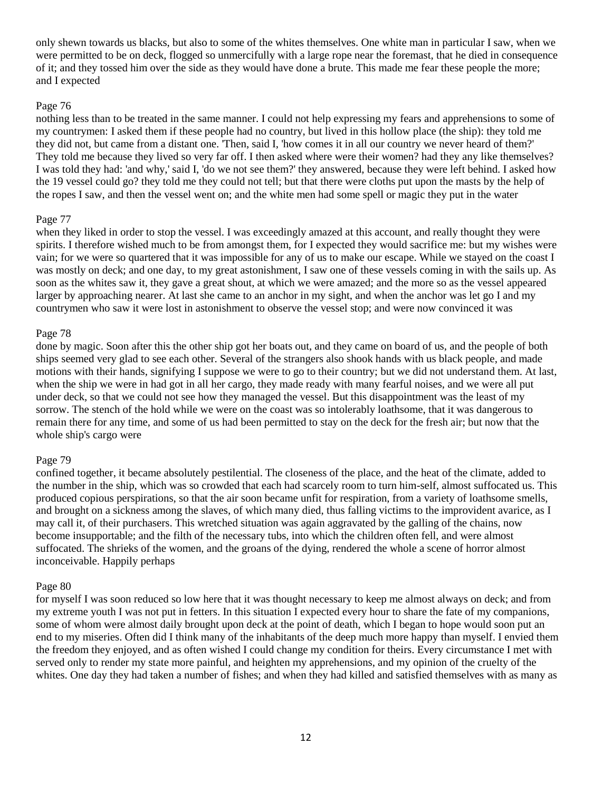only shewn towards us blacks, but also to some of the whites themselves. One white man in particular I saw, when we were permitted to be on deck, flogged so unmercifully with a large rope near the foremast, that he died in consequence of it; and they tossed him over the side as they would have done a brute. This made me fear these people the more; and I expected

### Page 76

nothing less than to be treated in the same manner. I could not help expressing my fears and apprehensions to some of my countrymen: I asked them if these people had no country, but lived in this hollow place (the ship): they told me they did not, but came from a distant one. 'Then, said I, 'how comes it in all our country we never heard of them?' They told me because they lived so very far off. I then asked where were their women? had they any like themselves? I was told they had: 'and why,' said I, 'do we not see them?' they answered, because they were left behind. I asked how the 19 vessel could go? they told me they could not tell; but that there were cloths put upon the masts by the help of the ropes I saw, and then the vessel went on; and the white men had some spell or magic they put in the water

#### Page 77

when they liked in order to stop the vessel. I was exceedingly amazed at this account, and really thought they were spirits. I therefore wished much to be from amongst them, for I expected they would sacrifice me: but my wishes were vain; for we were so quartered that it was impossible for any of us to make our escape. While we stayed on the coast I was mostly on deck; and one day, to my great astonishment, I saw one of these vessels coming in with the sails up. As soon as the whites saw it, they gave a great shout, at which we were amazed; and the more so as the vessel appeared larger by approaching nearer. At last she came to an anchor in my sight, and when the anchor was let go I and my countrymen who saw it were lost in astonishment to observe the vessel stop; and were now convinced it was

### Page 78

done by magic. Soon after this the other ship got her boats out, and they came on board of us, and the people of both ships seemed very glad to see each other. Several of the strangers also shook hands with us black people, and made motions with their hands, signifying I suppose we were to go to their country; but we did not understand them. At last, when the ship we were in had got in all her cargo, they made ready with many fearful noises, and we were all put under deck, so that we could not see how they managed the vessel. But this disappointment was the least of my sorrow. The stench of the hold while we were on the coast was so intolerably loathsome, that it was dangerous to remain there for any time, and some of us had been permitted to stay on the deck for the fresh air; but now that the whole ship's cargo were

#### Page 79

confined together, it became absolutely pestilential. The closeness of the place, and the heat of the climate, added to the number in the ship, which was so crowded that each had scarcely room to turn him-self, almost suffocated us. This produced copious perspirations, so that the air soon became unfit for respiration, from a variety of loathsome smells, and brought on a sickness among the slaves, of which many died, thus falling victims to the improvident avarice, as I may call it, of their purchasers. This wretched situation was again aggravated by the galling of the chains, now become insupportable; and the filth of the necessary tubs, into which the children often fell, and were almost suffocated. The shrieks of the women, and the groans of the dying, rendered the whole a scene of horror almost inconceivable. Happily perhaps

#### Page 80

for myself I was soon reduced so low here that it was thought necessary to keep me almost always on deck; and from my extreme youth I was not put in fetters. In this situation I expected every hour to share the fate of my companions, some of whom were almost daily brought upon deck at the point of death, which I began to hope would soon put an end to my miseries. Often did I think many of the inhabitants of the deep much more happy than myself. I envied them the freedom they enjoyed, and as often wished I could change my condition for theirs. Every circumstance I met with served only to render my state more painful, and heighten my apprehensions, and my opinion of the cruelty of the whites. One day they had taken a number of fishes; and when they had killed and satisfied themselves with as many as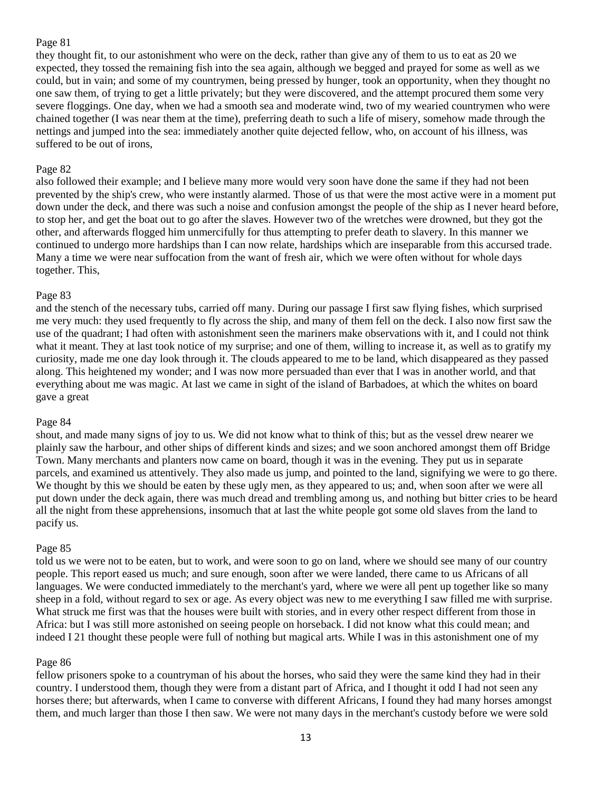## Page 81

they thought fit, to our astonishment who were on the deck, rather than give any of them to us to eat as 20 we expected, they tossed the remaining fish into the sea again, although we begged and prayed for some as well as we could, but in vain; and some of my countrymen, being pressed by hunger, took an opportunity, when they thought no one saw them, of trying to get a little privately; but they were discovered, and the attempt procured them some very severe floggings. One day, when we had a smooth sea and moderate wind, two of my wearied countrymen who were chained together (I was near them at the time), preferring death to such a life of misery, somehow made through the nettings and jumped into the sea: immediately another quite dejected fellow, who, on account of his illness, was suffered to be out of irons,

### Page 82

also followed their example; and I believe many more would very soon have done the same if they had not been prevented by the ship's crew, who were instantly alarmed. Those of us that were the most active were in a moment put down under the deck, and there was such a noise and confusion amongst the people of the ship as I never heard before, to stop her, and get the boat out to go after the slaves. However two of the wretches were drowned, but they got the other, and afterwards flogged him unmercifully for thus attempting to prefer death to slavery. In this manner we continued to undergo more hardships than I can now relate, hardships which are inseparable from this accursed trade. Many a time we were near suffocation from the want of fresh air, which we were often without for whole days together. This,

### Page 83

and the stench of the necessary tubs, carried off many. During our passage I first saw flying fishes, which surprised me very much: they used frequently to fly across the ship, and many of them fell on the deck. I also now first saw the use of the quadrant; I had often with astonishment seen the mariners make observations with it, and I could not think what it meant. They at last took notice of my surprise; and one of them, willing to increase it, as well as to gratify my curiosity, made me one day look through it. The clouds appeared to me to be land, which disappeared as they passed along. This heightened my wonder; and I was now more persuaded than ever that I was in another world, and that everything about me was magic. At last we came in sight of the island of Barbadoes, at which the whites on board gave a great

#### Page 84

shout, and made many signs of joy to us. We did not know what to think of this; but as the vessel drew nearer we plainly saw the harbour, and other ships of different kinds and sizes; and we soon anchored amongst them off Bridge Town. Many merchants and planters now came on board, though it was in the evening. They put us in separate parcels, and examined us attentively. They also made us jump, and pointed to the land, signifying we were to go there. We thought by this we should be eaten by these ugly men, as they appeared to us; and, when soon after we were all put down under the deck again, there was much dread and trembling among us, and nothing but bitter cries to be heard all the night from these apprehensions, insomuch that at last the white people got some old slaves from the land to pacify us.

#### Page 85

told us we were not to be eaten, but to work, and were soon to go on land, where we should see many of our country people. This report eased us much; and sure enough, soon after we were landed, there came to us Africans of all languages. We were conducted immediately to the merchant's yard, where we were all pent up together like so many sheep in a fold, without regard to sex or age. As every object was new to me everything I saw filled me with surprise. What struck me first was that the houses were built with stories, and in every other respect different from those in Africa: but I was still more astonished on seeing people on horseback. I did not know what this could mean; and indeed I 21 thought these people were full of nothing but magical arts. While I was in this astonishment one of my

#### Page 86

fellow prisoners spoke to a countryman of his about the horses, who said they were the same kind they had in their country. I understood them, though they were from a distant part of Africa, and I thought it odd I had not seen any horses there; but afterwards, when I came to converse with different Africans, I found they had many horses amongst them, and much larger than those I then saw. We were not many days in the merchant's custody before we were sold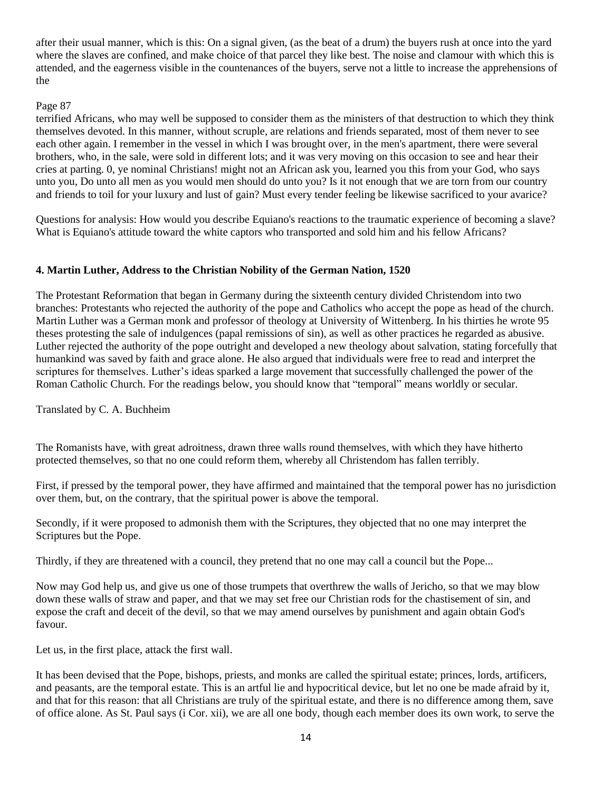after their usual manner, which is this: On a signal given, (as the beat of a drum) the buyers rush at once into the yard where the slaves are confined, and make choice of that parcel they like best. The noise and clamour with which this is attended, and the eagerness visible in the countenances of the buyers, serve not a little to increase the apprehensions of the

# Page 87

terrified Africans, who may well be supposed to consider them as the ministers of that destruction to which they think themselves devoted. In this manner, without scruple, are relations and friends separated, most of them never to see each other again. I remember in the vessel in which I was brought over, in the men's apartment, there were several brothers, who, in the sale, were sold in different lots; and it was very moving on this occasion to see and hear their cries at parting. 0, ye nominal Christians! might not an African ask you, learned you this from your God, who says unto you, Do unto all men as you would men should do unto you? Is it not enough that we are torn from our country and friends to toil for your luxury and lust of gain? Must every tender feeling be likewise sacrificed to your avarice?

Questions for analysis: How would you describe Equiano's reactions to the traumatic experience of becoming a slave? What is Equiano's attitude toward the white captors who transported and sold him and his fellow Africans?

# **4. Martin Luther, Address to the Christian Nobility of the German Nation, 1520**

The Protestant Reformation that began in Germany during the sixteenth century divided Christendom into two branches: Protestants who rejected the authority of the pope and Catholics who accept the pope as head of the church. Martin Luther was a German monk and professor of theology at University of Wittenberg. In his thirties he wrote 95 theses protesting the sale of indulgences (papal remissions of sin), as well as other practices he regarded as abusive. Luther rejected the authority of the pope outright and developed a new theology about salvation, stating forcefully that humankind was saved by faith and grace alone. He also argued that individuals were free to read and interpret the scriptures for themselves. Luther's ideas sparked a large movement that successfully challenged the power of the Roman Catholic Church. For the readings below, you should know that "temporal" means worldly or secular.

Translated by C. A. Buchheim

The Romanists have, with great adroitness, drawn three walls round themselves, with which they have hitherto protected themselves, so that no one could reform them, whereby all Christendom has fallen terribly.

First, if pressed by the temporal power, they have affirmed and maintained that the temporal power has no jurisdiction over them, but, on the contrary, that the spiritual power is above the temporal.

Secondly, if it were proposed to admonish them with the Scriptures, they objected that no one may interpret the Scriptures but the Pope.

Thirdly, if they are threatened with a council, they pretend that no one may call a council but the Pope...

Now may God help us, and give us one of those trumpets that overthrew the walls of Jericho, so that we may blow down these walls of straw and paper, and that we may set free our Christian rods for the chastisement of sin, and expose the craft and deceit of the devil, so that we may amend ourselves by punishment and again obtain God's favour.

Let us, in the first place, attack the first wall.

It has been devised that the Pope, bishops, priests, and monks are called the spiritual estate; princes, lords, artificers, and peasants, are the temporal estate. This is an artful lie and hypocritical device, but let no one be made afraid by it, and that for this reason: that all Christians are truly of the spiritual estate, and there is no difference among them, save of office alone. As St. Paul says (i Cor. xii), we are all one body, though each member does its own work, to serve the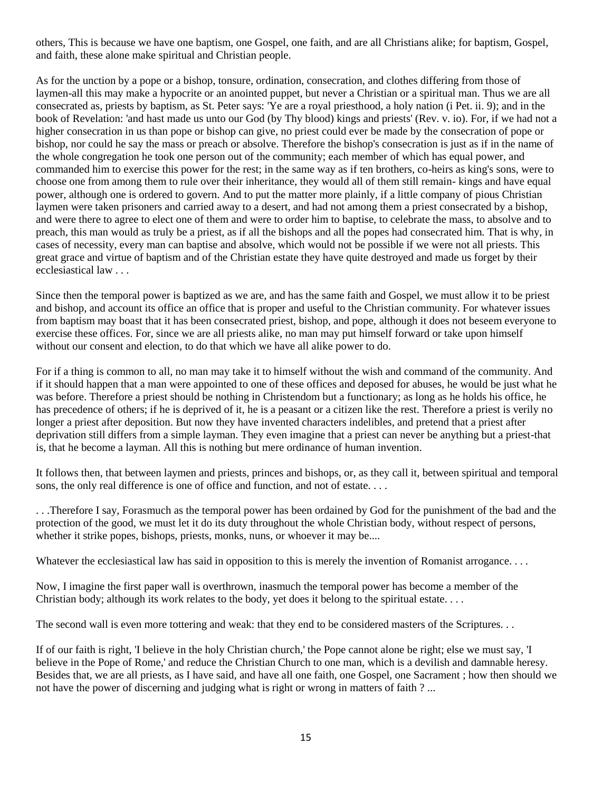others, This is because we have one baptism, one Gospel, one faith, and are all Christians alike; for baptism, Gospel, and faith, these alone make spiritual and Christian people.

As for the unction by a pope or a bishop, tonsure, ordination, consecration, and clothes differing from those of laymen-all this may make a hypocrite or an anointed puppet, but never a Christian or a spiritual man. Thus we are all consecrated as, priests by baptism, as St. Peter says: 'Ye are a royal priesthood, a holy nation (i Pet. ii. 9); and in the book of Revelation: 'and hast made us unto our God (by Thy blood) kings and priests' (Rev. v. io). For, if we had not a higher consecration in us than pope or bishop can give, no priest could ever be made by the consecration of pope or bishop, nor could he say the mass or preach or absolve. Therefore the bishop's consecration is just as if in the name of the whole congregation he took one person out of the community; each member of which has equal power, and commanded him to exercise this power for the rest; in the same way as if ten brothers, co-heirs as king's sons, were to choose one from among them to rule over their inheritance, they would all of them still remain- kings and have equal power, although one is ordered to govern. And to put the matter more plainly, if a little company of pious Christian laymen were taken prisoners and carried away to a desert, and had not among them a priest consecrated by a bishop, and were there to agree to elect one of them and were to order him to baptise, to celebrate the mass, to absolve and to preach, this man would as truly be a priest, as if all the bishops and all the popes had consecrated him. That is why, in cases of necessity, every man can baptise and absolve, which would not be possible if we were not all priests. This great grace and virtue of baptism and of the Christian estate they have quite destroyed and made us forget by their ecclesiastical law . . .

Since then the temporal power is baptized as we are, and has the same faith and Gospel, we must allow it to be priest and bishop, and account its office an office that is proper and useful to the Christian community. For whatever issues from baptism may boast that it has been consecrated priest, bishop, and pope, although it does not beseem everyone to exercise these offices. For, since we are all priests alike, no man may put himself forward or take upon himself without our consent and election, to do that which we have all alike power to do.

For if a thing is common to all, no man may take it to himself without the wish and command of the community. And if it should happen that a man were appointed to one of these offices and deposed for abuses, he would be just what he was before. Therefore a priest should be nothing in Christendom but a functionary; as long as he holds his office, he has precedence of others; if he is deprived of it, he is a peasant or a citizen like the rest. Therefore a priest is verily no longer a priest after deposition. But now they have invented characters indelibles, and pretend that a priest after deprivation still differs from a simple layman. They even imagine that a priest can never be anything but a priest-that is, that he become a layman. All this is nothing but mere ordinance of human invention.

It follows then, that between laymen and priests, princes and bishops, or, as they call it, between spiritual and temporal sons, the only real difference is one of office and function, and not of estate. . . .

. . .Therefore I say, Forasmuch as the temporal power has been ordained by God for the punishment of the bad and the protection of the good, we must let it do its duty throughout the whole Christian body, without respect of persons, whether it strike popes, bishops, priests, monks, nuns, or whoever it may be....

Whatever the ecclesiastical law has said in opposition to this is merely the invention of Romanist arrogance. . . .

Now, I imagine the first paper wall is overthrown, inasmuch the temporal power has become a member of the Christian body; although its work relates to the body, yet does it belong to the spiritual estate. . . .

The second wall is even more tottering and weak: that they end to be considered masters of the Scriptures. . .

If of our faith is right, 'I believe in the holy Christian church,' the Pope cannot alone be right; else we must say, 'I believe in the Pope of Rome,' and reduce the Christian Church to one man, which is a devilish and damnable heresy. Besides that, we are all priests, as I have said, and have all one faith, one Gospel, one Sacrament ; how then should we not have the power of discerning and judging what is right or wrong in matters of faith ? ...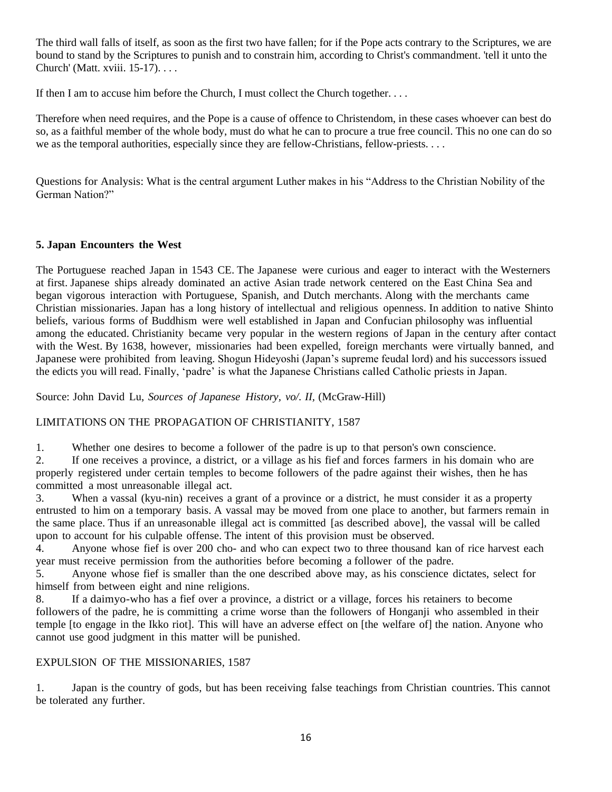The third wall falls of itself, as soon as the first two have fallen; for if the Pope acts contrary to the Scriptures, we are bound to stand by the Scriptures to punish and to constrain him, according to Christ's commandment. 'tell it unto the Church' (Matt. xviii. 15-17). . . .

If then I am to accuse him before the Church, I must collect the Church together. . . .

Therefore when need requires, and the Pope is a cause of offence to Christendom, in these cases whoever can best do so, as a faithful member of the whole body, must do what he can to procure a true free council. This no one can do so we as the temporal authorities, especially since they are fellow-Christians, fellow-priests. . . .

Questions for Analysis: What is the central argument Luther makes in his "Address to the Christian Nobility of the German Nation?"

# **5. Japan Encounters the West**

The Portuguese reached Japan in 1543 CE. The Japanese were curious and eager to interact with the Westerners at first. Japanese ships already dominated an active Asian trade network centered on the East China Sea and began vigorous interaction with Portuguese, Spanish, and Dutch merchants. Along with the merchants came Christian missionaries. Japan has a long history of intellectual and religious openness. In addition to native Shinto beliefs, various forms of Buddhism were well established in Japan and Confucian philosophy was influential among the educated. Christianity became very popular in the western regions of Japan in the century after contact with the West. By 1638, however, missionaries had been expelled, foreign merchants were virtually banned, and Japanese were prohibited from leaving. Shogun Hideyoshi (Japan's supreme feudal lord) and his successors issued the edicts you will read. Finally, 'padre' is what the Japanese Christians called Catholic priests in Japan.

Source: John David Lu, *Sources of Japanese History, vo/. II,* (McGraw-Hill)

## LIMITATIONS ON THE PROPAGATION OF CHRISTIANITY, 1587

1. Whether one desires to become a follower of the padre is up to that person's own conscience.

2. If one receives a province, a district, or a village as his fief and forces farmers in his domain who are properly registered under certain temples to become followers of the padre against their wishes, then he has committed a most unreasonable illegal act.

3. When a vassal (kyu-nin) receives a grant of a province or a district, he must consider it as a property entrusted to him on a temporary basis. A vassal may be moved from one place to another, but farmers remain in the same place. Thus if an unreasonable illegal act is committed [as described above], the vassal will be called upon to account for his culpable offense. The intent of this provision must be observed.

4. Anyone whose fief is over 200 cho- and who can expect two to three thousand kan of rice harvest each year must receive permission from the authorities before becoming a follower of the padre.

5. Anyone whose fief is smaller than the one described above may, as his conscience dictates, select for himself from between eight and nine religions.

8. If a daimyo-who has a fief over a province, a district or a village, forces his retainers to become followers of the padre, he is committing a crime worse than the followers of Honganji who assembled in their temple [to engage in the Ikko riot]. This will have an adverse effect on [the welfare of] the nation. Anyone who cannot use good judgment in this matter will be punished.

## EXPULSION OF THE MISSIONARIES, 1587

1. Japan is the country of gods, but has been receiving false teachings from Christian countries. This cannot be tolerated any further.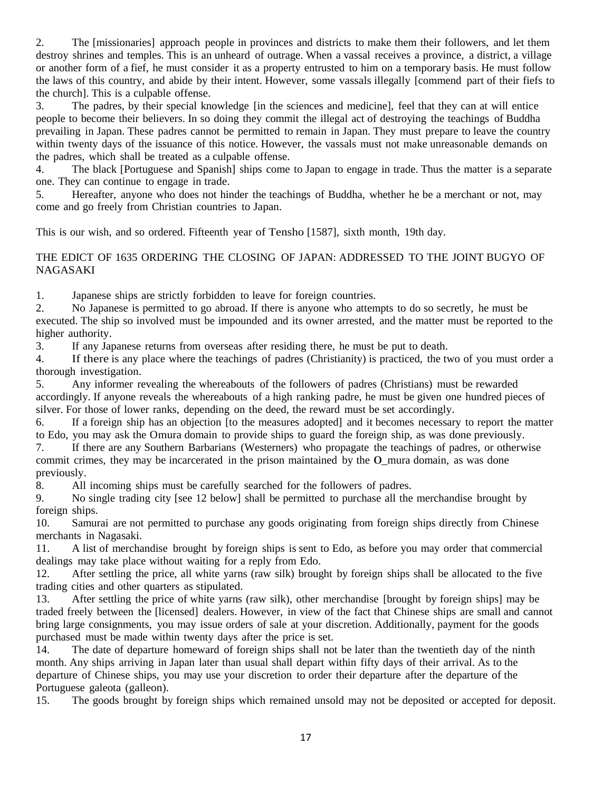2. The [missionaries] approach people in provinces and districts to make them their followers, and let them destroy shrines and temples. This is an unheard of outrage. When a vassal receives a province, a district, a village or another form of a fief, he must consider it as a property entrusted to him on a temporary basis. He must follow the laws of this country, and abide by their intent. However, some vassals illegally [commend part of their fiefs to the church]. This is a culpable offense.

3. The padres, by their special knowledge [in the sciences and medicine], feel that they can at will entice people to become their believers. In so doing they commit the illegal act of destroying the teachings of Buddha prevailing in Japan. These padres cannot be permitted to remain in Japan. They must prepare to leave the country within twenty days of the issuance of this notice. However, the vassals must not make unreasonable demands on the padres, which shall be treated as a culpable offense.

4. The black [Portuguese and Spanish] ships come to Japan to engage in trade. Thus the matter is a separate one. They can continue to engage in trade.

5. Hereafter, anyone who does not hinder the teachings of Buddha, whether he be a merchant or not, may come and go freely from Christian countries to Japan.

This is our wish, and so ordered. Fifteenth year of Tensho [1587], sixth month, 19th day.

## THE EDICT OF 1635 ORDERING THE CLOSING OF JAPAN: ADDRESSED TO THE JOINT BUGYO OF NAGASAKI

1. Japanese ships are strictly forbidden to leave for foreign countries.

2. No Japanese is permitted to go abroad. If there is anyone who attempts to do so secretly, he must be executed. The ship so involved must be impounded and its owner arrested, and the matter must be reported to the higher authority.

3. If any Japanese returns from overseas after residing there, he must be put to death.

4. If there is any place where the teachings of padres (Christianity) is practiced, the two of you must order a thorough investigation.

5. Any informer revealing the whereabouts of the followers of padres (Christians) must be rewarded accordingly. If anyone reveals the whereabouts of a high ranking padre, he must be given one hundred pieces of silver. For those of lower ranks, depending on the deed, the reward must be set accordingly.

6. If a foreign ship has an objection [to the measures adopted] and it becomes necessary to report the matter to Edo, you may ask the Omura domain to provide ships to guard the foreign ship, as was done previously.

7. If there are any Southern Barbarians (Westerners) who propagate the teachings of padres, or otherwise commit crimes, they may be incarcerated in the prison maintained by the O\_mura domain, as was done previously.

8. All incoming ships must be carefully searched for the followers of padres.

9. No single trading city [see 12 below] shall be permitted to purchase all the merchandise brought by foreign ships.

10. Samurai are not permitted to purchase any goods originating from foreign ships directly from Chinese merchants in Nagasaki.

11. A list of merchandise brought by foreign ships is sent to Edo, as before you may order that commercial dealings may take place without waiting for a reply from Edo.

12. After settling the price, all white yarns (raw silk) brought by foreign ships shall be allocated to the five trading cities and other quarters as stipulated.

13. After settling the price of white yarns (raw silk), other merchandise [brought by foreign ships] may be traded freely between the [licensed] dealers. However, in view of the fact that Chinese ships are small and cannot bring large consignments, you may issue orders of sale at your discretion. Additionally, payment for the goods purchased must be made within twenty days after the price is set.

14. The date of departure homeward of foreign ships shall not be later than the twentieth day of the ninth month. Any ships arriving in Japan later than usual shall depart within fifty days of their arrival. As to the departure of Chinese ships, you may use your discretion to order their departure after the departure of the Portuguese galeota (galleon).

15. The goods brought by foreign ships which remained unsold may not be deposited or accepted for deposit.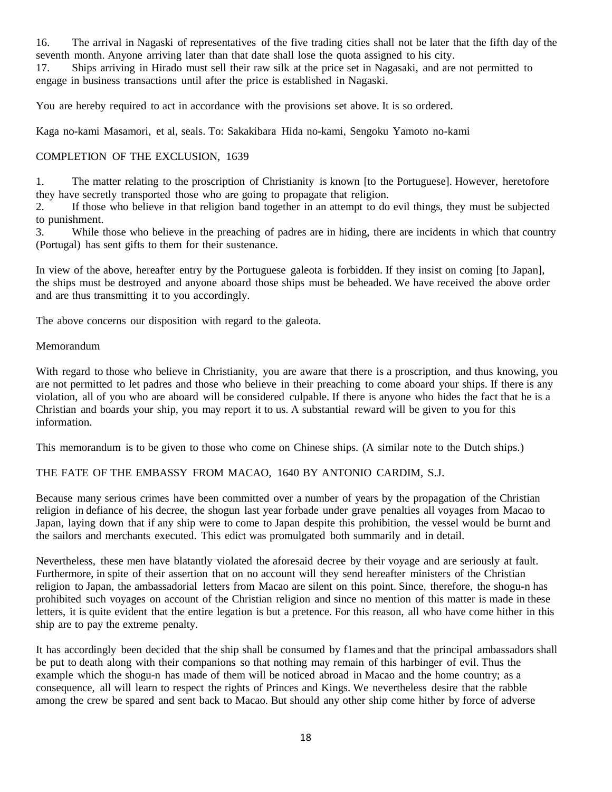16. The arrival in Nagaski of representatives of the five trading cities shall not be later that the fifth day of the seventh month. Anyone arriving later than that date shall lose the quota assigned to his city.

17. Ships arriving in Hirado must sell their raw silk at the price set in Nagasaki, and are not permitted to engage in business transactions until after the price is established in Nagaski.

You are hereby required to act in accordance with the provisions set above. It is so ordered.

Kaga no-kami Masamori, et al, seals. To: Sakakibara Hida no-kami, Sengoku Yamoto no-kami

# COMPLETION OF THE EXCLUSION, 1639

1. The matter relating to the proscription of Christianity is known [to the Portuguese]. However, heretofore they have secretly transported those who are going to propagate that religion.

2. If those who believe in that religion band together in an attempt to do evil things, they must be subjected to punishment.

3. While those who believe in the preaching of padres are in hiding, there are incidents in which that country (Portugal) has sent gifts to them for their sustenance.

In view of the above, hereafter entry by the Portuguese galeota is forbidden. If they insist on coming [to Japan], the ships must be destroyed and anyone aboard those ships must be beheaded. We have received the above order and are thus transmitting it to you accordingly.

The above concerns our disposition with regard to the galeota.

## Memorandum

With regard to those who believe in Christianity, you are aware that there is a proscription, and thus knowing, you are not permitted to let padres and those who believe in their preaching to come aboard your ships. If there is any violation, all of you who are aboard will be considered culpable. If there is anyone who hides the fact that he is a Christian and boards your ship, you may report it to us. A substantial reward will be given to you for this information.

This memorandum is to be given to those who come on Chinese ships. (A similar note to the Dutch ships.)

# THE FATE OF THE EMBASSY FROM MACAO, 1640 BY ANTONIO CARDIM, S.J.

Because many serious crimes have been committed over a number of years by the propagation of the Christian religion in defiance of his decree, the shogun last year forbade under grave penalties all voyages from Macao to Japan, laying down that if any ship were to come to Japan despite this prohibition, the vessel would be burnt and the sailors and merchants executed. This edict was promulgated both summarily and in detail.

Nevertheless, these men have blatantly violated the aforesaid decree by their voyage and are seriously at fault. Furthermore, in spite of their assertion that on no account will they send hereafter ministers of the Christian religion to Japan, the ambassadorial letters from Macao are silent on this point. Since, therefore, the shogu-n has prohibited such voyages on account of the Christian religion and since no mention of this matter is made in these letters, it is quite evident that the entire legation is but a pretence. For this reason, all who have come hither in this ship are to pay the extreme penalty.

It has accordingly been decided that the ship shall be consumed by f1ames and that the principal ambassadors shall be put to death along with their companions so that nothing may remain of this harbinger of evil. Thus the example which the shogu-n has made of them will be noticed abroad in Macao and the home country; as a consequence, all will learn to respect the rights of Princes and Kings. We nevertheless desire that the rabble among the crew be spared and sent back to Macao. But should any other ship come hither by force of adverse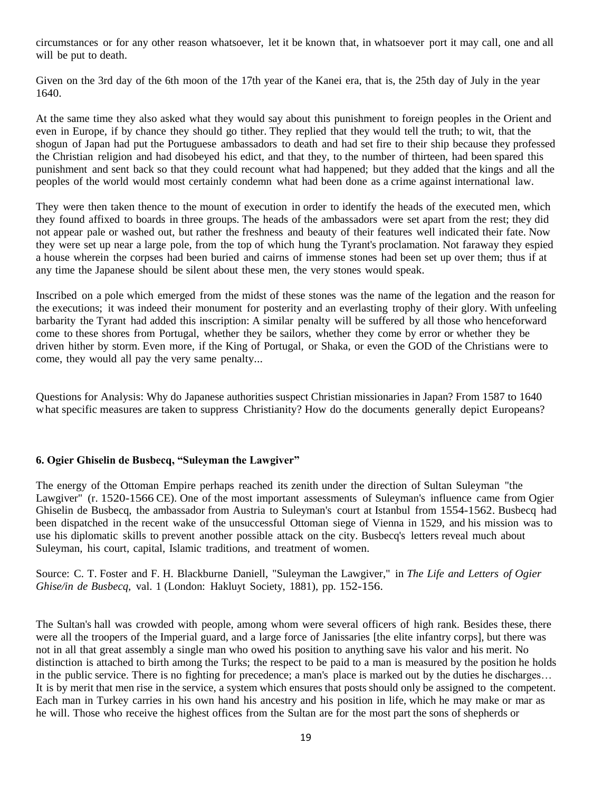circumstances or for any other reason whatsoever, let it be known that, in whatsoever port it may call, one and all will be put to death.

Given on the 3rd day of the 6th moon of the 17th year of the Kanei era, that is, the 25th day of July in the year 1640.

At the same time they also asked what they would say about this punishment to foreign peoples in the Orient and even in Europe, if by chance they should go tither. They replied that they would tell the truth; to wit, that the shogun of Japan had put the Portuguese ambassadors to death and had set fire to their ship because they professed the Christian religion and had disobeyed his edict, and that they, to the number of thirteen, had been spared this punishment and sent back so that they could recount what had happened; but they added that the kings and all the peoples of the world would most certainly condemn what had been done as a crime against international law.

They were then taken thence to the mount of execution in order to identify the heads of the executed men, which they found affixed to boards in three groups. The heads of the ambassadors were set apart from the rest; they did not appear pale or washed out, but rather the freshness and beauty of their features well indicated their fate. Now they were set up near a large pole, from the top of which hung the Tyrant's proclamation. Not faraway they espied a house wherein the corpses had been buried and cairns of immense stones had been set up over them; thus if at any time the Japanese should be silent about these men, the very stones would speak.

Inscribed on a pole which emerged from the midst of these stones was the name of the legation and the reason for the executions; it was indeed their monument for posterity and an everlasting trophy of their glory. With unfeeling barbarity the Tyrant had added this inscription: A similar penalty will be suffered by all those who henceforward come to these shores from Portugal, whether they be sailors, whether they come by error or whether they be driven hither by storm. Even more, if the King of Portugal, or Shaka, or even the GOD of the Christians were to come, they would all pay the very same penalty...

Questions for Analysis: Why do Japanese authorities suspect Christian missionaries in Japan? From 1587 to 1640 what specific measures are taken to suppress Christianity? How do the documents generally depict Europeans?

### **6. Ogier Ghiselin de Busbecq, "Suleyman the Lawgiver"**

The energy of the Ottoman Empire perhaps reached its zenith under the direction of Sultan Suleyman "the Lawgiver" (r. 1520-1566 CE). One of the most important assessments of Suleyman's influence came from Ogier Ghiselin de Busbecq, the ambassador from Austria to Suleyman's court at Istanbul from 1554-1562. Busbecq had been dispatched in the recent wake of the unsuccessful Ottoman siege of Vienna in 1529, and his mission was to use his diplomatic skills to prevent another possible attack on the city. Busbecq's letters reveal much about Suleyman, his court, capital, Islamic traditions, and treatment of women.

Source: C. T. Foster and F. H. Blackburne Daniell, "Suleyman the Lawgiver," in *The Life and Letters of Ogier Ghise/in de Busbecq,* val. 1 (London: Hakluyt Society, 1881), pp. 152-156.

The Sultan's hall was crowded with people, among whom were several officers of high rank. Besides these, there were all the troopers of the Imperial guard, and a large force of Janissaries [the elite infantry corps], but there was not in all that great assembly a single man who owed his position to anything save his valor and his merit. No distinction is attached to birth among the Turks; the respect to be paid to a man is measured by the position he holds in the public service. There is no fighting for precedence; a man's place is marked out by the duties he discharges… It is by merit that men rise in the service, a system which ensures that posts should only be assigned to the competent. Each man in Turkey carries in his own hand his ancestry and his position in life, which he may make or mar as he will. Those who receive the highest offices from the Sultan are for the most part the sons of shepherds or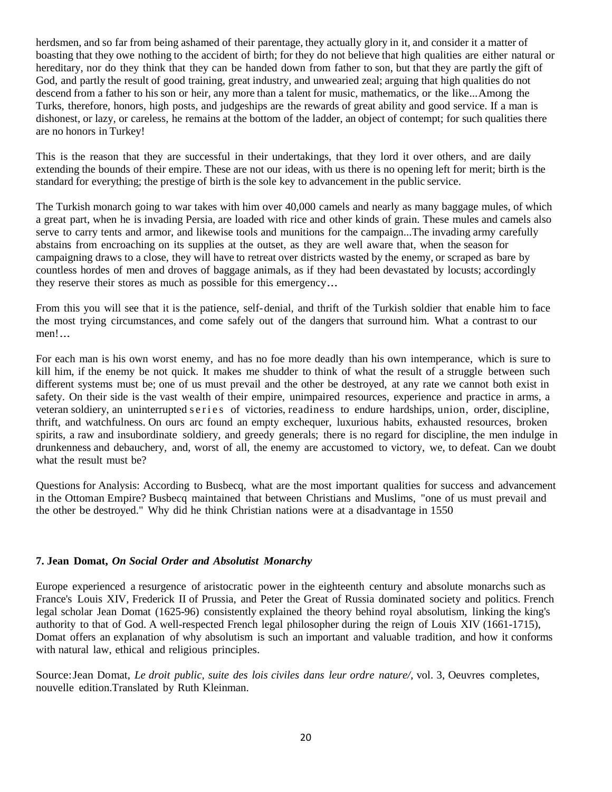herdsmen, and so far from being ashamed of their parentage, they actually glory in it, and consider it a matter of boasting that they owe nothing to the accident of birth; for they do not believe that high qualities are either natural or hereditary, nor do they think that they can be handed down from father to son, but that they are partly the gift of God, and partly the result of good training, great industry, and unwearied zeal; arguing that high qualities do not descend from a father to his son or heir, any more than a talent for music, mathematics, or the like...Among the Turks, therefore, honors, high posts, and judgeships are the rewards of great ability and good service. If a man is dishonest, or lazy, or careless, he remains at the bottom of the ladder, an object of contempt; for such qualities there are no honors in Turkey!

This is the reason that they are successful in their undertakings, that they lord it over others, and are daily extending the bounds of their empire. These are not our ideas, with us there is no opening left for merit; birth is the standard for everything; the prestige of birth is the sole key to advancement in the public service.

The Turkish monarch going to war takes with him over 40,000 camels and nearly as many baggage mules, of which a great part, when he is invading Persia, are loaded with rice and other kinds of grain. These mules and camels also serve to carry tents and armor, and likewise tools and munitions for the campaign...The invading army carefully abstains from encroaching on its supplies at the outset, as they are well aware that, when the season for campaigning draws to a close, they will have to retreat over districts wasted by the enemy, or scraped as bare by countless hordes of men and droves of baggage animals, as if they had been devastated by locusts; accordingly they reserve their stores as much as possible for this emergency...

From this you will see that it is the patience, self-denial, and thrift of the Turkish soldier that enable him to face the most trying circumstances, and come safely out of the dangers that surround him. What a contrast to our men!...

For each man is his own worst enemy, and has no foe more deadly than his own intemperance, which is sure to kill him, if the enemy be not quick. It makes me shudder to think of what the result of a struggle between such different systems must be; one of us must prevail and the other be destroyed, at any rate we cannot both exist in safety. On their side is the vast wealth of their empire, unimpaired resources, experience and practice in arms, a veteran soldiery, an uninterrupted series of victories, readiness to endure hardships, union, order, discipline, thrift, and watchfulness. On ours arc found an empty exchequer, luxurious habits, exhausted resources, broken spirits, a raw and insubordinate soldiery, and greedy generals; there is no regard for discipline, the men indulge in drunkenness and debauchery, and, worst of all, the enemy are accustomed to victory, we, to defeat. Can we doubt what the result must be?

Questions for Analysis: According to Busbecq, what are the most important qualities for success and advancement in the Ottoman Empire? Busbecq maintained that between Christians and Muslims, "one of us must prevail and the other be destroyed." Why did he think Christian nations were at a disadvantage in 1550

## **7. Jean Domat,** *On Social Order and Absolutist Monarchy*

Europe experienced a resurgence of aristocratic power in the eighteenth century and absolute monarchs such as France's Louis XIV, Frederick II of Prussia, and Peter the Great of Russia dominated society and politics. French legal scholar Jean Domat (1625-96) consistently explained the theory behind royal absolutism, linking the king's authority to that of God. A well-respected French legal philosopher during the reign of Louis XIV (1661-1715), Domat offers an explanation of why absolutism is such an important and valuable tradition, and how it conforms with natural law, ethical and religious principles.

Source: Jean Domat, *Le droit public, suite des lois civiles dans leur ordre nature/,* vol. 3, Oeuvres completes, nouvelle edition.Translated by Ruth Kleinman.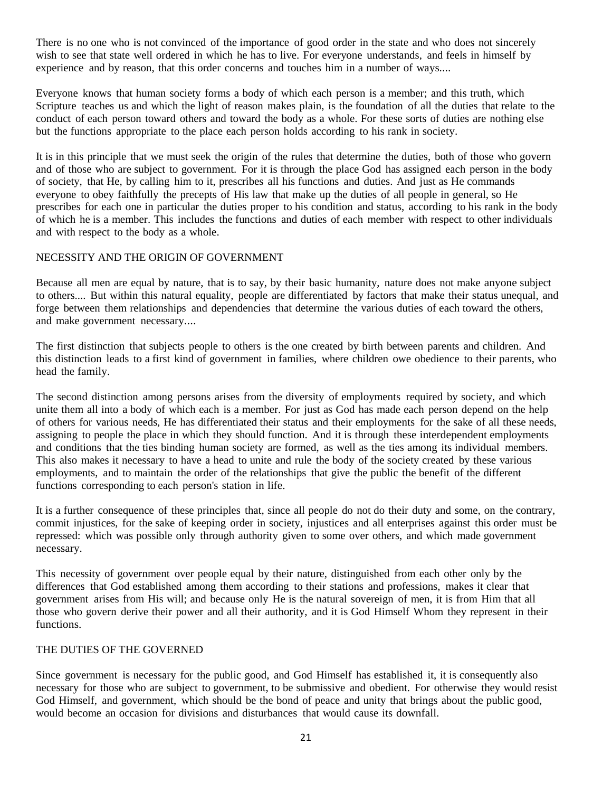There is no one who is not convinced of the importance of good order in the state and who does not sincerely wish to see that state well ordered in which he has to live. For everyone understands, and feels in himself by experience and by reason, that this order concerns and touches him in a number of ways....

Everyone knows that human society forms a body of which each person is a member; and this truth, which Scripture teaches us and which the light of reason makes plain, is the foundation of all the duties that relate to the conduct of each person toward others and toward the body as a whole. For these sorts of duties are nothing else but the functions appropriate to the place each person holds according to his rank in society.

It is in this principle that we must seek the origin of the rules that determine the duties, both of those who govern and of those who are subject to government. For it is through the place God has assigned each person in the body of society, that He, by calling him to it, prescribes all his functions and duties. And just as He commands everyone to obey faithfully the precepts of His law that make up the duties of all people in general, so He prescribes for each one in particular the duties proper to his condition and status, according to his rank in the body of which he is a member. This includes the functions and duties of each member with respect to other individuals and with respect to the body as a whole.

### NECESSITY AND THE ORIGIN OF GOVERNMENT

Because all men are equal by nature, that is to say, by their basic humanity, nature does not make anyone subject to others.... But within this natural equality, people are differentiated by factors that make their status unequal, and forge between them relationships and dependencies that determine the various duties of each toward the others, and make government necessary....

The first distinction that subjects people to others is the one created by birth between parents and children. And this distinction leads to a first kind of government in families, where children owe obedience to their parents, who head the family.

The second distinction among persons arises from the diversity of employments required by society, and which unite them all into a body of which each is a member. For just as God has made each person depend on the help of others for various needs, He has differentiated their status and their employments for the sake of all these needs, assigning to people the place in which they should function. And it is through these interdependent employments and conditions that the ties binding human society are formed, as well as the ties among its individual members. This also makes it necessary to have a head to unite and rule the body of the society created by these various employments, and to maintain the order of the relationships that give the public the benefit of the different functions corresponding to each person's station in life.

It is a further consequence of these principles that, since all people do not do their duty and some, on the contrary, commit injustices, for the sake of keeping order in society, injustices and all enterprises against this order must be repressed: which was possible only through authority given to some over others, and which made government necessary.

This necessity of government over people equal by their nature, distinguished from each other only by the differences that God established among them according to their stations and professions, makes it clear that government arises from His will; and because only He is the natural sovereign of men, it is from Him that all those who govern derive their power and all their authority, and it is God Himself Whom they represent in their functions.

#### THE DUTIES OF THE GOVERNED

Since government is necessary for the public good, and God Himself has established it, it is consequently also necessary for those who are subject to government, to be submissive and obedient. For otherwise they would resist God Himself, and government, which should be the bond of peace and unity that brings about the public good, would become an occasion for divisions and disturbances that would cause its downfall.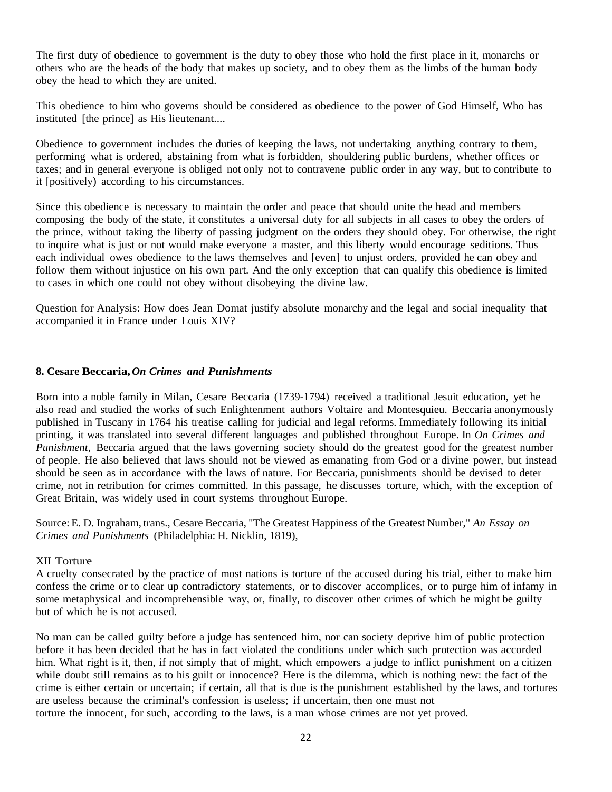The first duty of obedience to government is the duty to obey those who hold the first place in it, monarchs or others who are the heads of the body that makes up society, and to obey them as the limbs of the human body obey the head to which they are united.

This obedience to him who governs should be considered as obedience to the power of God Himself, Who has instituted [the prince] as His lieutenant....

Obedience to government includes the duties of keeping the laws, not undertaking anything contrary to them, performing what is ordered, abstaining from what is forbidden, shouldering public burdens, whether offices or taxes; and in general everyone is obliged not only not to contravene public order in any way, but to contribute to it [positively) according to his circumstances.

Since this obedience is necessary to maintain the order and peace that should unite the head and members composing the body of the state, it constitutes a universal duty for all subjects in all cases to obey the orders of the prince, without taking the liberty of passing judgment on the orders they should obey. For otherwise, the right to inquire what is just or not would make everyone a master, and this liberty would encourage seditions. Thus each individual owes obedience to the laws themselves and [even] to unjust orders, provided he can obey and follow them without injustice on his own part. And the only exception that can qualify this obedience is limited to cases in which one could not obey without disobeying the divine law.

Question for Analysis: How does Jean Domat justify absolute monarchy and the legal and social inequality that accompanied it in France under Louis XIV?

## **8. Cesare Beccaria,***On Crimes and Punishments*

Born into a noble family in Milan, Cesare Beccaria (1739-1794) received a traditional Jesuit education, yet he also read and studied the works of such Enlightenment authors Voltaire and Montesquieu. Beccaria anonymously published in Tuscany in 1764 his treatise calling for judicial and legal reforms. Immediately following its initial printing, it was translated into several different languages and published throughout Europe. In *On Crimes and Punishment*, Beccaria argued that the laws governing society should do the greatest good for the greatest number of people. He also believed that laws should not be viewed as emanating from God or a divine power, but instead should be seen as in accordance with the laws of nature. For Beccaria, punishments should be devised to deter crime, not in retribution for crimes committed. In this passage, he discusses torture, which, with the exception of Great Britain, was widely used in court systems throughout Europe.

Source: E. D. Ingraham, trans., Cesare Beccaria, "The Greatest Happiness of the Greatest Number," *An Essay on Crimes and Punishments* (Philadelphia: H. Nicklin, 1819),

### XII Torture

A cruelty consecrated by the practice of most nations is torture of the accused during his trial, either to make him confess the crime or to clear up contradictory statements, or to discover accomplices, or to purge him of infamy in some metaphysical and incomprehensible way, or, finally, to discover other crimes of which he might be guilty but of which he is not accused.

No man can be called guilty before a judge has sentenced him, nor can society deprive him of public protection before it has been decided that he has in fact violated the conditions under which such protection was accorded him. What right is it, then, if not simply that of might, which empowers a judge to inflict punishment on a citizen while doubt still remains as to his guilt or innocence? Here is the dilemma, which is nothing new: the fact of the crime is either certain or uncertain; if certain, all that is due is the punishment established by the laws, and tortures are useless because the criminal's confession is useless; if uncertain, then one must not torture the innocent, for such, according to the laws, is a man whose crimes are not yet proved.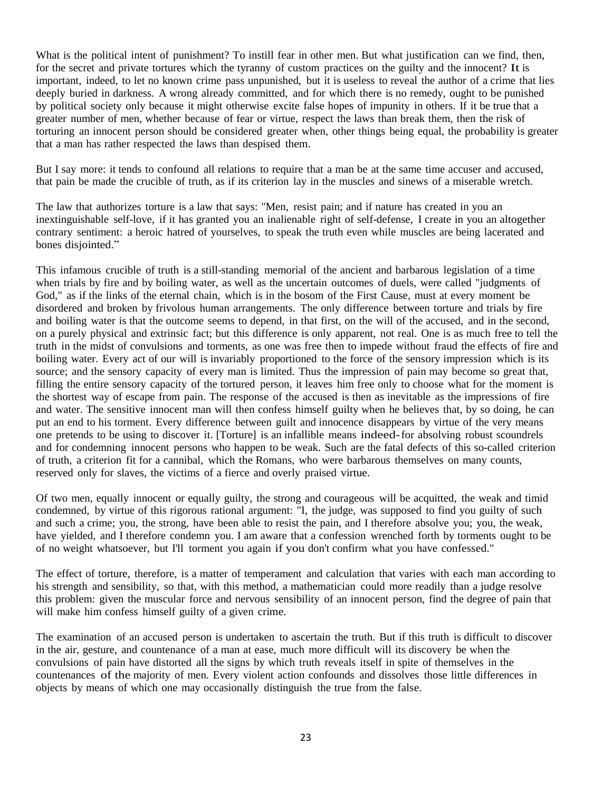What is the political intent of punishment? To instill fear in other men. But what justification can we find, then, for the secret and private tortures which the tyranny of custom practices on the guilty and the innocent? It is important, indeed, to let no known crime pass unpunished, but it is useless to reveal the author of a crime that lies deeply buried in darkness. A wrong already committed, and for which there is no remedy, ought to be punished by political society only because it might otherwise excite false hopes of impunity in others. If it be true that a greater number of men, whether because of fear or virtue, respect the laws than break them, then the risk of torturing an innocent person should be considered greater when, other things being equal, the probability is greater that a man has rather respected the laws than despised them.

But I say more: it tends to confound all relations to require that a man be at the same time accuser and accused, that pain be made the crucible of truth, as if its criterion lay in the muscles and sinews of a miserable wretch.

The law that authorizes torture is a law that says: "Men, resist pain; and if nature has created in you an inextinguishable self-love, if it has granted you an inalienable right of self-defense, I create in you an altogether contrary sentiment: a heroic hatred of yourselves, to speak the truth even while muscles are being lacerated and bones disjointed."

This infamous crucible of truth is a still-standing memorial of the ancient and barbarous legislation of a time when trials by fire and by boiling water, as well as the uncertain outcomes of duels, were called "judgments of God," as if the links of the eternal chain, which is in the bosom of the First Cause, must at every moment be disordered and broken by frivolous human arrangements. The only difference between torture and trials by fire and boiling water is that the outcome seems to depend, in that first, on the will of the accused, and in the second, on a purely physical and extrinsic fact; but this difference is only apparent, not real. One is as much free to tell the truth in the midst of convulsions and torments, as one was free then to impede without fraud the effects of fire and boiling water. Every act of our will is invariably proportioned to the force of the sensory impression which is its source; and the sensory capacity of every man is limited. Thus the impression of pain may become so great that, filling the entire sensory capacity of the tortured person, it leaves him free only to choose what for the moment is the shortest way of escape from pain. The response of the accused is then as inevitable as the impressions of fire and water. The sensitive innocent man will then confess himself guilty when he believes that, by so doing, he can put an end to his torment. Every difference between guilt and innocence disappears by virtue of the very means one pretends to be using to discover it. [Torture] is an infallible means indeed-for absolving robust scoundrels and for condemning innocent persons who happen to be weak. Such are the fatal defects of this so-called criterion of truth, a criterion fit for a cannibal, which the Romans, who were barbarous themselves on many counts, reserved only for slaves, the victims of a fierce and overly praised virtue.

Of two men, equally innocent or equally guilty, the strong and courageous will be acquitted, the weak and timid condemned, by virtue of this rigorous rational argument: "I, the judge, was supposed to find you guilty of such and such a crime; you, the strong, have been able to resist the pain, and I therefore absolve you; you, the weak, have yielded, and I therefore condemn you. I am aware that a confession wrenched forth by torments ought to be of no weight whatsoever, but I'll torment you again if you don't confirm what you have confessed."

The effect of torture, therefore, is a matter of temperament and calculation that varies with each man according to his strength and sensibility, so that, with this method, a mathematician could more readily than a judge resolve this problem: given the muscular force and nervous sensibility of an innocent person, find the degree of pain that will make him confess himself guilty of a given crime.

The examination of an accused person is undertaken to ascertain the truth. But if this truth is difficult to discover in the air, gesture, and countenance of a man at ease, much more difficult will its discovery be when the convulsions of pain have distorted all the signs by which truth reveals itself in spite of themselves in the countenances of the majority of men. Every violent action confounds and dissolves those little differences in objects by means of which one may occasionally distinguish the true from the false.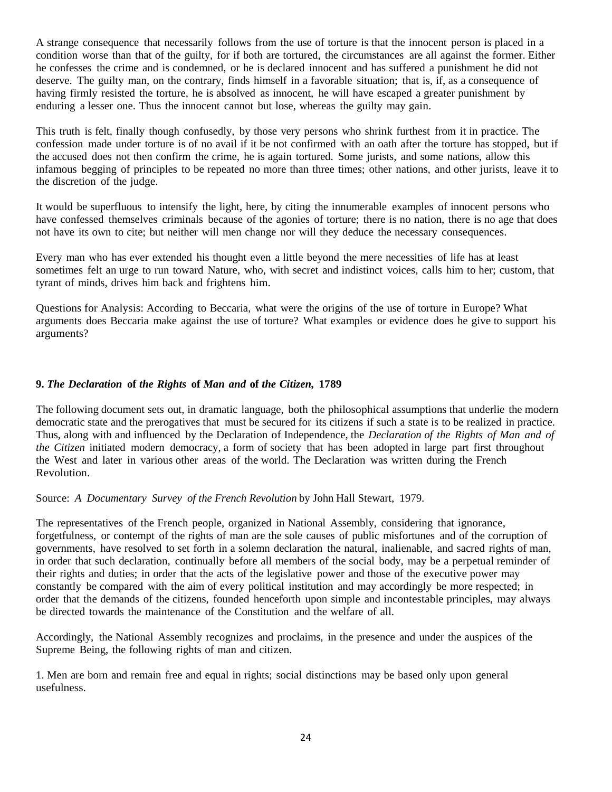A strange consequence that necessarily follows from the use of torture is that the innocent person is placed in a condition worse than that of the guilty, for if both are tortured, the circumstances are all against the former. Either he confesses the crime and is condemned, or he is declared innocent and has suffered a punishment he did not deserve. The guilty man, on the contrary, finds himself in a favorable situation; that is, if, as a consequence of having firmly resisted the torture, he is absolved as innocent, he will have escaped a greater punishment by enduring a lesser one. Thus the innocent cannot but lose, whereas the guilty may gain.

This truth is felt, finally though confusedly, by those very persons who shrink furthest from it in practice. The confession made under torture is of no avail if it be not confirmed with an oath after the torture has stopped, but if the accused does not then confirm the crime, he is again tortured. Some jurists, and some nations, allow this infamous begging of principles to be repeated no more than three times; other nations, and other jurists, leave it to the discretion of the judge.

It would be superfluous to intensify the light, here, by citing the innumerable examples of innocent persons who have confessed themselves criminals because of the agonies of torture; there is no nation, there is no age that does not have its own to cite; but neither will men change nor will they deduce the necessary consequences.

Every man who has ever extended his thought even a little beyond the mere necessities of life has at least sometimes felt an urge to run toward Nature, who, with secret and indistinct voices, calls him to her; custom, that tyrant of minds, drives him back and frightens him.

Questions for Analysis: According to Beccaria, what were the origins of the use of torture in Europe? What arguments does Beccaria make against the use of torture? What examples or evidence does he give to support his arguments?

# **9.** *The Declaration* **of** *the Rights* **of** *Man and* **of** *the Citizen,* **1789**

The following document sets out, in dramatic language, both the philosophical assumptions that underlie the modern democratic state and the prerogatives that must be secured for its citizens if such a state is to be realized in practice. Thus, along with and influenced by the Declaration of Independence, the *Declaration of the Rights of Man and of the Citizen* initiated modern democracy, a form of society that has been adopted in large part first throughout the West and later in various other areas of the world. The Declaration was written during the French Revolution.

Source: *A Documentary Survey of the French Revolution* by John Hall Stewart, 1979.

The representatives of the French people, organized in National Assembly, considering that ignorance, forgetfulness, or contempt of the rights of man are the sole causes of public misfortunes and of the corruption of governments, have resolved to set forth in a solemn declaration the natural, inalienable, and sacred rights of man, in order that such declaration, continually before all members of the social body, may be a perpetual reminder of their rights and duties; in order that the acts of the legislative power and those of the executive power may constantly be compared with the aim of every political institution and may accordingly be more respected; in order that the demands of the citizens, founded henceforth upon simple and incontestable principles, may always be directed towards the maintenance of the Constitution and the welfare of all.

Accordingly, the National Assembly recognizes and proclaims, in the presence and under the auspices of the Supreme Being, the following rights of man and citizen.

1. Men are born and remain free and equal in rights; social distinctions may be based only upon general usefulness.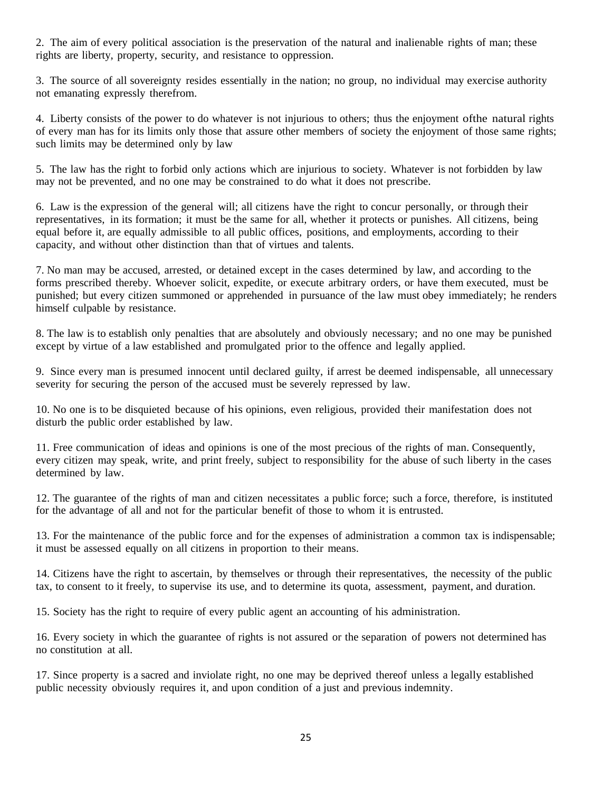2. The aim of every political association is the preservation of the natural and inalienable rights of man; these rights are liberty, property, security, and resistance to oppression.

3. The source of all sovereignty resides essentially in the nation; no group, no individual may exercise authority not emanating expressly therefrom.

4. Liberty consists of the power to do whatever is not injurious to others; thus the enjoyment ofthe natural rights of every man has for its limits only those that assure other members of society the enjoyment of those same rights; such limits may be determined only by law

5. The law has the right to forbid only actions which are injurious to society. Whatever is not forbidden by law may not be prevented, and no one may be constrained to do what it does not prescribe.

6. Law is the expression of the general will; all citizens have the right to concur personally, or through their representatives, in its formation; it must be the same for all, whether it protects or punishes. All citizens, being equal before it, are equally admissible to all public offices, positions, and employments, according to their capacity, and without other distinction than that of virtues and talents.

7. No man may be accused, arrested, or detained except in the cases determined by law, and according to the forms prescribed thereby. Whoever solicit, expedite, or execute arbitrary orders, or have them executed, must be punished; but every citizen summoned or apprehended in pursuance of the law must obey immediately; he renders himself culpable by resistance.

8. The law is to establish only penalties that are absolutely and obviously necessary; and no one may be punished except by virtue of a law established and promulgated prior to the offence and legally applied.

9. Since every man is presumed innocent until declared guilty, if arrest be deemed indispensable, all unnecessary severity for securing the person of the accused must be severely repressed by law.

10. No one is to be disquieted because of his opinions, even religious, provided their manifestation does not disturb the public order established by law.

11. Free communication of ideas and opinions is one of the most precious of the rights of man. Consequently, every citizen may speak, write, and print freely, subject to responsibility for the abuse of such liberty in the cases determined by law.

12. The guarantee of the rights of man and citizen necessitates a public force; such a force, therefore, is instituted for the advantage of all and not for the particular benefit of those to whom it is entrusted.

13. For the maintenance of the public force and for the expenses of administration a common tax is indispensable; it must be assessed equally on all citizens in proportion to their means.

14. Citizens have the right to ascertain, by themselves or through their representatives, the necessity of the public tax, to consent to it freely, to supervise its use, and to determine its quota, assessment, payment, and duration.

15. Society has the right to require of every public agent an accounting of his administration.

16. Every society in which the guarantee of rights is not assured or the separation of powers not determined has no constitution at all.

17. Since property is a sacred and inviolate right, no one may be deprived thereof unless a legally established public necessity obviously requires it, and upon condition of a just and previous indemnity.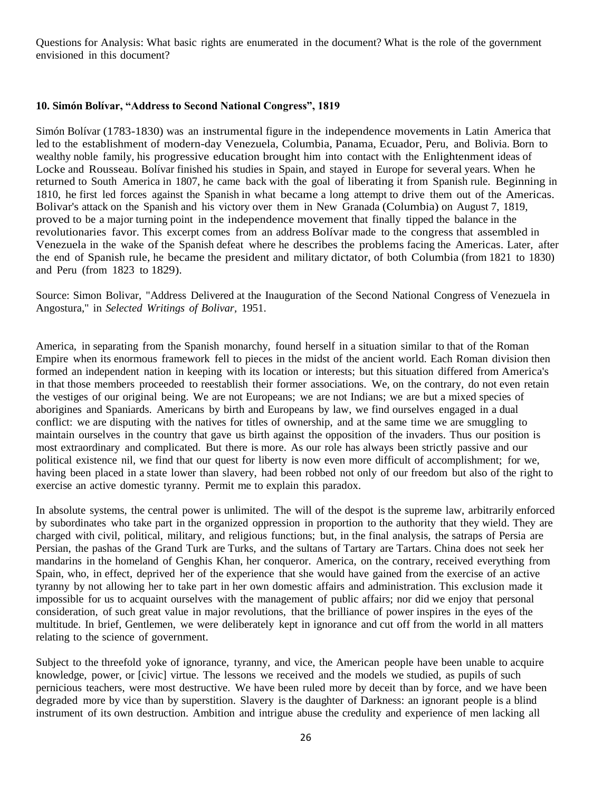Questions for Analysis: What basic rights are enumerated in the document? What is the role of the government envisioned in this document?

#### **10. Simón Bolívar, "Address to Second National Congress", 1819**

Simón Bolívar (1783-1830) was an instrumental figure in the independence movements in Latin America that led to the establishment of modern-day Venezuela, Columbia, Panama, Ecuador, Peru, and Bolivia. Born to wealthy noble family, his progressive education brought him into contact with the Enlightenment ideas of Locke and Rousseau. Bolívar finished his studies in Spain, and stayed in Europe for several years. When he returned to South America in 1807, he came back with the goal of liberating it from Spanish rule. Beginning in 1810, he first led forces against the Spanish in what became a long attempt to drive them out of the Americas. Bolivar's attack on the Spanish and his victory over them in New Granada (Columbia) on August 7, 1819, proved to be a major turning point in the independence movement that finally tipped the balance in the revolutionaries favor. This excerpt comes from an address Bolívar made to the congress that assembled in Venezuela in the wake of the Spanish defeat where he describes the problems facing the Americas. Later, after the end of Spanish rule, he became the president and military dictator, of both Columbia (from 1821 to 1830) and Peru (from 1823 to 1829).

Source: Simon Bolivar, "Address Delivered at the Inauguration of the Second National Congress of Venezuela in Angostura," in *Selected Writings of Bolivar,* 1951.

America, in separating from the Spanish monarchy, found herself in a situation similar to that of the Roman Empire when its enormous framework fell to pieces in the midst of the ancient world. Each Roman division then formed an independent nation in keeping with its location or interests; but this situation differed from America's in that those members proceeded to reestablish their former associations. We, on the contrary, do not even retain the vestiges of our original being. We are not Europeans; we are not Indians; we are but a mixed species of aborigines and Spaniards. Americans by birth and Europeans by law, we find ourselves engaged in a dual conflict: we are disputing with the natives for titles of ownership, and at the same time we are smuggling to maintain ourselves in the country that gave us birth against the opposition of the invaders. Thus our position is most extraordinary and complicated. But there is more. As our role has always been strictly passive and our political existence nil, we find that our quest for liberty is now even more difficult of accomplishment; for we, having been placed in a state lower than slavery, had been robbed not only of our freedom but also of the right to exercise an active domestic tyranny. Permit me to explain this paradox.

In absolute systems, the central power is unlimited. The will of the despot is the supreme law, arbitrarily enforced by subordinates who take part in the organized oppression in proportion to the authority that they wield. They are charged with civil, political, military, and religious functions; but, in the final analysis, the satraps of Persia are Persian, the pashas of the Grand Turk are Turks, and the sultans of Tartary are Tartars. China does not seek her mandarins in the homeland of Genghis Khan, her conqueror. America, on the contrary, received everything from Spain, who, in effect, deprived her of the experience that she would have gained from the exercise of an active tyranny by not allowing her to take part in her own domestic affairs and administration. This exclusion made it impossible for us to acquaint ourselves with the management of public affairs; nor did we enjoy that personal consideration, of such great value in major revolutions, that the brilliance of power inspires in the eyes of the multitude. In brief, Gentlemen, we were deliberately kept in ignorance and cut off from the world in all matters relating to the science of government.

Subject to the threefold yoke of ignorance, tyranny, and vice, the American people have been unable to acquire knowledge, power, or [civic] virtue. The lessons we received and the models we studied, as pupils of such pernicious teachers, were most destructive. We have been ruled more by deceit than by force, and we have been degraded more by vice than by superstition. Slavery is the daughter of Darkness: an ignorant people is a blind instrument of its own destruction. Ambition and intrigue abuse the credulity and experience of men lacking all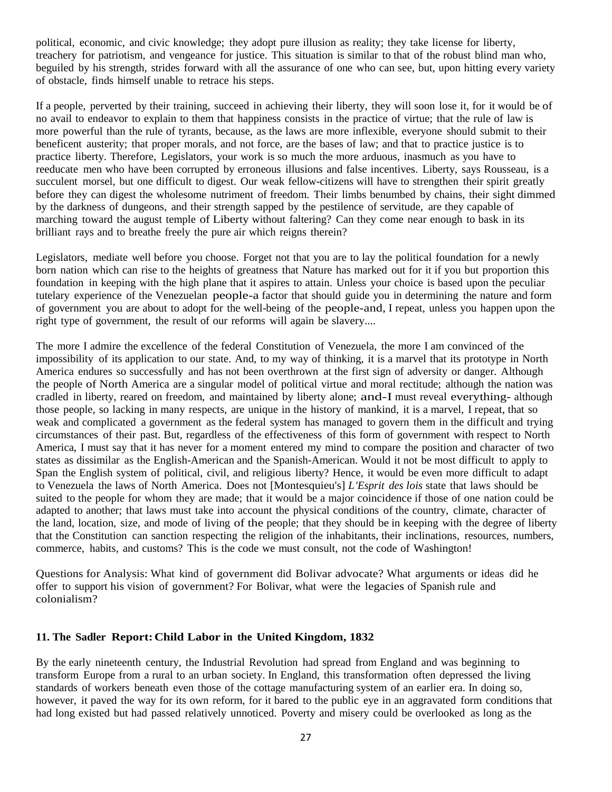political, economic, and civic knowledge; they adopt pure illusion as reality; they take license for liberty, treachery for patriotism, and vengeance for justice. This situation is similar to that of the robust blind man who, beguiled by his strength, strides forward with all the assurance of one who can see, but, upon hitting every variety of obstacle, finds himself unable to retrace his steps.

If a people, perverted by their training, succeed in achieving their liberty, they will soon lose it, for it would be of no avail to endeavor to explain to them that happiness consists in the practice of virtue; that the rule of law is more powerful than the rule of tyrants, because, as the laws are more inflexible, everyone should submit to their beneficent austerity; that proper morals, and not force, are the bases of law; and that to practice justice is to practice liberty. Therefore, Legislators, your work is so much the more arduous, inasmuch as you have to reeducate men who have been corrupted by erroneous illusions and false incentives. Liberty, says Rousseau, is a succulent morsel, but one difficult to digest. Our weak fellow-citizens will have to strengthen their spirit greatly before they can digest the wholesome nutriment of freedom. Their limbs benumbed by chains, their sight dimmed by the darkness of dungeons, and their strength sapped by the pestilence of servitude, are they capable of marching toward the august temple of Liberty without faltering? Can they come near enough to bask in its brilliant rays and to breathe freely the pure air which reigns therein?

Legislators, mediate well before you choose. Forget not that you are to lay the political foundation for a newly born nation which can rise to the heights of greatness that Nature has marked out for it if you but proportion this foundation in keeping with the high plane that it aspires to attain. Unless your choice is based upon the peculiar tutelary experience of the Venezuelan people-a factor that should guide you in determining the nature and form of government you are about to adopt for the well-being of the people-and, I repeat, unless you happen upon the right type of government, the result of our reforms will again be slavery....

The more I admire the excellence of the federal Constitution of Venezuela, the more I am convinced of the impossibility of its application to our state. And, to my way of thinking, it is a marvel that its prototype in North America endures so successfully and has not been overthrown at the first sign of adversity or danger. Although the people of North America are a singular model of political virtue and moral rectitude; although the nation was cradled in liberty, reared on freedom, and maintained by liberty alone; and-I must reveal everything- although those people, so lacking in many respects, are unique in the history of mankind, it is a marvel, I repeat, that so weak and complicated a government as the federal system has managed to govern them in the difficult and trying circumstances of their past. But, regardless of the effectiveness of this form of government with respect to North America, I must say that it has never for a moment entered my mind to compare the position and character of two states as dissimilar as the English-American and the Spanish-American. Would it not be most difficult to apply to Span the English system of political, civil, and religious liberty? Hence, it would be even more difficult to adapt to Venezuela the laws of North America. Does not [Montesquieu's] *L'Esprit des lois* state that laws should be suited to the people for whom they are made; that it would be a major coincidence if those of one nation could be adapted to another; that laws must take into account the physical conditions of the country, climate, character of the land, location, size, and mode of living of the people; that they should be in keeping with the degree of liberty that the Constitution can sanction respecting the religion of the inhabitants, their inclinations, resources, numbers, commerce, habits, and customs? This is the code we must consult, not the code of Washington!

Questions for Analysis: What kind of government did Bolivar advocate? What arguments or ideas did he offer to support his vision of government? For Bolivar, what were the legacies of Spanish rule and colonialism?

#### **11. The Sadler Report:Child Labor in the United Kingdom, 1832**

By the early nineteenth century, the Industrial Revolution had spread from England and was beginning to transform Europe from a rural to an urban society. In England, this transformation often depressed the living standards of workers beneath even those of the cottage manufacturing system of an earlier era. In doing so, however, it paved the way for its own reform, for it bared to the public eye in an aggravated form conditions that had long existed but had passed relatively unnoticed. Poverty and misery could be overlooked as long as the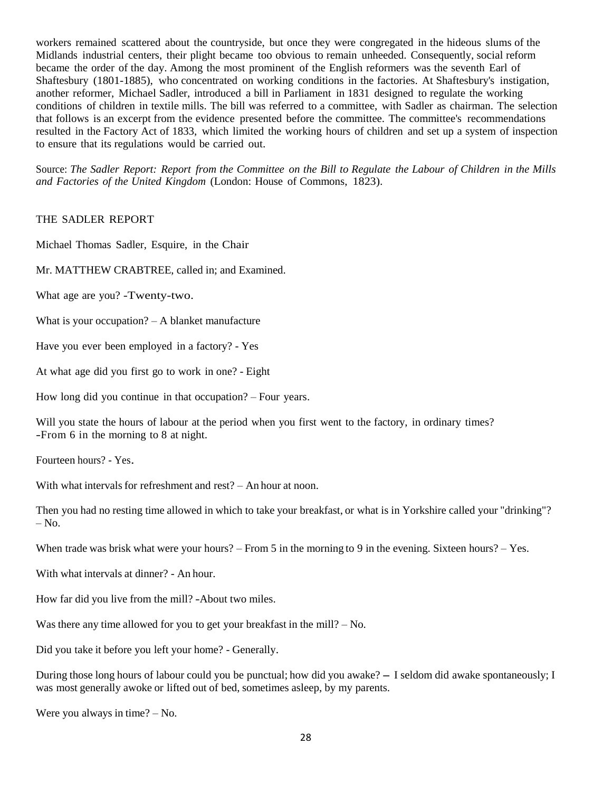workers remained scattered about the countryside, but once they were congregated in the hideous slums of the Midlands industrial centers, their plight became too obvious to remain unheeded. Consequently, social reform became the order of the day. Among the most prominent of the English reformers was the seventh Earl of Shaftesbury (1801-1885), who concentrated on working conditions in the factories. At Shaftesbury's instigation, another reformer, Michael Sadler, introduced a bill in Parliament in 1831 designed to regulate the working conditions of children in textile mills. The bill was referred to a committee, with Sadler as chairman. The selection that follows is an excerpt from the evidence presented before the committee. The committee's recommendations resulted in the Factory Act of 1833, which limited the working hours of children and set up a system of inspection to ensure that its regulations would be carried out.

Source: The Sadler Report: Report from the Committee on the Bill to Regulate the Labour of Children in the Mills *and Factories of the United Kingdom* (London: House of Commons, 1823).

## THE SADLER REPORT

Michael Thomas Sadler, Esquire, in the Chair

Mr. MATTHEW CRABTREE, called in; and Examined.

What age are you? -Twenty-two.

What is your occupation?  $- A$  blanket manufacture

Have you ever been employed in a factory? - Yes

At what age did you first go to work in one? - Eight

How long did you continue in that occupation? – Four years.

Will you state the hours of labour at the period when you first went to the factory, in ordinary times? -From 6 in the morning to 8 at night.

Fourteen hours? - Yes.

With what intervals for refreshment and rest?  $-$  An hour at noon.

Then you had no resting time allowed in which to take your breakfast, or what is in Yorkshire called your "drinking"?  $-$  No.

When trade was brisk what were your hours? – From 5 in the morning to 9 in the evening. Sixteen hours? – Yes.

With what intervals at dinner? - An hour.

How far did you live from the mill? -About two miles.

Was there any time allowed for you to get your breakfast in the mill? – No.

Did you take it before you left your home? - Generally.

During those long hours of labour could you be punctual; how did you awake?  $-$  I seldom did awake spontaneously; I was most generally awoke or lifted out of bed, sometimes asleep, by my parents.

Were you always in time? – No.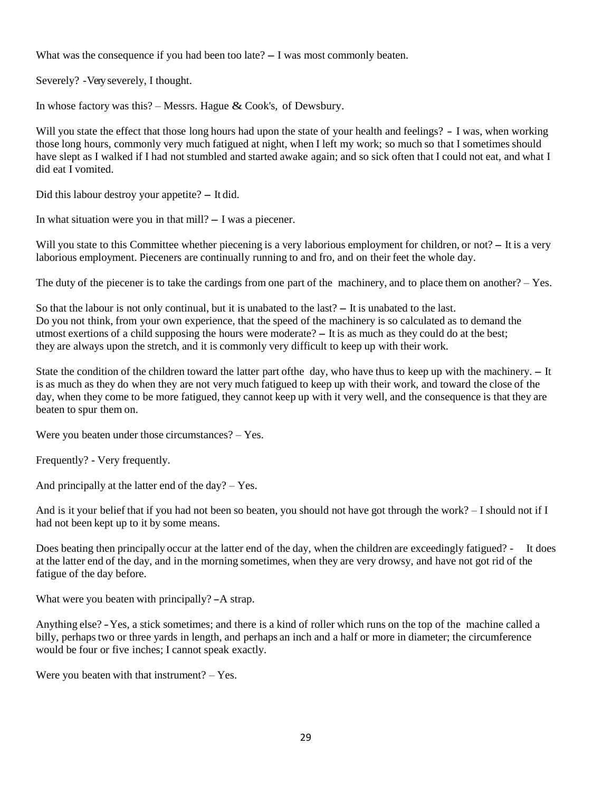What was the consequence if you had been too late?  $-$  I was most commonly beaten.

Severely? -Very severely, I thought.

In whose factory was this? – Messrs. Hague & Cook's, of Dewsbury.

Will you state the effect that those long hours had upon the state of your health and feelings? - I was, when working those long hours, commonly very much fatigued at night, when I left my work; so much so that I sometimes should have slept as I walked if I had not stumbled and started awake again; and so sick often that I could not eat, and what I did eat I vomited.

Did this labour destroy your appetite? - It did.

In what situation were you in that  $mill? - I$  was a piecener.

Will you state to this Committee whether piecening is a very laborious employment for children, or not?  $-$  It is a very laborious employment. Pieceners are continually running to and fro, and on their feet the whole day.

The duty of the piecener is to take the cardings from one part of the machinery, and to place them on another?  $-$  Yes.

So that the labour is not only continual, but it is unabated to the last?  $-$  It is unabated to the last. Do you not think, from your own experience, that the speed of the machinery is so calculated as to demand the utmost exertions of a child supposing the hours were moderate?  $-$  It is as much as they could do at the best; they are always upon the stretch, and it is commonly very difficult to keep up with their work.

State the condition of the children toward the latter part of the day, who have thus to keep up with the machinery.  $-$  It is as much as they do when they are not very much fatigued to keep up with their work, and toward the close of the day, when they come to be more fatigued, they cannot keep up with it very well, and the consequence is that they are beaten to spur them on.

Were you beaten under those circumstances? – Yes.

Frequently? - Very frequently.

And principally at the latter end of the day? – Yes.

And is it your belief that if you had not been so beaten, you should not have got through the work? – I should not if I had not been kept up to it by some means.

Does beating then principally occur at the latter end of the day, when the children are exceedingly fatigued? - It does at the latter end of the day, and in the morning sometimes, when they are very drowsy, and have not got rid of the fatigue of the day before.

What were you beaten with principally? - A strap.

Anything else? -Yes, a stick sometimes; and there is a kind of roller which runs on the top of the machine called a billy, perhaps two or three yards in length, and perhaps an inch and a half or more in diameter; the circumference would be four or five inches; I cannot speak exactly.

Were you beaten with that instrument? – Yes.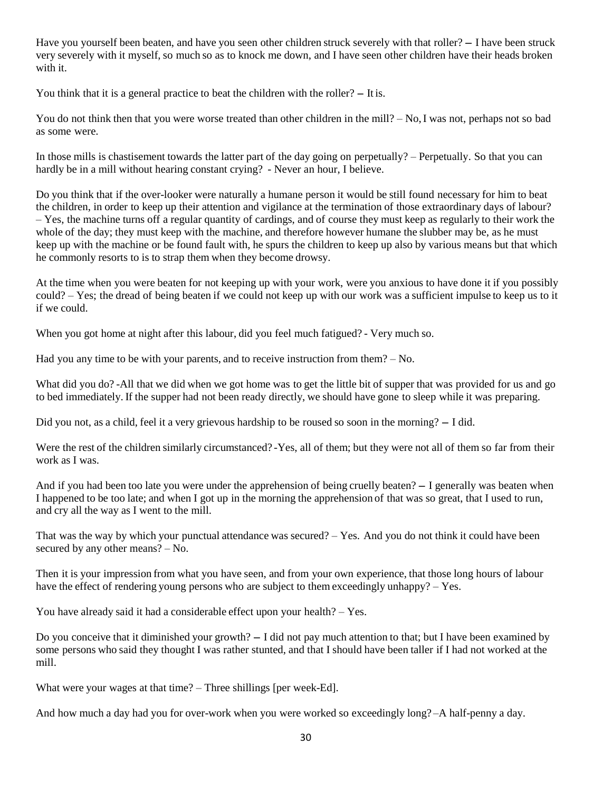Have you yourself been beaten, and have you seen other children struck severely with that roller? – I have been struck very severely with it myself, so much so as to knock me down, and I have seen other children have their heads broken with it.

You think that it is a general practice to beat the children with the roller?  $-$  It is.

You do not think then that you were worse treated than other children in the mill? – No, I was not, perhaps not so bad as some were.

In those mills is chastisement towards the latter part of the day going on perpetually? – Perpetually. So that you can hardly be in a mill without hearing constant crying? - Never an hour, I believe.

Do you think that if the over-looker were naturally a humane person it would be still found necessary for him to beat the children, in order to keep up their attention and vigilance at the termination of those extraordinary days of labour? – Yes, the machine turns off a regular quantity of cardings, and of course they must keep as regularly to their work the whole of the day; they must keep with the machine, and therefore however humane the slubber may be, as he must keep up with the machine or be found fault with, he spurs the children to keep up also by various means but that which he commonly resorts to is to strap them when they become drowsy.

At the time when you were beaten for not keeping up with your work, were you anxious to have done it if you possibly could? – Yes; the dread of being beaten if we could not keep up with our work was a sufficient impulse to keep us to it if we could.

When you got home at night after this labour, did you feel much fatigued? - Very much so.

Had you any time to be with your parents, and to receive instruction from them? – No.

What did you do? -All that we did when we got home was to get the little bit of supper that was provided for us and go to bed immediately. If the supper had not been ready directly, we should have gone to sleep while it was preparing.

Did you not, as a child, feel it a very grievous hardship to be roused so soon in the morning? -I did.

Were the rest of the children similarly circumstanced? -Yes, all of them; but they were not all of them so far from their work as I was.

And if you had been too late you were under the apprehension of being cruelly beaten?  $-1$  generally was beaten when I happened to be too late; and when I got up in the morning the apprehension of that was so great, that I used to run, and cry all the way as I went to the mill.

That was the way by which your punctual attendance was secured? – Yes. And you do not think it could have been secured by any other means? – No.

Then it is your impression from what you have seen, and from your own experience, that those long hours of labour have the effect of rendering young persons who are subject to them exceedingly unhappy? – Yes.

You have already said it had a considerable effect upon your health? – Yes.

Do you conceive that it diminished your growth?  $- I$  did not pay much attention to that; but I have been examined by some persons who said they thought I was rather stunted, and that I should have been taller if I had not worked at the mill.

What were your wages at that time? – Three shillings [per week-Ed].

And how much a day had you for over-work when you were worked so exceedingly long? –A half-penny a day.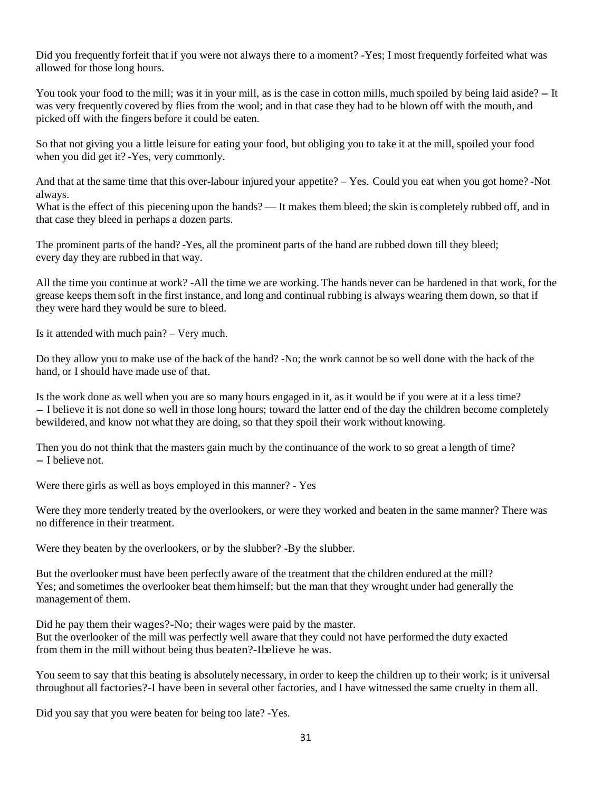Did you frequently forfeit that if you were not always there to a moment? -Yes; I most frequently forfeited what was allowed for those long hours.

You took your food to the mill; was it in your mill, as is the case in cotton mills, much spoiled by being laid aside? - It was very frequently covered by flies from the wool; and in that case they had to be blown off with the mouth, and picked off with the fingers before it could be eaten.

So that not giving you a little leisure for eating your food, but obliging you to take it at the mill, spoiled your food when you did get it? -Yes, very commonly.

And that at the same time that this over-labour injured your appetite? – Yes. Could you eat when you got home? -Not always.

What is the effect of this piecening upon the hands? —It makes them bleed; the skin is completely rubbed off, and in that case they bleed in perhaps a dozen parts.

The prominent parts of the hand? -Yes, all the prominent parts of the hand are rubbed down till they bleed; every day they are rubbed in that way.

All the time you continue at work? -All the time we are working. The hands never can be hardened in that work, for the grease keeps them soft in the first instance, and long and continual rubbing is always wearing them down, so that if they were hard they would be sure to bleed.

Is it attended with much pain? – Very much.

Do they allow you to make use of the back of the hand? -No; the work cannot be so well done with the back of the hand, or I should have made use of that.

Is the work done as well when you are so many hours engaged in it, as it would be if you were at it a less time? -I believe it is not done so well in those long hours; toward the latter end of the day the children become completely bewildered, and know not what they are doing, so that they spoil their work without knowing.

Then you do not think that the masters gain much by the continuance of the work to so great a length of time? - I believe not.

Were there girls as well as boys employed in this manner? - Yes

Were they more tenderly treated by the overlookers, or were they worked and beaten in the same manner? There was no difference in their treatment.

Were they beaten by the overlookers, or by the slubber? -By the slubber.

But the overlooker must have been perfectly aware of the treatment that the children endured at the mill? Yes; and sometimes the overlooker beat them himself; but the man that they wrought under had generally the management of them.

Did he pay them their wages?-No; their wages were paid by the master. But the overlooker of the mill was perfectly well aware that they could not have performed the duty exacted from them in the mill without being thus beaten?-I believe he was.

You seem to say that this beating is absolutely necessary, in order to keep the children up to their work; is it universal throughout all factories?-I have been in several other factories, and I have witnessed the same cruelty in them all.

Did you say that you were beaten for being too late? -Yes.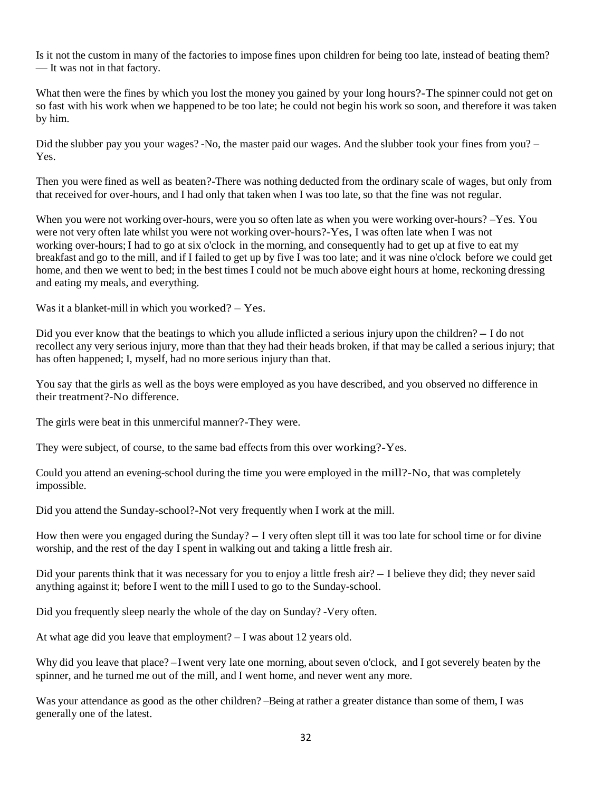Is it not the custom in many of the factories to impose fines upon children for being too late, instead of beating them? –It was not in that factory.

What then were the fines by which you lost the money you gained by your long hours?-The spinner could not get on so fast with his work when we happened to be too late; he could not begin his work so soon, and therefore it was taken by him.

Did the slubber pay you your wages? -No, the master paid our wages. And the slubber took your fines from you? – Yes.

Then you were fined as well as beaten?-There was nothing deducted from the ordinary scale of wages, but only from that received for over-hours, and I had only that taken when I was too late, so that the fine was not regular.

When you were not working over-hours, were you so often late as when you were working over-hours? –Yes. You were not very often late whilst you were not working over-hours?-Yes, I was often late when I was not working over-hours; I had to go at six o'clock in the morning, and consequently had to get up at five to eat my breakfast and go to the mill, and if I failed to get up by five I was too late; and it was nine o'clock before we could get home, and then we went to bed; in the best times I could not be much above eight hours at home, reckoning dressing and eating my meals, and everything.

Was it a blanket-mill in which you worked? – Yes.

Did you ever know that the beatings to which you allude inflicted <sup>a</sup> serious injury upon the children? -I do not recollect any very serious injury, more than that they had their heads broken, if that may be called a serious injury; that has often happened; I, myself, had no more serious injury than that.

You say that the girls as well as the boys were employed as you have described, and you observed no difference in their treatment?-No difference.

The girls were beat in this unmerciful manner?-They were.

They were subject, of course, to the same bad effects from this over working?-Yes.

Could you attend an evening-school during the time you were employed in the mill?-No, that was completely impossible.

Did you attend the Sunday-school?-Not very frequently when I work at the mill.

How then were you engaged during the Sunday?  $-1$  very often slept till it was too late for school time or for divine worship, and the rest of the day I spent in walking out and taking a little fresh air.

Did your parents think that it was necessary for you to enjoy a little fresh air?  $-1$  believe they did; they never said anything against it; before I went to the mill I used to go to the Sunday-school.

Did you frequently sleep nearly the whole of the day on Sunday? -Very often.

At what age did you leave that employment? – I was about 12 years old.

Why did you leave that place? –I went very late one morning, about seven o'clock, and I got severely beaten by the spinner, and he turned me out of the mill, and I went home, and never went any more.

Was your attendance as good as the other children? –Being at rather a greater distance than some of them, I was generally one of the latest.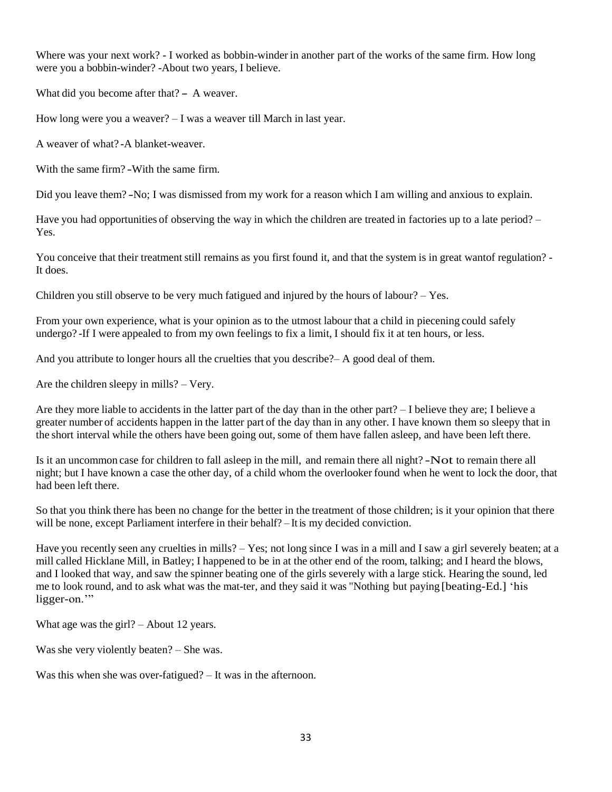Where was your next work? - I worked as bobbin-winder in another part of the works of the same firm. How long were you a bobbin-winder? -About two years, I believe.

What did you become after that? - A weaver.

How long were you a weaver? – I was a weaver till March in last year.

A weaver of what? -A blanket-weaver.

With the same firm? -With the same firm.

Did you leave them? -No; I was dismissed from my work for a reason which I am willing and anxious to explain.

Have you had opportunities of observing the way in which the children are treated in factories up to a late period? – Yes.

You conceive that their treatment still remains as you first found it, and that the system is in great wantof regulation? It does.

Children you still observe to be very much fatigued and injured by the hours of labour?  $-$  Yes.

From your own experience, what is your opinion as to the utmost labour that a child in piecening could safely undergo? -If I were appealed to from my own feelings to fix a limit, I should fix it at ten hours, or less.

And you attribute to longer hours all the cruelties that you describe?– A good deal of them.

Are the children sleepy in mills? – Very.

Are they more liable to accidents in the latter part of the day than in the other part? – I believe they are; I believe a greater number of accidents happen in the latter part of the day than in any other. I have known them so sleepy that in the short interval while the others have been going out, some of them have fallen asleep, and have been left there.

Is it an uncommon case for children to fall asleep in the mill, and remain there all night? -Not to remain there all night; but I have known a case the other day, of a child whom the overlooker found when he went to lock the door, that had been left there.

So that you think there has been no change for the better in the treatment of those children; is it your opinion that there will be none, except Parliament interfere in their behalf? – It is my decided conviction.

Have you recently seen any cruelties in mills?  $-$  Yes; not long since I was in a mill and I saw a girl severely beaten; at a mill called Hicklane Mill, in Batley; I happened to be in at the other end of the room, talking; and I heard the blows, and I looked that way, and saw the spinner beating one of the girls severely with a large stick. Hearing the sound, led me to look round, and to ask what was the mat-ter, and they said it was "Nothing but paying [beating-Ed.] 'his ligger-on."

What age was the girl? – About 12 years.

Was she very violently beaten? – She was.

Was this when she was over-fatigued? – It was in the afternoon.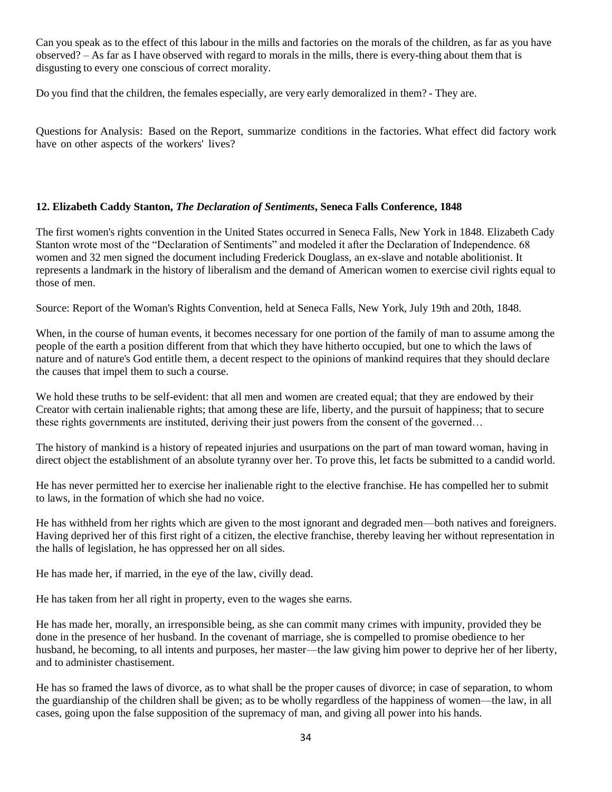Can you speak as to the effect of this labour in the mills and factories on the morals of the children, as far as you have observed? – As far as I have observed with regard to morals in the mills, there is every-thing about them that is disgusting to every one conscious of correct morality.

Do you find that the children, the females especially, are very early demoralized in them? - They are.

Questions for Analysis: Based on the Report, summarize conditions in the factories. What effect did factory work have on other aspects of the workers' lives?

# **12. Elizabeth Caddy Stanton,** *The Declaration of Sentiments***, Seneca Falls Conference, 1848**

The first women's rights convention in the United States occurred in Seneca Falls, New York in 1848. Elizabeth Cady Stanton wrote most of the "Declaration of Sentiments" and modeled it after the Declaration of Independence. 68 women and 32 men signed the document including Frederick Douglass, an ex-slave and notable abolitionist. It represents a landmark in the history of liberalism and the demand of American women to exercise civil rights equal to those of men.

Source: Report of the Woman's Rights Convention, held at Seneca Falls, New York, July 19th and 20th, 1848.

When, in the course of human events, it becomes necessary for one portion of the family of man to assume among the people of the earth a position different from that which they have hitherto occupied, but one to which the laws of nature and of nature's God entitle them, a decent respect to the opinions of mankind requires that they should declare the causes that impel them to such a course.

We hold these truths to be self-evident: that all men and women are created equal; that they are endowed by their Creator with certain inalienable rights; that among these are life, liberty, and the pursuit of happiness; that to secure these rights governments are instituted, deriving their just powers from the consent of the governed…

The history of mankind is a history of repeated injuries and usurpations on the part of man toward woman, having in direct object the establishment of an absolute tyranny over her. To prove this, let facts be submitted to a candid world.

He has never permitted her to exercise her inalienable right to the elective franchise. He has compelled her to submit to laws, in the formation of which she had no voice.

He has withheld from her rights which are given to the most ignorant and degraded men—both natives and foreigners. Having deprived her of this first right of a citizen, the elective franchise, thereby leaving her without representation in the halls of legislation, he has oppressed her on all sides.

He has made her, if married, in the eye of the law, civilly dead.

He has taken from her all right in property, even to the wages she earns.

He has made her, morally, an irresponsible being, as she can commit many crimes with impunity, provided they be done in the presence of her husband. In the covenant of marriage, she is compelled to promise obedience to her husband, he becoming, to all intents and purposes, her master—the law giving him power to deprive her of her liberty, and to administer chastisement.

He has so framed the laws of divorce, as to what shall be the proper causes of divorce; in case of separation, to whom the guardianship of the children shall be given; as to be wholly regardless of the happiness of women—the law, in all cases, going upon the false supposition of the supremacy of man, and giving all power into his hands.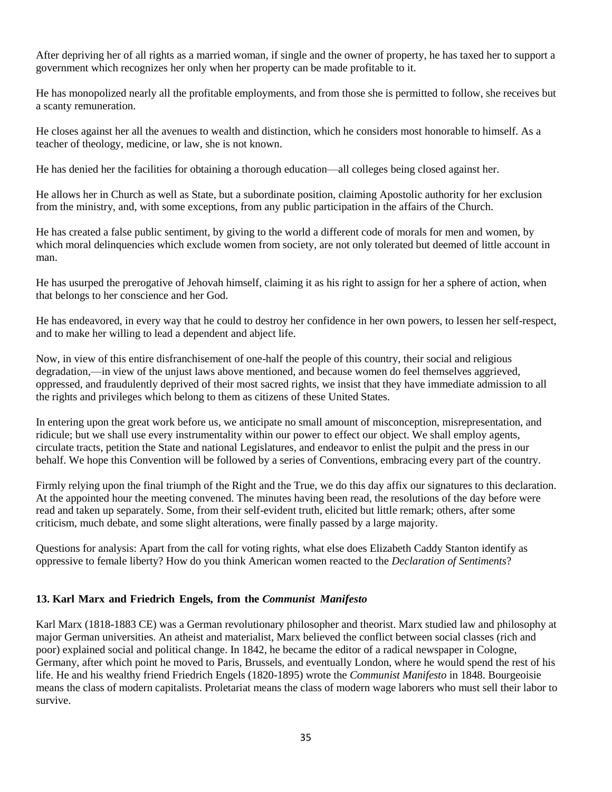After depriving her of all rights as a married woman, if single and the owner of property, he has taxed her to support a government which recognizes her only when her property can be made profitable to it.

He has monopolized nearly all the profitable employments, and from those she is permitted to follow, she receives but a scanty remuneration.

He closes against her all the avenues to wealth and distinction, which he considers most honorable to himself. As a teacher of theology, medicine, or law, she is not known.

He has denied her the facilities for obtaining a thorough education—all colleges being closed against her.

He allows her in Church as well as State, but a subordinate position, claiming Apostolic authority for her exclusion from the ministry, and, with some exceptions, from any public participation in the affairs of the Church.

He has created a false public sentiment, by giving to the world a different code of morals for men and women, by which moral delinquencies which exclude women from society, are not only tolerated but deemed of little account in man.

He has usurped the prerogative of Jehovah himself, claiming it as his right to assign for her a sphere of action, when that belongs to her conscience and her God.

He has endeavored, in every way that he could to destroy her confidence in her own powers, to lessen her self-respect, and to make her willing to lead a dependent and abject life.

Now, in view of this entire disfranchisement of one-half the people of this country, their social and religious degradation,—in view of the unjust laws above mentioned, and because women do feel themselves aggrieved, oppressed, and fraudulently deprived of their most sacred rights, we insist that they have immediate admission to all the rights and privileges which belong to them as citizens of these United States.

In entering upon the great work before us, we anticipate no small amount of misconception, misrepresentation, and ridicule; but we shall use every instrumentality within our power to effect our object. We shall employ agents, circulate tracts, petition the State and national Legislatures, and endeavor to enlist the pulpit and the press in our behalf. We hope this Convention will be followed by a series of Conventions, embracing every part of the country.

Firmly relying upon the final triumph of the Right and the True, we do this day affix our signatures to this declaration. At the appointed hour the meeting convened. The minutes having been read, the resolutions of the day before were read and taken up separately. Some, from their self-evident truth, elicited but little remark; others, after some criticism, much debate, and some slight alterations, were finally passed by a large majority.

Questions for analysis: Apart from the call for voting rights, what else does Elizabeth Caddy Stanton identify as oppressive to female liberty? How do you think American women reacted to the *Declaration of Sentiments*?

## **13. Karl Marx and Friedrich Engels, from the** *Communist Manifesto*

Karl Marx (1818-1883 CE) was a German revolutionary philosopher and theorist. Marx studied law and philosophy at major German universities. An atheist and materialist, Marx believed the conflict between social classes (rich and poor) explained social and political change. In 1842, he became the editor of a radical newspaper in Cologne, Germany, after which point he moved to Paris, Brussels, and eventually London, where he would spend the rest of his life. He and his wealthy friend Friedrich Engels (1820-1895) wrote the *Communist Manifesto* in 1848. Bourgeoisie means the class of modern capitalists. Proletariat means the class of modern wage laborers who must sell their labor to survive.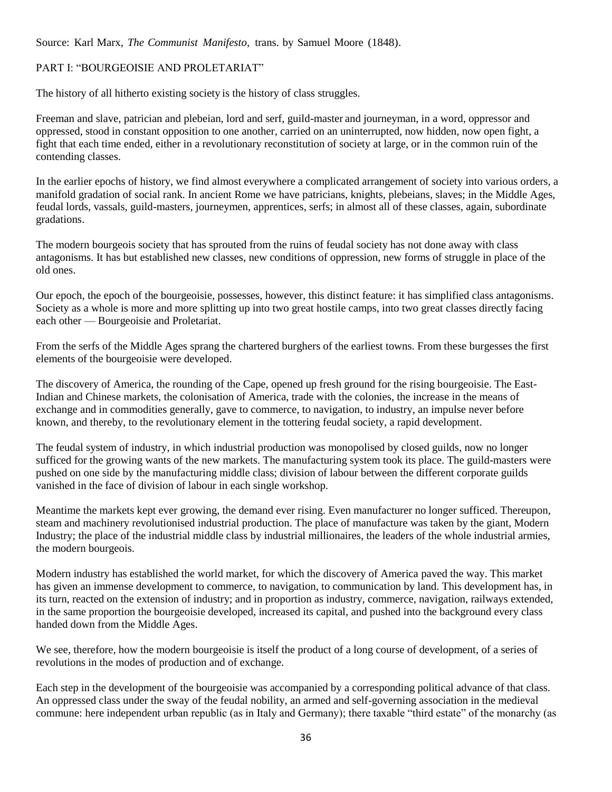Source: Karl Marx, *The Communist Manifesto,* trans. by Samuel Moore (1848).

# PART I: "BOURGEOISIE AND PROLETARIAT"

The history of all hitherto existing society is the history of class struggles.

Freeman and slave, patrician and plebeian, lord and serf, guild-master and journeyman, in a word, oppressor and oppressed, stood in constant opposition to one another, carried on an uninterrupted, now hidden, now open fight, a fight that each time ended, either in a revolutionary reconstitution of society at large, or in the common ruin of the contending classes.

In the earlier epochs of history, we find almost everywhere a complicated arrangement of society into various orders, a manifold gradation of social rank. In ancient Rome we have patricians, knights, plebeians, slaves; in the Middle Ages, feudal lords, vassals, guild-masters, journeymen, apprentices, serfs; in almost all of these classes, again, subordinate gradations.

The modern bourgeois society that has sprouted from the ruins of feudal society has not done away with class antagonisms. It has but established new classes, new conditions of oppression, new forms of struggle in place of the old ones.

Our epoch, the epoch of the bourgeoisie, possesses, however, this distinct feature: it has simplified class antagonisms. Society as a whole is more and more splitting up into two great hostile camps, into two great classes directly facing each other — Bourgeoisie and Proletariat.

From the serfs of the Middle Ages sprang the chartered burghers of the earliest towns. From these burgesses the first elements of the bourgeoisie were developed.

The discovery of America, the rounding of the Cape, opened up fresh ground for the rising bourgeoisie. The East-Indian and Chinese markets, the colonisation of America, trade with the colonies, the increase in the means of exchange and in commodities generally, gave to commerce, to navigation, to industry, an impulse never before known, and thereby, to the revolutionary element in the tottering feudal society, a rapid development.

The feudal system of industry, in which industrial production was monopolised by closed guilds, now no longer sufficed for the growing wants of the new markets. The manufacturing system took its place. The guild-masters were pushed on one side by the manufacturing middle class; division of labour between the different corporate guilds vanished in the face of division of labour in each single workshop.

Meantime the markets kept ever growing, the demand ever rising. Even manufacturer no longer sufficed. Thereupon, steam and machinery revolutionised industrial production. The place of manufacture was taken by the giant, Modern Industry; the place of the industrial middle class by industrial millionaires, the leaders of the whole industrial armies, the modern bourgeois.

Modern industry has established the world market, for which the discovery of America paved the way. This market has given an immense development to commerce, to navigation, to communication by land. This development has, in its turn, reacted on the extension of industry; and in proportion as industry, commerce, navigation, railways extended, in the same proportion the bourgeoisie developed, increased its capital, and pushed into the background every class handed down from the Middle Ages.

We see, therefore, how the modern bourgeoisie is itself the product of a long course of development, of a series of revolutions in the modes of production and of exchange.

Each step in the development of the bourgeoisie was accompanied by a corresponding political advance of that class. An oppressed class under the sway of the feudal nobility, an armed and self-governing association in the medieval commune: here independent urban republic (as in Italy and Germany); there taxable "third estate" of the monarchy (as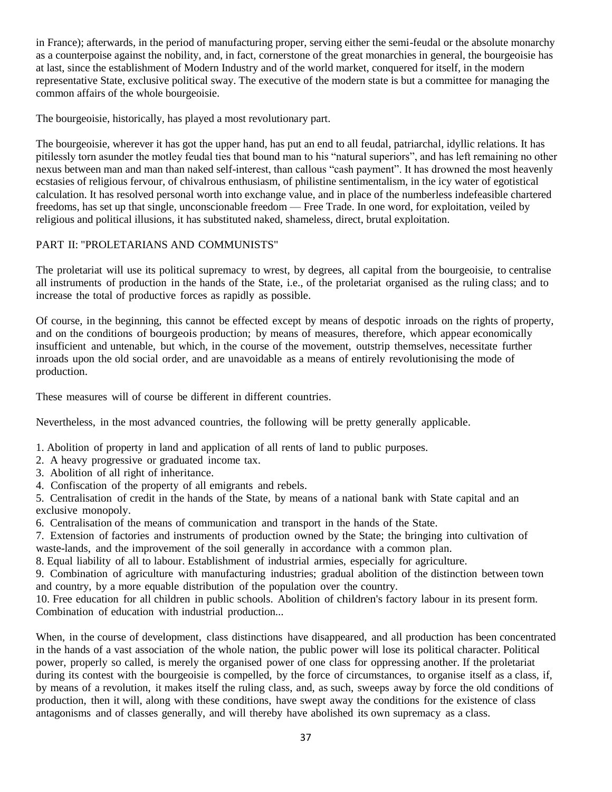in France); afterwards, in the period of manufacturing proper, serving either the semi-feudal or the absolute monarchy as a counterpoise against the nobility, and, in fact, cornerstone of the great monarchies in general, the bourgeoisie has at last, since the establishment of Modern Industry and of the world market, conquered for itself, in the modern representative State, exclusive political sway. The executive of the modern state is but a committee for managing the common affairs of the whole bourgeoisie.

The bourgeoisie, historically, has played a most revolutionary part.

The bourgeoisie, wherever it has got the upper hand, has put an end to all feudal, patriarchal, idyllic relations. It has pitilessly torn asunder the motley feudal ties that bound man to his "natural superiors", and has left remaining no other nexus between man and man than naked self-interest, than callous "cash payment". It has drowned the most heavenly ecstasies of religious fervour, of chivalrous enthusiasm, of philistine sentimentalism, in the icy water of egotistical calculation. It has resolved personal worth into exchange value, and in place of the numberless indefeasible chartered freedoms, has set up that single, unconscionable freedom — Free Trade. In one word, for exploitation, veiled by religious and political illusions, it has substituted naked, shameless, direct, brutal exploitation.

# PART II: "PROLETARIANS AND COMMUNISTS"

The proletariat will use its political supremacy to wrest, by degrees, all capital from the bourgeoisie, to centralise all instruments of production in the hands of the State, i.e., of the proletariat organised as the ruling class; and to increase the total of productive forces as rapidly as possible.

Of course, in the beginning, this cannot be effected except by means of despotic inroads on the rights of property, and on the conditions of bourgeois production; by means of measures, therefore, which appear economically insufficient and untenable, but which, in the course of the movement, outstrip themselves, necessitate further inroads upon the old social order, and are unavoidable as a means of entirely revolutionising the mode of production.

These measures will of course be different in different countries.

Nevertheless, in the most advanced countries, the following will be pretty generally applicable.

- 1. Abolition of property in land and application of all rents of land to public purposes.
- 2. A heavy progressive or graduated income tax.
- 3. Abolition of all right of inheritance.
- 4. Confiscation of the property of all emigrants and rebels.
- 5. Centralisation of credit in the hands of the State, by means of a national bank with State capital and an exclusive monopoly.
- 6. Centralisation of the means of communication and transport in the hands of the State.

7. Extension of factories and instruments of production owned by the State; the bringing into cultivation of waste-lands, and the improvement of the soil generally in accordance with a common plan.

8. Equal liability of all to labour. Establishment of industrial armies, especially for agriculture.

9. Combination of agriculture with manufacturing industries; gradual abolition of the distinction between town and country, by a more equable distribution of the population over the country.

10. Free education for all children in public schools. Abolition of children's factory labour in its present form. Combination of education with industrial production...

When, in the course of development, class distinctions have disappeared, and all production has been concentrated in the hands of a vast association of the whole nation, the public power will lose its political character. Political power, properly so called, is merely the organised power of one class for oppressing another. If the proletariat during its contest with the bourgeoisie is compelled, by the force of circumstances, to organise itself as a class, if, by means of a revolution, it makes itself the ruling class, and, as such, sweeps away by force the old conditions of production, then it will, along with these conditions, have swept away the conditions for the existence of class antagonisms and of classes generally, and will thereby have abolished its own supremacy as a class.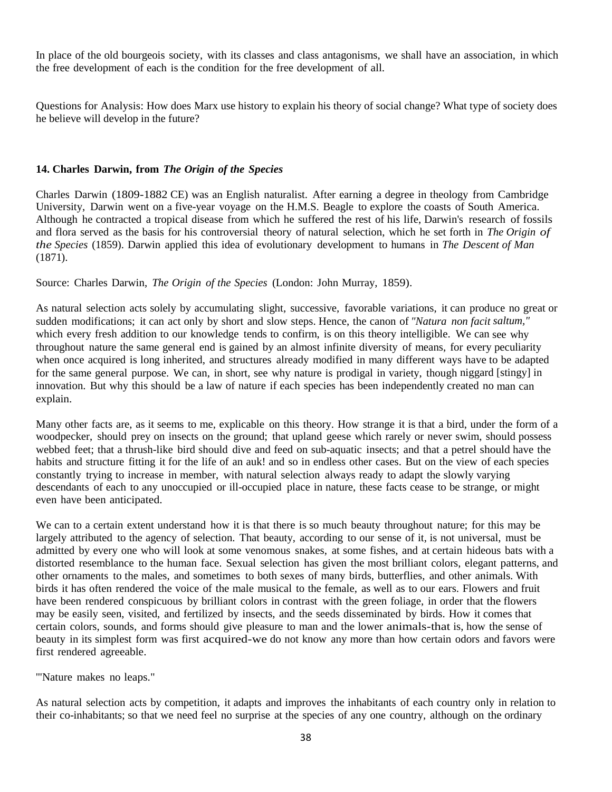In place of the old bourgeois society, with its classes and class antagonisms, we shall have an association, in which the free development of each is the condition for the free development of all.

Questions for Analysis: How does Marx use history to explain his theory of social change? What type of society does he believe will develop in the future?

### **14. Charles Darwin, from** *The Origin of the Species*

Charles Darwin (1809-1882 CE) was an English naturalist. After earning a degree in theology from Cambridge University, Darwin went on a five-year voyage on the H.M.S. Beagle to explore the coasts of South America. Although he contracted a tropical disease from which he suffered the rest of his life, Darwin's research of fossils and flora served as the basis for his controversial theory of natural selection, which he set forth in *The Origin of the Species* (1859). Darwin applied this idea of evolutionary development to humans in *The Descent of Man* (1871).

Source: Charles Darwin, *The Origin of the Species* (London: John Murray, 1859).

As natural selection acts solely by accumulating slight, successive, favorable variations, it can produce no great or sudden modifications; it can act only by short and slow steps. Hence, the canon of *"Natura non facit saltum,"* which every fresh addition to our knowledge tends to confirm, is on this theory intelligible. We can see why throughout nature the same general end is gained by an almost infinite diversity of means, for every peculiarity when once acquired is long inherited, and structures already modified in many different ways have to be adapted for the same general purpose. We can, in short, see why nature is prodigal in variety, though niggard [stingy] in innovation. But why this should be a law of nature if each species has been independently created no man can explain.

Many other facts are, as it seems to me, explicable on this theory. How strange it is that a bird, under the form of a woodpecker, should prey on insects on the ground; that upland geese which rarely or never swim, should possess webbed feet; that a thrush-like bird should dive and feed on sub-aquatic insects; and that a petrel should have the habits and structure fitting it for the life of an auk! and so in endless other cases. But on the view of each species constantly trying to increase in member, with natural selection always ready to adapt the slowly varying descendants of each to any unoccupied or ill-occupied place in nature, these facts cease to be strange, or might even have been anticipated.

We can to a certain extent understand how it is that there is so much beauty throughout nature; for this may be largely attributed to the agency of selection. That beauty, according to our sense of it, is not universal, must be admitted by every one who will look at some venomous snakes, at some fishes, and at certain hideous bats with a distorted resemblance to the human face. Sexual selection has given the most brilliant colors, elegant patterns, and other ornaments to the males, and sometimes to both sexes of many birds, butterflies, and other animals. With birds it has often rendered the voice of the male musical to the female, as well as to our ears. Flowers and fruit have been rendered conspicuous by brilliant colors in contrast with the green foliage, in order that the flowers may be easily seen, visited, and fertilized by insects, and the seeds disseminated by birds. How it comes that certain colors, sounds, and forms should give pleasure to man and the lower animals-that is, how the sense of beauty in its simplest form was first acquired-we do not know any more than how certain odors and favors were first rendered agreeable.

'"Nature makes no leaps."

As natural selection acts by competition, it adapts and improves the inhabitants of each country only in relation to their co-inhabitants; so that we need feel no surprise at the species of any one country, although on the ordinary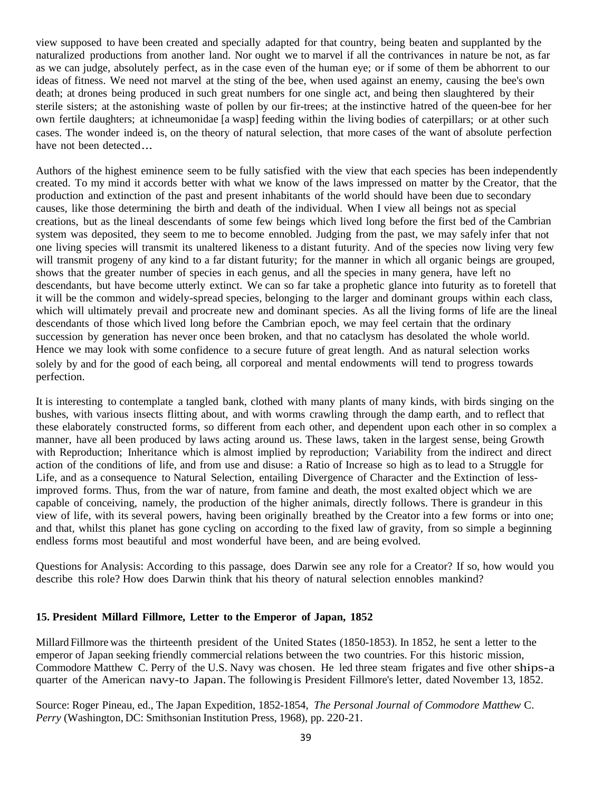view supposed to have been created and specially adapted for that country, being beaten and supplanted by the naturalized productions from another land. Nor ought we to marvel if all the contrivances in nature be not, as far as we can judge, absolutely perfect, as in the case even of the human eye; or if some of them be abhorrent to our ideas of fitness. We need not marvel at the sting of the bee, when used against an enemy, causing the bee's own death; at drones being produced in such great numbers for one single act, and being then slaughtered by their sterile sisters; at the astonishing waste of pollen by our fir-trees; at the instinctive hatred of the queen-bee for her own fertile daughters; at ichneumonidae [a wasp] feeding within the living bodies of caterpillars; or at other such cases. The wonder indeed is, on the theory of natural selection, that more cases of the want of absolute perfection have not been detected...

Authors of the highest eminence seem to be fully satisfied with the view that each species has been independently created. To my mind it accords better with what we know of the laws impressed on matter by the Creator, that the production and extinction of the past and present inhabitants of the world should have been due to secondary causes, like those determining the birth and death of the individual. When I view all beings not as special creations, but as the lineal descendants of some few beings which lived long before the first bed of the Cambrian system was deposited, they seem to me to become ennobled. Judging from the past, we may safely infer that not one living species will transmit its unaltered likeness to a distant futurity. And of the species now living very few will transmit progeny of any kind to a far distant futurity; for the manner in which all organic beings are grouped, shows that the greater number of species in each genus, and all the species in many genera, have left no descendants, but have become utterly extinct. We can so far take a prophetic glance into futurity as to foretell that it will be the common and widely-spread species, belonging to the larger and dominant groups within each class, which will ultimately prevail and procreate new and dominant species. As all the living forms of life are the lineal descendants of those which lived long before the Cambrian epoch, we may feel certain that the ordinary succession by generation has never once been broken, and that no cataclysm has desolated the whole world. Hence we may look with some confidence to a secure future of great length. And as natural selection works solely by and for the good of each being, all corporeal and mental endowments will tend to progress towards perfection.

It is interesting to contemplate a tangled bank, clothed with many plants of many kinds, with birds singing on the bushes, with various insects flitting about, and with worms crawling through the damp earth, and to reflect that these elaborately constructed forms, so different from each other, and dependent upon each other in so complex a manner, have all been produced by laws acting around us. These laws, taken in the largest sense, being Growth with Reproduction; Inheritance which is almost implied by reproduction; Variability from the indirect and direct action of the conditions of life, and from use and disuse: a Ratio of Increase so high as to lead to a Struggle for Life, and as a consequence to Natural Selection, entailing Divergence of Character and the Extinction of lessimproved forms. Thus, from the war of nature, from famine and death, the most exalted object which we are capable of conceiving, namely, the production of the higher animals, directly follows. There is grandeur in this view of life, with its several powers, having been originally breathed by the Creator into a few forms or into one; and that, whilst this planet has gone cycling on according to the fixed law of gravity, from so simple a beginning endless forms most beautiful and most wonderful have been, and are being evolved.

Questions for Analysis: According to this passage, does Darwin see any role for a Creator? If so, how would you describe this role? How does Darwin think that his theory of natural selection ennobles mankind?

#### **15. President Millard Fillmore, Letter to the Emperor of Japan, 1852**

Millard Fillmore was the thirteenth president of the United States (1850-1853). In 1852, he sent a letter to the emperor of Japan seeking friendly commercial relations between the two countries. For this historic mission, Commodore Matthew C. Perry of the U.S. Navy was chosen. He led three steam frigates and five other ships-a quarter of the American navy-to Japan. The following is President Fillmore's letter, dated November 13, 1852.

Source: Roger Pineau, ed., The Japan Expedition, 1852-1854, *The Personal Journal of Commodore Matthew* C. *Perry* (Washington, DC: Smithsonian Institution Press, 1968), pp. 220-21.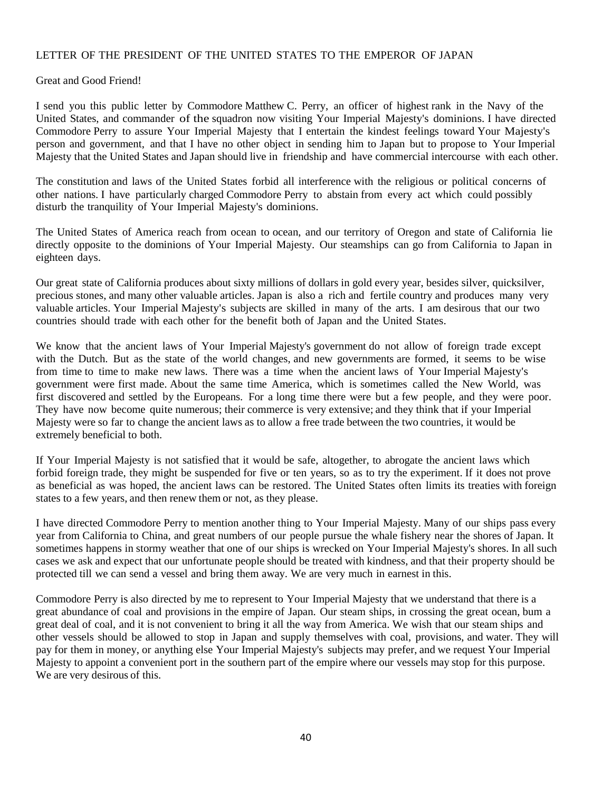## LETTER OF THE PRESIDENT OF THE UNITED STATES TO THE EMPEROR OF JAPAN

Great and Good Friend!

I send you this public letter by Commodore Matthew C. Perry, an officer of highest rank in the Navy of the United States, and commander of the squadron now visiting Your Imperial Majesty's dominions. I have directed Commodore Perry to assure Your Imperial Majesty that I entertain the kindest feelings toward Your Majesty's person and government, and that I have no other object in sending him to Japan but to propose to Your Imperial Majesty that the United States and Japan should live in friendship and have commercial intercourse with each other.

The constitution and laws of the United States forbid all interference with the religious or political concerns of other nations. I have particularly charged Commodore Perry to abstain from every act which could possibly disturb the tranquility of Your Imperial Majesty's dominions.

The United States of America reach from ocean to ocean, and our territory of Oregon and state of California lie directly opposite to the dominions of Your Imperial Majesty. Our steamships can go from California to Japan in eighteen days.

Our great state of California produces about sixty millions of dollars in gold every year, besides silver, quicksilver, precious stones, and many other valuable articles. Japan is also a rich and fertile country and produces many very valuable articles. Your Imperial Majesty's subjects are skilled in many of the arts. I am desirous that our two countries should trade with each other for the benefit both of Japan and the United States.

We know that the ancient laws of Your Imperial Majesty's government do not allow of foreign trade except with the Dutch. But as the state of the world changes, and new governments are formed, it seems to be wise from time to time to make new laws. There was a time when the ancient laws of Your Imperial Majesty's government were first made. About the same time America, which is sometimes called the New World, was first discovered and settled by the Europeans. For a long time there were but a few people, and they were poor. They have now become quite numerous; their commerce is very extensive; and they think that if your Imperial Majesty were so far to change the ancient laws as to allow a free trade between the two countries, it would be extremely beneficial to both.

If Your Imperial Majesty is not satisfied that it would be safe, altogether, to abrogate the ancient laws which forbid foreign trade, they might be suspended for five or ten years, so as to try the experiment. If it does not prove as beneficial as was hoped, the ancient laws can be restored. The United States often limits its treaties with foreign states to a few years, and then renew them or not, as they please.

I have directed Commodore Perry to mention another thing to Your Imperial Majesty. Many of our ships pass every year from California to China, and great numbers of our people pursue the whale fishery near the shores of Japan. It sometimes happens in stormy weather that one of our ships is wrecked on Your Imperial Majesty's shores. In all such cases we ask and expect that our unfortunate people should be treated with kindness, and that their property should be protected till we can send a vessel and bring them away. We are very much in earnest in this.

Commodore Perry is also directed by me to represent to Your Imperial Majesty that we understand that there is a great abundance of coal and provisions in the empire of Japan. Our steam ships, in crossing the great ocean, bum a great deal of coal, and it is not convenient to bring it all the way from America. We wish that our steam ships and other vessels should be allowed to stop in Japan and supply themselves with coal, provisions, and water. They will pay for them in money, or anything else Your Imperial Majesty's subjects may prefer, and we request Your Imperial Majesty to appoint a convenient port in the southern part of the empire where our vessels may stop for this purpose. We are very desirous of this.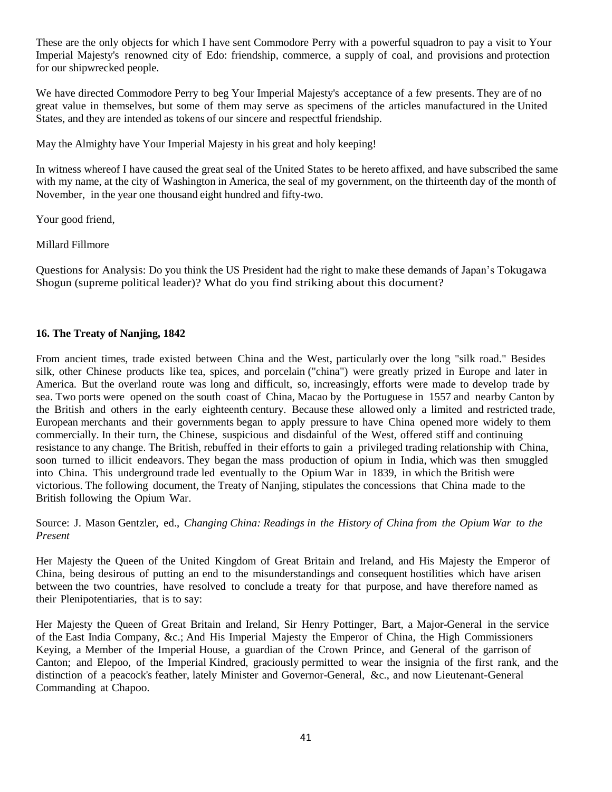These are the only objects for which I have sent Commodore Perry with a powerful squadron to pay a visit to Your Imperial Majesty's renowned city of Edo: friendship, commerce, a supply of coal, and provisions and protection for our shipwrecked people.

We have directed Commodore Perry to beg Your Imperial Majesty's acceptance of a few presents. They are of no great value in themselves, but some of them may serve as specimens of the articles manufactured in the United States, and they are intended as tokens of our sincere and respectful friendship.

May the Almighty have Your Imperial Majesty in his great and holy keeping!

In witness whereof I have caused the great seal of the United States to be hereto affixed, and have subscribed the same with my name, at the city of Washington in America, the seal of my government, on the thirteenth day of the month of November, in the year one thousand eight hundred and fifty-two.

Your good friend,

Millard Fillmore

Questions for Analysis: Do you think the US President had the right to make these demands of Japan's Tokugawa Shogun (supreme political leader)? What do you find striking about this document?

### **16. The Treaty of Nanjing, 1842**

From ancient times, trade existed between China and the West, particularly over the long "silk road." Besides silk, other Chinese products like tea, spices, and porcelain ("china") were greatly prized in Europe and later in America. But the overland route was long and difficult, so, increasingly, efforts were made to develop trade by sea. Two ports were opened on the south coast of China, Macao by the Portuguese in 1557 and nearby Canton by the British and others in the early eighteenth century. Because these allowed only a limited and restricted trade, European merchants and their governments began to apply pressure to have China opened more widely to them commercially. In their turn, the Chinese, suspicious and disdainful of the West, offered stiff and continuing resistance to any change. The British, rebuffed in their efforts to gain a privileged trading relationship with China, soon turned to illicit endeavors. They began the mass production of opium in India, which was then smuggled into China. This underground trade led eventually to the Opium War in 1839, in which the British were victorious. The following document, the Treaty of Nanjing, stipulates the concessions that China made to the British following the Opium War.

Source: J. Mason Gentzler, ed., *Changing China: Readings in the History of China from the Opium War to the Present*

Her Majesty the Queen of the United Kingdom of Great Britain and Ireland, and His Majesty the Emperor of China, being desirous of putting an end to the misunderstandings and consequent hostilities which have arisen between the two countries, have resolved to conclude a treaty for that purpose, and have therefore named as their Plenipotentiaries, that is to say:

Her Majesty the Queen of Great Britain and Ireland, Sir Henry Pottinger, Bart, a Major-General in the service of the East India Company, &c.; And His Imperial Majesty the Emperor of China, the High Commissioners Keying, a Member of the Imperial House, a guardian of the Crown Prince, and General of the garrison of Canton; and Elepoo, of the Imperial Kindred, graciously permitted to wear the insignia of the first rank, and the distinction of a peacock's feather, lately Minister and Governor-General, &c., and now Lieutenant-General Commanding at Chapoo.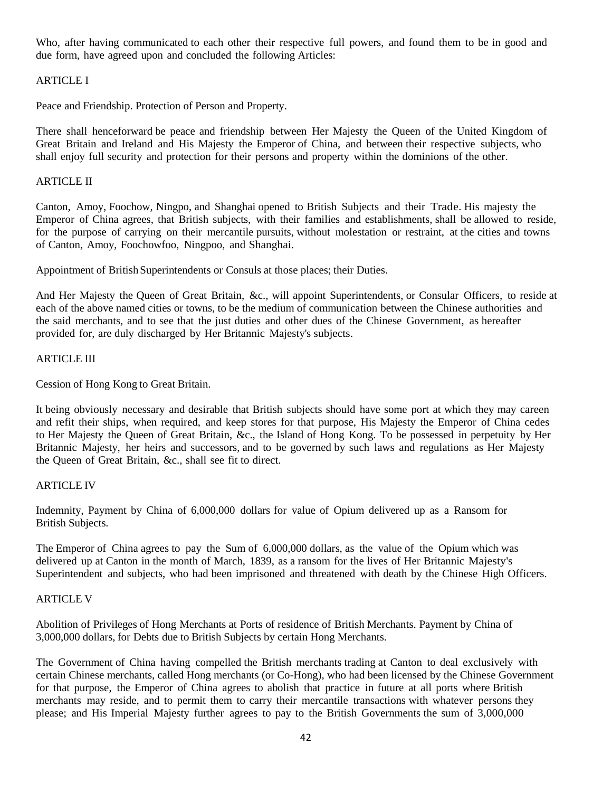Who, after having communicated to each other their respective full powers, and found them to be in good and due form, have agreed upon and concluded the following Articles:

### ARTICLE I

Peace and Friendship. Protection of Person and Property.

There shall henceforward be peace and friendship between Her Majesty the Queen of the United Kingdom of Great Britain and Ireland and His Majesty the Emperor of China, and between their respective subjects, who shall enjoy full security and protection for their persons and property within the dominions of the other.

#### ARTICLE II

Canton, Amoy, Foochow, Ningpo, and Shanghai opened to British Subjects and their Trade. His majesty the Emperor of China agrees, that British subjects, with their families and establishments, shall be allowed to reside, for the purpose of carrying on their mercantile pursuits, without molestation or restraint, at the cities and towns of Canton, Amoy, Foochowfoo, Ningpoo, and Shanghai.

Appointment of British Superintendents or Consuls at those places; their Duties.

And Her Majesty the Queen of Great Britain, &c., will appoint Superintendents, or Consular Officers, to reside at each of the above named cities or towns, to be the medium of communication between the Chinese authorities and the said merchants, and to see that the just duties and other dues of the Chinese Government, as hereafter provided for, are duly discharged by Her Britannic Majesty's subjects.

#### ARTICLE III

Cession of Hong Kong to Great Britain.

It being obviously necessary and desirable that British subjects should have some port at which they may careen and refit their ships, when required, and keep stores for that purpose, His Majesty the Emperor of China cedes to Her Majesty the Queen of Great Britain, &c., the Island of Hong Kong. To be possessed in perpetuity by Her Britannic Majesty, her heirs and successors, and to be governed by such laws and regulations as Her Majesty the Queen of Great Britain, &c., shall see fit to direct.

#### ARTICLE IV

Indemnity, Payment by China of 6,000,000 dollars for value of Opium delivered up as a Ransom for British Subjects.

The Emperor of China agrees to pay the Sum of 6,000,000 dollars, as the value of the Opium which was delivered up at Canton in the month of March, 1839, as a ransom for the lives of Her Britannic Majesty's Superintendent and subjects, who had been imprisoned and threatened with death by the Chinese High Officers.

#### ARTICLE V

Abolition of Privileges of Hong Merchants at Ports of residence of British Merchants. Payment by China of 3,000,000 dollars, for Debts due to British Subjects by certain Hong Merchants.

The Government of China having compelled the British merchants trading at Canton to deal exclusively with certain Chinese merchants, called Hong merchants (or Co-Hong), who had been licensed by the Chinese Government for that purpose, the Emperor of China agrees to abolish that practice in future at all ports where British merchants may reside, and to permit them to carry their mercantile transactions with whatever persons they please; and His Imperial Majesty further agrees to pay to the British Governments the sum of 3,000,000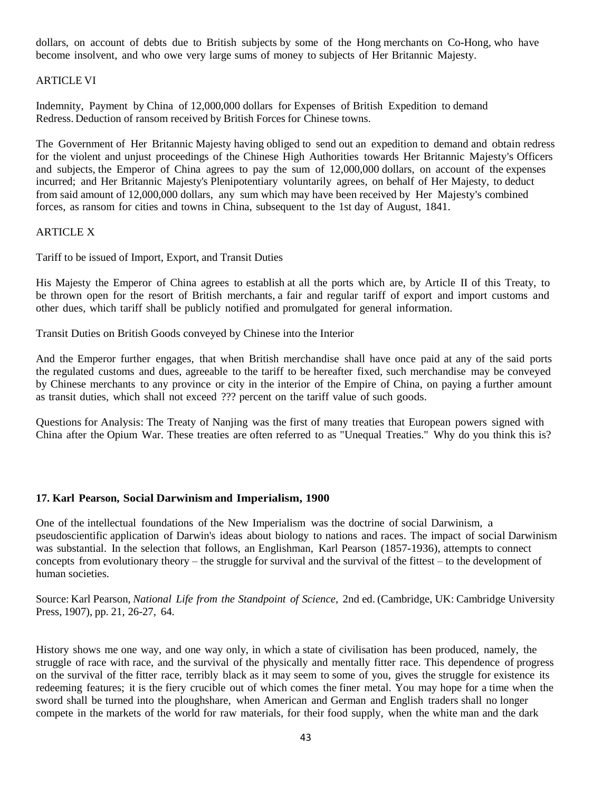dollars, on account of debts due to British subjects by some of the Hong merchants on Co-Hong, who have become insolvent, and who owe very large sums of money to subjects of Her Britannic Majesty.

### ARTICLE VI

Indemnity, Payment by China of 12,000,000 dollars for Expenses of British Expedition to demand Redress. Deduction of ransom received by British Forces for Chinese towns.

The Government of Her Britannic Majesty having obliged to send out an expedition to demand and obtain redress for the violent and unjust proceedings of the Chinese High Authorities towards Her Britannic Majesty's Officers and subjects, the Emperor of China agrees to pay the sum of 12,000,000 dollars, on account of the expenses incurred; and Her Britannic Majesty's Plenipotentiary voluntarily agrees, on behalf of Her Majesty, to deduct from said amount of 12,000,000 dollars, any sum which may have been received by Her Majesty's combined forces, as ransom for cities and towns in China, subsequent to the 1st day of August, 1841.

### ARTICLE X

Tariff to be issued of Import, Export, and Transit Duties

His Majesty the Emperor of China agrees to establish at all the ports which are, by Article II of this Treaty, to be thrown open for the resort of British merchants, a fair and regular tariff of export and import customs and other dues, which tariff shall be publicly notified and promulgated for general information.

Transit Duties on British Goods conveyed by Chinese into the Interior

And the Emperor further engages, that when British merchandise shall have once paid at any of the said ports the regulated customs and dues, agreeable to the tariff to be hereafter fixed, such merchandise may be conveyed by Chinese merchants to any province or city in the interior of the Empire of China, on paying a further amount as transit duties, which shall not exceed ??? percent on the tariff value of such goods.

Questions for Analysis: The Treaty of Nanjing was the first of many treaties that European powers signed with China after the Opium War. These treaties are often referred to as "Unequal Treaties." Why do you think this is?

### **17. Karl Pearson, Social Darwinism and Imperialism, 1900**

One of the intellectual foundations of the New Imperialism was the doctrine of social Darwinism, a pseudoscientific application of Darwin's ideas about biology to nations and races. The impact of social Darwinism was substantial. In the selection that follows, an Englishman, Karl Pearson (1857-1936), attempts to connect concepts from evolutionary theory – the struggle for survival and the survival of the fittest – to the development of human societies.

Source: Karl Pearson, *National Life from the Standpoint of Science,* 2nd ed. (Cambridge, UK: Cambridge University Press, 1907), pp. 21, 26-27, 64.

History shows me one way, and one way only, in which a state of civilisation has been produced, namely, the struggle of race with race, and the survival of the physically and mentally fitter race. This dependence of progress on the survival of the fitter race, terribly black as it may seem to some of you, gives the struggle for existence its redeeming features; it is the fiery crucible out of which comes the finer metal. You may hope for a time when the sword shall be turned into the ploughshare, when American and German and English traders shall no longer compete in the markets of the world for raw materials, for their food supply, when the white man and the dark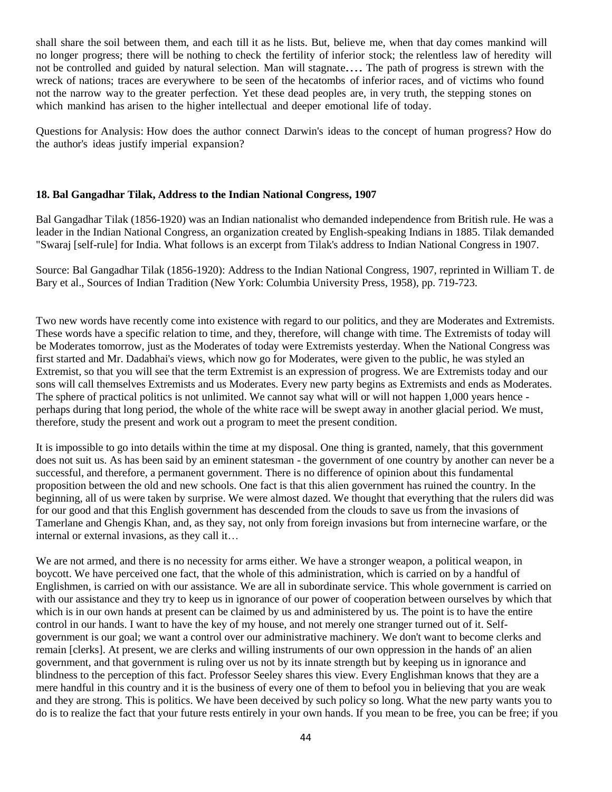shall share the soil between them, and each till it as he lists. But, believe me, when that day comes mankind will no longer progress; there will be nothing to check the fertility of inferior stock; the relentless law of heredity will not be controlled and guided by natural selection. Man will stagnate.... The path of progress is strewn with the wreck of nations; traces are everywhere to be seen of the hecatombs of inferior races, and of victims who found not the narrow way to the greater perfection. Yet these dead peoples are, in very truth, the stepping stones on which mankind has arisen to the higher intellectual and deeper emotional life of today.

Questions for Analysis: How does the author connect Darwin's ideas to the concept of human progress? How do the author's ideas justify imperial expansion?

#### **18. Bal Gangadhar Tilak, Address to the Indian National Congress, 1907**

Bal Gangadhar Tilak (1856-1920) was an Indian nationalist who demanded independence from British rule. He was a leader in the Indian National Congress, an organization created by English-speaking Indians in 1885. Tilak demanded "Swaraj [self-rule] for India. What follows is an excerpt from Tilak's address to Indian National Congress in 1907.

Source: Bal Gangadhar Tilak (1856-1920): Address to the Indian National Congress, 1907, reprinted in William T. de Bary et al., Sources of Indian Tradition (New York: Columbia University Press, 1958), pp. 719-723.

Two new words have recently come into existence with regard to our politics, and they are Moderates and Extremists. These words have a specific relation to time, and they, therefore, will change with time. The Extremists of today will be Moderates tomorrow, just as the Moderates of today were Extremists yesterday. When the National Congress was first started and Mr. Dadabhai's views, which now go for Moderates, were given to the public, he was styled an Extremist, so that you will see that the term Extremist is an expression of progress. We are Extremists today and our sons will call themselves Extremists and us Moderates. Every new party begins as Extremists and ends as Moderates. The sphere of practical politics is not unlimited. We cannot say what will or will not happen 1,000 years hence perhaps during that long period, the whole of the white race will be swept away in another glacial period. We must, therefore, study the present and work out a program to meet the present condition.

It is impossible to go into details within the time at my disposal. One thing is granted, namely, that this government does not suit us. As has been said by an eminent statesman - the government of one country by another can never be a successful, and therefore, a permanent government. There is no difference of opinion about this fundamental proposition between the old and new schools. One fact is that this alien government has ruined the country. In the beginning, all of us were taken by surprise. We were almost dazed. We thought that everything that the rulers did was for our good and that this English government has descended from the clouds to save us from the invasions of Tamerlane and Ghengis Khan, and, as they say, not only from foreign invasions but from internecine warfare, or the internal or external invasions, as they call it…

We are not armed, and there is no necessity for arms either. We have a stronger weapon, a political weapon, in boycott. We have perceived one fact, that the whole of this administration, which is carried on by a handful of Englishmen, is carried on with our assistance. We are all in subordinate service. This whole government is carried on with our assistance and they try to keep us in ignorance of our power of cooperation between ourselves by which that which is in our own hands at present can be claimed by us and administered by us. The point is to have the entire control in our hands. I want to have the key of my house, and not merely one stranger turned out of it. Selfgovernment is our goal; we want a control over our administrative machinery. We don't want to become clerks and remain [clerks]. At present, we are clerks and willing instruments of our own oppression in the hands of' an alien government, and that government is ruling over us not by its innate strength but by keeping us in ignorance and blindness to the perception of this fact. Professor Seeley shares this view. Every Englishman knows that they are a mere handful in this country and it is the business of every one of them to befool you in believing that you are weak and they are strong. This is politics. We have been deceived by such policy so long. What the new party wants you to do is to realize the fact that your future rests entirely in your own hands. If you mean to be free, you can be free; if you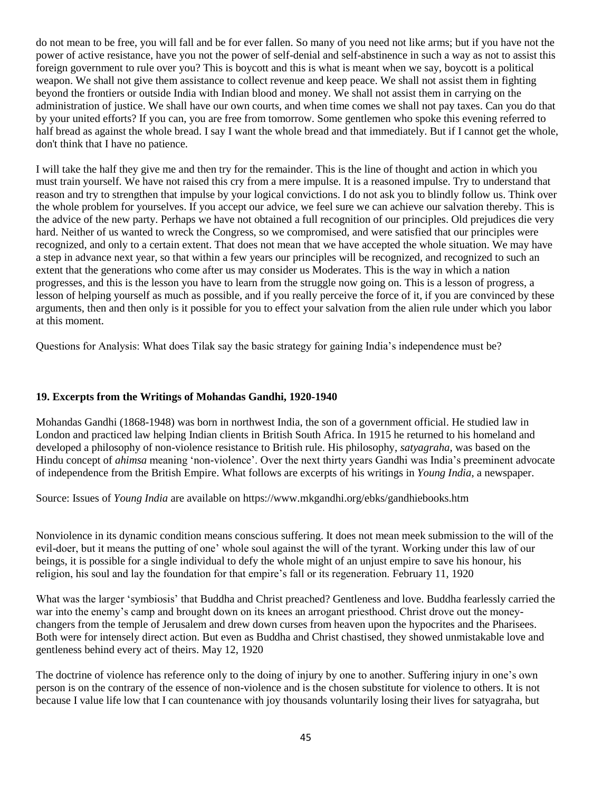do not mean to be free, you will fall and be for ever fallen. So many of you need not like arms; but if you have not the power of active resistance, have you not the power of self-denial and self-abstinence in such a way as not to assist this foreign government to rule over you? This is boycott and this is what is meant when we say, boycott is a political weapon. We shall not give them assistance to collect revenue and keep peace. We shall not assist them in fighting beyond the frontiers or outside India with Indian blood and money. We shall not assist them in carrying on the administration of justice. We shall have our own courts, and when time comes we shall not pay taxes. Can you do that by your united efforts? If you can, you are free from tomorrow. Some gentlemen who spoke this evening referred to half bread as against the whole bread. I say I want the whole bread and that immediately. But if I cannot get the whole, don't think that I have no patience.

I will take the half they give me and then try for the remainder. This is the line of thought and action in which you must train yourself. We have not raised this cry from a mere impulse. It is a reasoned impulse. Try to understand that reason and try to strengthen that impulse by your logical convictions. I do not ask you to blindly follow us. Think over the whole problem for yourselves. If you accept our advice, we feel sure we can achieve our salvation thereby. This is the advice of the new party. Perhaps we have not obtained a full recognition of our principles. Old prejudices die very hard. Neither of us wanted to wreck the Congress, so we compromised, and were satisfied that our principles were recognized, and only to a certain extent. That does not mean that we have accepted the whole situation. We may have a step in advance next year, so that within a few years our principles will be recognized, and recognized to such an extent that the generations who come after us may consider us Moderates. This is the way in which a nation progresses, and this is the lesson you have to learn from the struggle now going on. This is a lesson of progress, a lesson of helping yourself as much as possible, and if you really perceive the force of it, if you are convinced by these arguments, then and then only is it possible for you to effect your salvation from the alien rule under which you labor at this moment.

Questions for Analysis: What does Tilak say the basic strategy for gaining India's independence must be?

### **19. Excerpts from the Writings of Mohandas Gandhi, 1920-1940**

Mohandas Gandhi (1868-1948) was born in northwest India, the son of a government official. He studied law in London and practiced law helping Indian clients in British South Africa. In 1915 he returned to his homeland and developed a philosophy of non-violence resistance to British rule. His philosophy, *satyagraha*, was based on the Hindu concept of *ahimsa* meaning 'non-violence'. Over the next thirty years Gandhi was India's preeminent advocate of independence from the British Empire. What follows are excerpts of his writings in *Young India*, a newspaper.

Source: Issues of *Young India* are available on<https://www.mkgandhi.org/ebks/gandhiebooks.htm>

Nonviolence in its dynamic condition means conscious suffering. It does not mean meek submission to the will of the evil-doer, but it means the putting of one' whole soul against the will of the tyrant. Working under this law of our beings, it is possible for a single individual to defy the whole might of an unjust empire to save his honour, his religion, his soul and lay the foundation for that empire's fall or its regeneration. February 11, 1920

What was the larger 'symbiosis' that Buddha and Christ preached? Gentleness and love. Buddha fearlessly carried the war into the enemy's camp and brought down on its knees an arrogant priesthood. Christ drove out the moneychangers from the temple of Jerusalem and drew down curses from heaven upon the hypocrites and the Pharisees. Both were for intensely direct action. But even as Buddha and Christ chastised, they showed unmistakable love and gentleness behind every act of theirs. May 12, 1920

The doctrine of violence has reference only to the doing of injury by one to another. Suffering injury in one's own person is on the contrary of the essence of non-violence and is the chosen substitute for violence to others. It is not because I value life low that I can countenance with joy thousands voluntarily losing their lives for satyagraha, but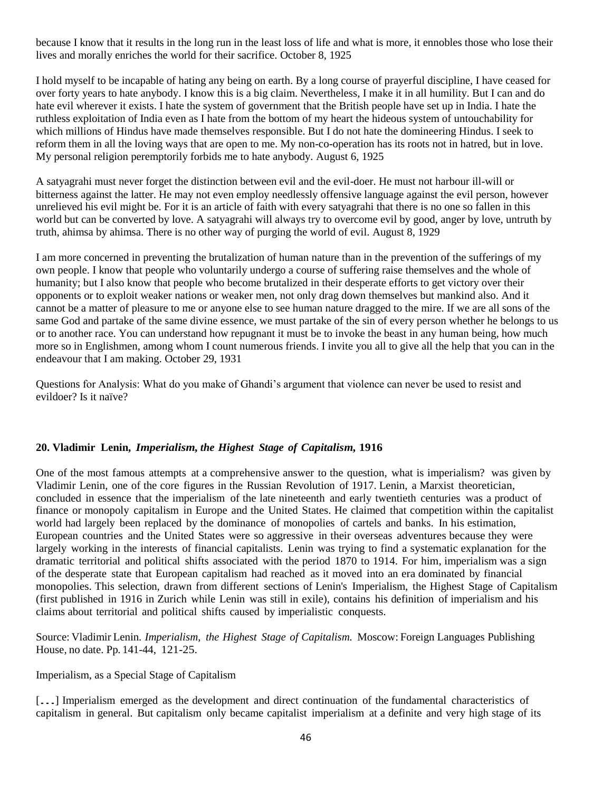because I know that it results in the long run in the least loss of life and what is more, it ennobles those who lose their lives and morally enriches the world for their sacrifice. October 8, 1925

I hold myself to be incapable of hating any being on earth. By a long course of prayerful discipline, I have ceased for over forty years to hate anybody. I know this is a big claim. Nevertheless, I make it in all humility. But I can and do hate evil wherever it exists. I hate the system of government that the British people have set up in India. I hate the ruthless exploitation of India even as I hate from the bottom of my heart the hideous system of untouchability for which millions of Hindus have made themselves responsible. But I do not hate the domineering Hindus. I seek to reform them in all the loving ways that are open to me. My non-co-operation has its roots not in hatred, but in love. My personal religion peremptorily forbids me to hate anybody. August 6, 1925

A satyagrahi must never forget the distinction between evil and the evil-doer. He must not harbour ill-will or bitterness against the latter. He may not even employ needlessly offensive language against the evil person, however unrelieved his evil might be. For it is an article of faith with every satyagrahi that there is no one so fallen in this world but can be converted by love. A satyagrahi will always try to overcome evil by good, anger by love, untruth by truth, ahimsa by ahimsa. There is no other way of purging the world of evil. August 8, 1929

I am more concerned in preventing the brutalization of human nature than in the prevention of the sufferings of my own people. I know that people who voluntarily undergo a course of suffering raise themselves and the whole of humanity; but I also know that people who become brutalized in their desperate efforts to get victory over their opponents or to exploit weaker nations or weaker men, not only drag down themselves but mankind also. And it cannot be a matter of pleasure to me or anyone else to see human nature dragged to the mire. If we are all sons of the same God and partake of the same divine essence, we must partake of the sin of every person whether he belongs to us or to another race. You can understand how repugnant it must be to invoke the beast in any human being, how much more so in Englishmen, among whom I count numerous friends. I invite you all to give all the help that you can in the endeavour that I am making. October 29, 1931

Questions for Analysis: What do you make of Ghandi's argument that violence can never be used to resist and evildoer? Is it naïve?

### **20. Vladimir Lenin,** *Imperialism, the Highest Stage of Capitalism,* **1916**

One of the most famous attempts at a comprehensive answer to the question, what is imperialism? was given by Vladimir Lenin, one of the core figures in the Russian Revolution of 1917. Lenin, a Marxist theoretician, concluded in essence that the imperialism of the late nineteenth and early twentieth centuries was a product of finance or monopoly capitalism in Europe and the United States. He claimed that competition within the capitalist world had largely been replaced by the dominance of monopolies of cartels and banks. In his estimation, European countries and the United States were so aggressive in their overseas adventures because they were largely working in the interests of financial capitalists. Lenin was trying to find a systematic explanation for the dramatic territorial and political shifts associated with the period 1870 to 1914. For him, imperialism was a sign of the desperate state that European capitalism had reached as it moved into an era dominated by financial monopolies. This selection, drawn from different sections of Lenin's Imperialism, the Highest Stage of Capitalism (first published in 1916 in Zurich while Lenin was still in exile), contains his definition of imperialism and his claims about territorial and political shifts caused by imperialistic conquests.

Source: Vladimir Lenin. *Imperialism, the Highest Stage of Capitalism.* Moscow: Foreign Languages Publishing House, no date. Pp. 141-44, 121-25.

Imperialism, as a Special Stage of Capitalism

[...] Imperialism emerged as the development and direct continuation of the fundamental characteristics of capitalism in general. But capitalism only became capitalist imperialism at a definite and very high stage of its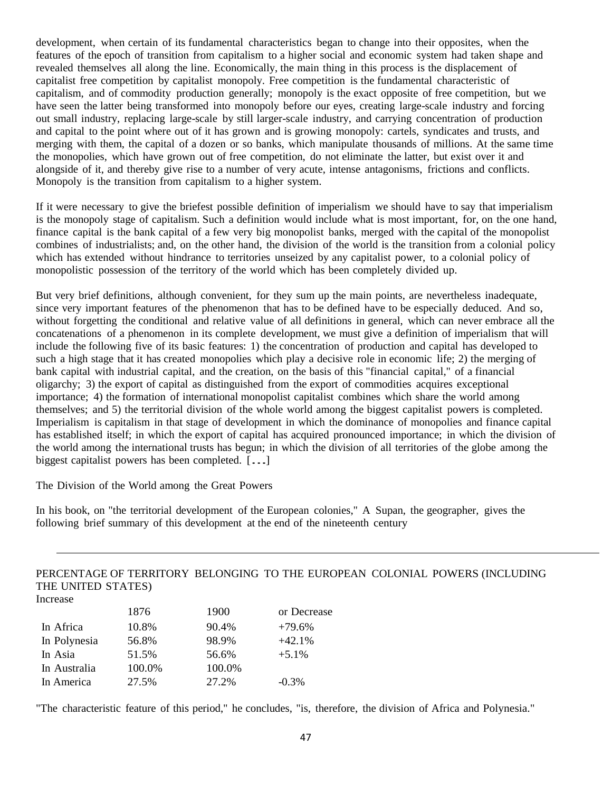development, when certain of its fundamental characteristics began to change into their opposites, when the features of the epoch of transition from capitalism to a higher social and economic system had taken shape and revealed themselves all along the line. Economically, the main thing in this process is the displacement of capitalist free competition by capitalist monopoly. Free competition is the fundamental characteristic of capitalism, and of commodity production generally; monopoly is the exact opposite of free competition, but we have seen the latter being transformed into monopoly before our eyes, creating large-scale industry and forcing out small industry, replacing large-scale by still larger-scale industry, and carrying concentration of production and capital to the point where out of it has grown and is growing monopoly: cartels, syndicates and trusts, and merging with them, the capital of a dozen or so banks, which manipulate thousands of millions. At the same time the monopolies, which have grown out of free competition, do not eliminate the latter, but exist over it and alongside of it, and thereby give rise to a number of very acute, intense antagonisms, frictions and conflicts. Monopoly is the transition from capitalism to a higher system.

If it were necessary to give the briefest possible definition of imperialism we should have to say that imperialism is the monopoly stage of capitalism. Such a definition would include what is most important, for, on the one hand, finance capital is the bank capital of a few very big monopolist banks, merged with the capital of the monopolist combines of industrialists; and, on the other hand, the division of the world is the transition from a colonial policy which has extended without hindrance to territories unseized by any capitalist power, to a colonial policy of monopolistic possession of the territory of the world which has been completely divided up.

But very brief definitions, although convenient, for they sum up the main points, are nevertheless inadequate, since very important features of the phenomenon that has to be defined have to be especially deduced. And so, without forgetting the conditional and relative value of all definitions in general, which can never embrace all the concatenations of a phenomenon in its complete development, we must give a definition of imperialism that will include the following five of its basic features: 1) the concentration of production and capital has developed to such a high stage that it has created monopolies which play a decisive role in economic life; 2) the merging of bank capital with industrial capital, and the creation, on the basis of this "financial capital," of a financial oligarchy; 3) the export of capital as distinguished from the export of commodities acquires exceptional importance; 4) the formation of international monopolist capitalist combines which share the world among themselves; and 5) the territorial division of the whole world among the biggest capitalist powers is completed. Imperialism is capitalism in that stage of development in which the dominance of monopolies and finance capital has established itself; in which the export of capital has acquired pronounced importance; in which the division of the world among the international trusts has begun; in which the division of all territories of the globe among the biggest capitalist powers has been completed. [...]

The Division of the World among the Great Powers

In America 27.5% 27.2% -0.3%

In his book, on "the territorial development of the European colonies," A Supan, the geographer, gives the following brief summary of this development at the end of the nineteenth century

|                    |        |        | PERCENTAGE OF TERRITORY BELONGING TO THE EUROPEAN COLONIAL POWERS (INCLUDING |  |  |
|--------------------|--------|--------|------------------------------------------------------------------------------|--|--|
| THE UNITED STATES) |        |        |                                                                              |  |  |
| Increase           |        |        |                                                                              |  |  |
|                    | 1876   | 1900   | or Decrease                                                                  |  |  |
| In Africa          | 10.8%  | 90.4%  | $+79.6\%$                                                                    |  |  |
| In Polynesia       | 56.8%  | 98.9%  | $+42.1%$                                                                     |  |  |
| In Asia            | 51.5%  | 56.6%  | $+5.1\%$                                                                     |  |  |
| In Australia       | 100.0% | 100.0% |                                                                              |  |  |

"The characteristic feature of this period," he concludes, "is, therefore, the division of Africa and Polynesia."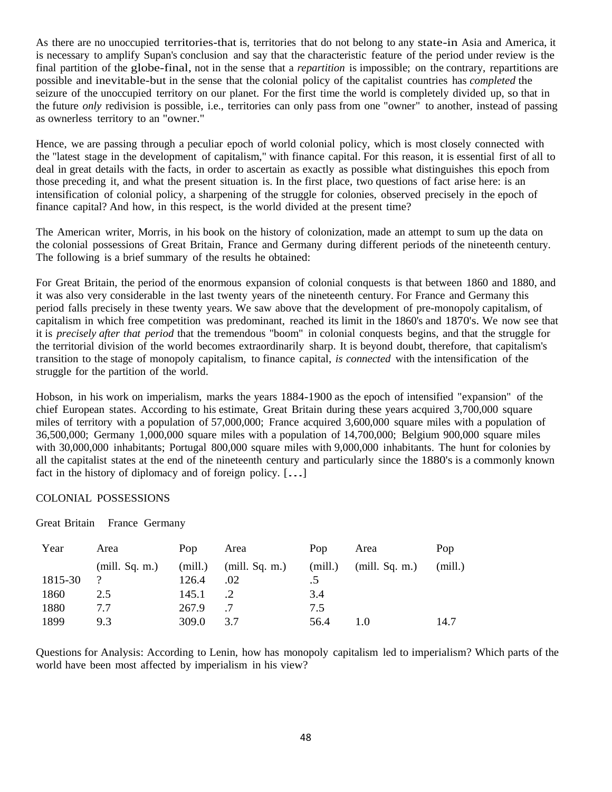As there are no unoccupied territories-that is, territories that do not belong to any state-in Asia and America, it is necessary to amplify Supan's conclusion and say that the characteristic feature of the period under review is the final partition of the globe-final, not in the sense that a *repartition* is impossible; on the contrary, repartitions are possible and inevitable-but in the sense that the colonial policy of the capitalist countries has *completed* the seizure of the unoccupied territory on our planet. For the first time the world is completely divided up, so that in the future *only* redivision is possible, i.e., territories can only pass from one "owner" to another, instead of passing as ownerless territory to an "owner."

Hence, we are passing through a peculiar epoch of world colonial policy, which is most closely connected with the "latest stage in the development of capitalism," with finance capital. For this reason, it is essential first of all to deal in great details with the facts, in order to ascertain as exactly as possible what distinguishes this epoch from those preceding it, and what the present situation is. In the first place, two questions of fact arise here: is an intensification of colonial policy, a sharpening of the struggle for colonies, observed precisely in the epoch of finance capital? And how, in this respect, is the world divided at the present time?

The American writer, Morris, in his book on the history of colonization, made an attempt to sum up the data on the colonial possessions of Great Britain, France and Germany during different periods of the nineteenth century. The following is a brief summary of the results he obtained:

For Great Britain, the period of the enormous expansion of colonial conquests is that between 1860 and 1880, and it was also very considerable in the last twenty years of the nineteenth century. For France and Germany this period falls precisely in these twenty years. We saw above that the development of pre-monopoly capitalism, of capitalism in which free competition was predominant, reached its limit in the 1860's and 1870's. We now see that it is *precisely after that period* that the tremendous "boom" in colonial conquests begins, and that the struggle for the territorial division of the world becomes extraordinarily sharp. It is beyond doubt, therefore, that capitalism's transition to the stage of monopoly capitalism, to finance capital, *is connected* with the intensification of the struggle for the partition of the world.

Hobson, in his work on imperialism, marks the years 1884-1900 as the epoch of intensified "expansion" of the chief European states. According to his estimate, Great Britain during these years acquired 3,700,000 square miles of territory with a population of 57,000,000; France acquired 3,600,000 square miles with a population of 36,500,000; Germany 1,000,000 square miles with a population of 14,700,000; Belgium 900,000 square miles with 30,000,000 inhabitants; Portugal 800,000 square miles with 9,000,000 inhabitants. The hunt for colonies by all the capitalist states at the end of the nineteenth century and particularly since the 1880's is a commonly known fact in the history of diplomacy and of foreign policy.  $[\ldots]$ 

#### COLONIAL POSSESSIONS

Great Britain France Germany

| Year    | Area           | Pop   | Area                       | Pop     | Area           | Pop     |
|---------|----------------|-------|----------------------------|---------|----------------|---------|
|         | (mill. Sq. m.) |       | $(mill.)$ $(mill. Sq. m.)$ | (mill.) | (mill. Sq. m.) | (mill.) |
| 1815-30 | $\gamma$       | 126.4 | .02                        | $.5\,$  |                |         |
| 1860    | 2.5            | 145.1 |                            | 3.4     |                |         |
| 1880    | 7.7            | 267.9 | $\cdot$ .7                 | 7.5     |                |         |
| 1899    | 9.3            | 309.0 | 3.7                        | 56.4    | 1.0            | 14.7    |

Questions for Analysis: According to Lenin, how has monopoly capitalism led to imperialism? Which parts of the world have been most affected by imperialism in his view?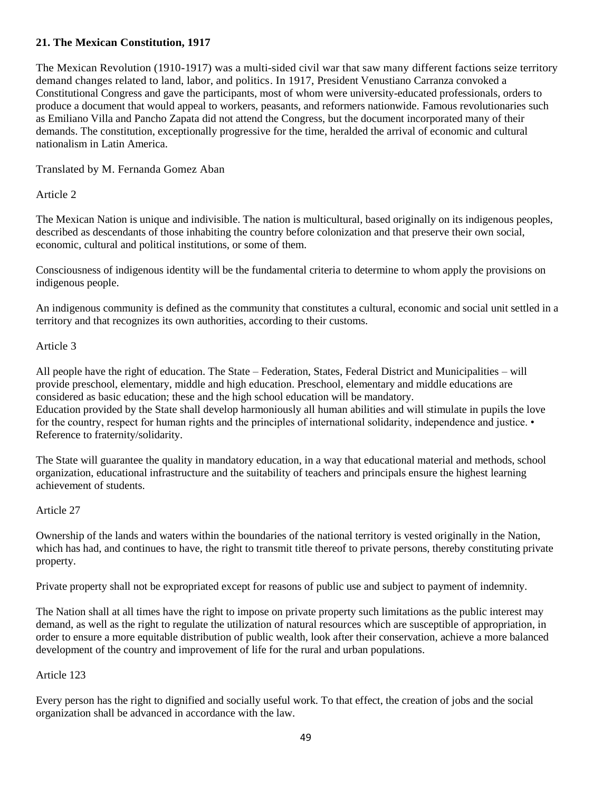# **21. The Mexican Constitution, 1917**

The Mexican Revolution (1910-1917) was a multi-sided civil war that saw many different factions seize territory demand changes related to land, labor, and politics. In 1917, President Venustiano Carranza convoked a Constitutional Congress and gave the participants, most of whom were university-educated professionals, orders to produce a document that would appeal to workers, peasants, and reformers nationwide. Famous revolutionaries such as Emiliano Villa and Pancho Zapata did not attend the Congress, but the document incorporated many of their demands. The constitution, exceptionally progressive for the time, heralded the arrival of economic and cultural nationalism in Latin America.

Translated by M. Fernanda Gomez Aban

# Article 2

The Mexican Nation is unique and indivisible. The nation is multicultural, based originally on its indigenous peoples, described as descendants of those inhabiting the country before colonization and that preserve their own social, economic, cultural and political institutions, or some of them.

Consciousness of indigenous identity will be the fundamental criteria to determine to whom apply the provisions on indigenous people.

An indigenous community is defined as the community that constitutes a cultural, economic and social unit settled in a territory and that recognizes its own authorities, according to their customs.

# Article 3

All people have the right of education. The State – Federation, States, Federal District and Municipalities – will provide preschool, elementary, middle and high education. Preschool, elementary and middle educations are considered as basic education; these and the high school education will be mandatory. Education provided by the State shall develop harmoniously all human abilities and will stimulate in pupils the love for the country, respect for human rights and the principles of international solidarity, independence and justice. Reference to fraternity/solidarity.

The State will guarantee the quality in mandatory education, in a way that educational material and methods, school organization, educational infrastructure and the suitability of teachers and principals ensure the highest learning achievement of students.

# Article 27

Ownership of the lands and waters within the boundaries of the national territory is vested originally in the Nation, which has had, and continues to have, the right to transmit title thereof to private persons, thereby constituting private property.

Private property shall not be expropriated except for reasons of public use and subject to payment of indemnity.

The Nation shall at all times have the right to impose on private property such limitations as the public interest may demand, as well as the right to regulate the utilization of natural resources which are susceptible of appropriation, in order to ensure a more equitable distribution of public wealth, look after their conservation, achieve a more balanced development of the country and improvement of life for the rural and urban populations.

# Article 123

Every person has the right to dignified and socially useful work. To that effect, the creation of jobs and the social organization shall be advanced in accordance with the law.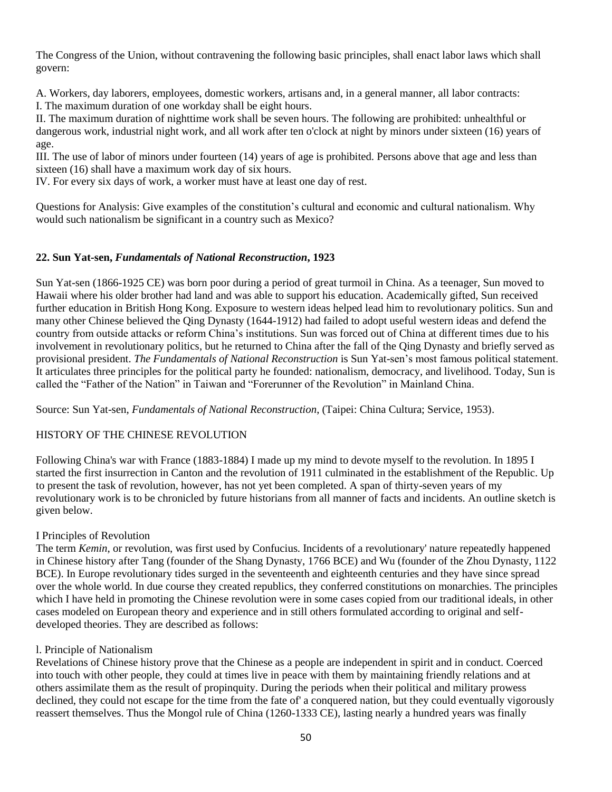The Congress of the Union, without contravening the following basic principles, shall enact labor laws which shall govern:

A. Workers, day laborers, employees, domestic workers, artisans and, in a general manner, all labor contracts: I. The maximum duration of one workday shall be eight hours.

II. The maximum duration of nighttime work shall be seven hours. The following are prohibited: unhealthful or dangerous work, industrial night work, and all work after ten o'clock at night by minors under sixteen (16) years of age.

III. The use of labor of minors under fourteen (14) years of age is prohibited. Persons above that age and less than sixteen (16) shall have a maximum work day of six hours.

IV. For every six days of work, a worker must have at least one day of rest.

Questions for Analysis: Give examples of the constitution's cultural and economic and cultural nationalism. Why would such nationalism be significant in a country such as Mexico?

# **22. Sun Yat-sen,** *Fundamentals of National Reconstruction***, 1923**

Sun Yat-sen (1866-1925 CE) was born poor during a period of great turmoil in China. As a teenager, Sun moved to Hawaii where his older brother had land and was able to support his education. Academically gifted, Sun received further education in British Hong Kong. Exposure to western ideas helped lead him to revolutionary politics. Sun and many other Chinese believed the Qing Dynasty (1644-1912) had failed to adopt useful western ideas and defend the country from outside attacks or reform China's institutions. Sun was forced out of China at different times due to his involvement in revolutionary politics, but he returned to China after the fall of the Qing Dynasty and briefly served as provisional president. *The Fundamentals of National Reconstruction* is Sun Yat-sen's most famous political statement. It articulates three principles for the political party he founded: nationalism, democracy, and livelihood. Today, Sun is called the "Father of the Nation" in Taiwan and "Forerunner of the Revolution" in Mainland China.

Source: Sun Yat-sen, *Fundamentals of National Reconstruction*, (Taipei: China Cultura; Service, 1953).

# HISTORY OF THE CHINESE REVOLUTION

Following China's war with France (1883-1884) I made up my mind to devote myself to the revolution. In 1895 I started the first insurrection in Canton and the revolution of 1911 culminated in the establishment of the Republic. Up to present the task of revolution, however, has not yet been completed. A span of thirty-seven years of my revolutionary work is to be chronicled by future historians from all manner of facts and incidents. An outline sketch is given below.

### I Principles of Revolution

The term *Kemin*, or revolution, was first used by Confucius. Incidents of a revolutionary' nature repeatedly happened in Chinese history after Tang (founder of the Shang Dynasty, 1766 BCE) and Wu (founder of the Zhou Dynasty, 1122 BCE). In Europe revolutionary tides surged in the seventeenth and eighteenth centuries and they have since spread over the whole world. In due course they created republics, they conferred constitutions on monarchies. The principles which I have held in promoting the Chinese revolution were in some cases copied from our traditional ideals, in other cases modeled on European theory and experience and in still others formulated according to original and selfdeveloped theories. They are described as follows:

### l. Principle of Nationalism

Revelations of Chinese history prove that the Chinese as a people are independent in spirit and in conduct. Coerced into touch with other people, they could at times live in peace with them by maintaining friendly relations and at others assimilate them as the result of propinquity. During the periods when their political and military prowess declined, they could not escape for the time from the fate of' a conquered nation, but they could eventually vigorously reassert themselves. Thus the Mongol rule of China (1260-1333 CE), lasting nearly a hundred years was finally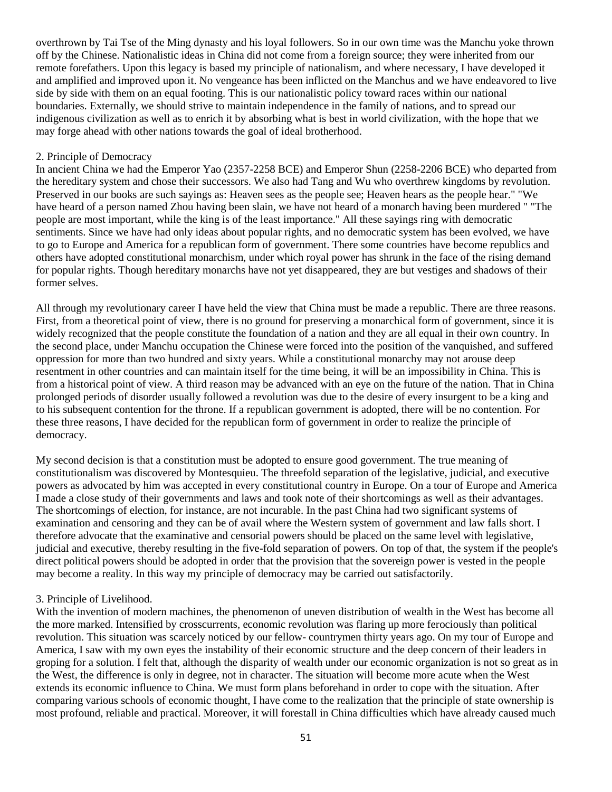overthrown by Tai Tse of the Ming dynasty and his loyal followers. So in our own time was the Manchu yoke thrown off by the Chinese. Nationalistic ideas in China did not come from a foreign source; they were inherited from our remote forefathers. Upon this legacy is based my principle of nationalism, and where necessary, I have developed it and amplified and improved upon it. No vengeance has been inflicted on the Manchus and we have endeavored to live side by side with them on an equal footing. This is our nationalistic policy toward races within our national boundaries. Externally, we should strive to maintain independence in the family of nations, and to spread our indigenous civilization as well as to enrich it by absorbing what is best in world civilization, with the hope that we may forge ahead with other nations towards the goal of ideal brotherhood.

#### 2. Principle of Democracy

In ancient China we had the Emperor Yao (2357-2258 BCE) and Emperor Shun (2258-2206 BCE) who departed from the hereditary system and chose their successors. We also had Tang and Wu who overthrew kingdoms by revolution. Preserved in our books are such sayings as: Heaven sees as the people see; Heaven hears as the people hear." "We have heard of a person named Zhou having been slain, we have not heard of a monarch having been murdered " "The people are most important, while the king is of the least importance." All these sayings ring with democratic sentiments. Since we have had only ideas about popular rights, and no democratic system has been evolved, we have to go to Europe and America for a republican form of government. There some countries have become republics and others have adopted constitutional monarchism, under which royal power has shrunk in the face of the rising demand for popular rights. Though hereditary monarchs have not yet disappeared, they are but vestiges and shadows of their former selves.

All through my revolutionary career I have held the view that China must be made a republic. There are three reasons. First, from a theoretical point of view, there is no ground for preserving a monarchical form of government, since it is widely recognized that the people constitute the foundation of a nation and they are all equal in their own country. In the second place, under Manchu occupation the Chinese were forced into the position of the vanquished, and suffered oppression for more than two hundred and sixty years. While a constitutional monarchy may not arouse deep resentment in other countries and can maintain itself for the time being, it will be an impossibility in China. This is from a historical point of view. A third reason may be advanced with an eye on the future of the nation. That in China prolonged periods of disorder usually followed a revolution was due to the desire of every insurgent to be a king and to his subsequent contention for the throne. If a republican government is adopted, there will be no contention. For these three reasons, I have decided for the republican form of government in order to realize the principle of democracy.

My second decision is that a constitution must be adopted to ensure good government. The true meaning of constitutionalism was discovered by Montesquieu. The threefold separation of the legislative, judicial, and executive powers as advocated by him was accepted in every constitutional country in Europe. On a tour of Europe and America I made a close study of their governments and laws and took note of their shortcomings as well as their advantages. The shortcomings of election, for instance, are not incurable. In the past China had two significant systems of examination and censoring and they can be of avail where the Western system of government and law falls short. I therefore advocate that the examinative and censorial powers should be placed on the same level with legislative, judicial and executive, thereby resulting in the five-fold separation of powers. On top of that, the system if the people's direct political powers should be adopted in order that the provision that the sovereign power is vested in the people may become a reality. In this way my principle of democracy may be carried out satisfactorily.

### 3. Principle of Livelihood.

With the invention of modern machines, the phenomenon of uneven distribution of wealth in the West has become all the more marked. Intensified by crosscurrents, economic revolution was flaring up more ferociously than political revolution. This situation was scarcely noticed by our fellow- countrymen thirty years ago. On my tour of Europe and America, I saw with my own eyes the instability of their economic structure and the deep concern of their leaders in groping for a solution. I felt that, although the disparity of wealth under our economic organization is not so great as in the West, the difference is only in degree, not in character. The situation will become more acute when the West extends its economic influence to China. We must form plans beforehand in order to cope with the situation. After comparing various schools of economic thought, I have come to the realization that the principle of state ownership is most profound, reliable and practical. Moreover, it will forestall in China difficulties which have already caused much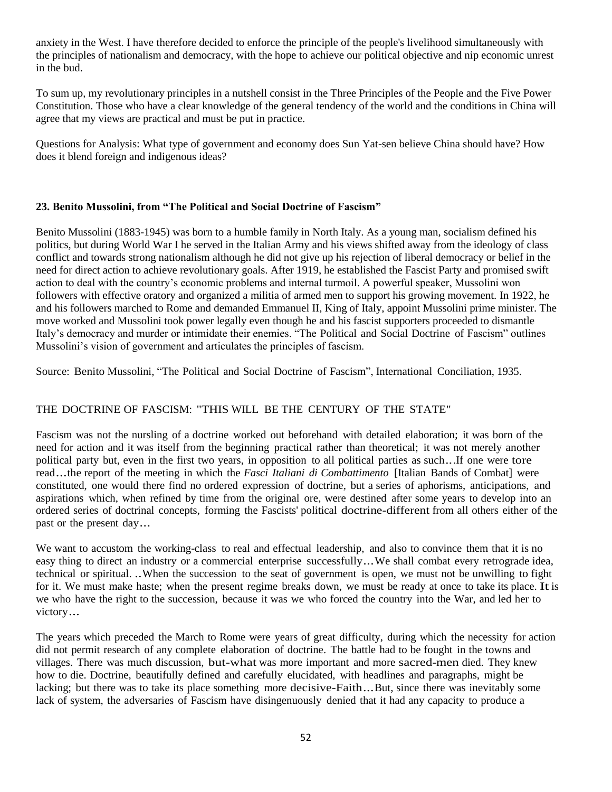anxiety in the West. I have therefore decided to enforce the principle of the people's livelihood simultaneously with the principles of nationalism and democracy, with the hope to achieve our political objective and nip economic unrest in the bud.

To sum up, my revolutionary principles in a nutshell consist in the Three Principles of the People and the Five Power Constitution. Those who have a clear knowledge of the general tendency of the world and the conditions in China will agree that my views are practical and must be put in practice.

Questions for Analysis: What type of government and economy does Sun Yat-sen believe China should have? How does it blend foreign and indigenous ideas?

# **23. Benito Mussolini, from "The Political and Social Doctrine of Fascism"**

Benito Mussolini (1883-1945) was born to a humble family in North Italy. As a young man, socialism defined his politics, but during World War I he served in the Italian Army and his views shifted away from the ideology of class conflict and towards strong nationalism although he did not give up his rejection of liberal democracy or belief in the need for direct action to achieve revolutionary goals. After 1919, he established the Fascist Party and promised swift action to deal with the country's economic problems and internal turmoil. A powerful speaker, Mussolini won followers with effective oratory and organized a militia of armed men to support his growing movement. In 1922, he and his followers marched to Rome and demanded Emmanuel II, King of Italy, appoint Mussolini prime minister. The move worked and Mussolini took power legally even though he and his fascist supporters proceeded to dismantle Italy's democracy and murder or intimidate their enemies. "The Political and Social Doctrine of Fascism" outlines Mussolini's vision of government and articulates the principles of fascism.

Source: Benito Mussolini, "The Political and Social Doctrine of Fascism", International Conciliation, 1935.

# THE DOCTRINE OF FASCISM: "THIS WILL BE THE CENTURY OF THE STATE"

Fascism was not the nursling of a doctrine worked out beforehand with detailed elaboration; it was born of the need for action and it was itself from the beginning practical rather than theoretical; it was not merely another political party but, even in the first two years, in opposition to all political parties as such...If one were tore read...the report of the meeting in which the *Fasci Italiani di Combattimento* [Italian Bands of Combat] were constituted, one would there find no ordered expression of doctrine, but a series of aphorisms, anticipations, and aspirations which, when refined by time from the original ore, were destined after some years to develop into an ordered series of doctrinal concepts, forming the Fascists' political doctrine-different from all others either of the past or the present day...

We want to accustom the working-class to real and effectual leadership, and also to convince them that it is no easy thing to direct an industry or a commercial enterprise successfully...We shall combat every retrograde idea, technical or spiritual. ..When the succession to the seat of government is open, we must not be unwilling to fight for it. We must make haste; when the present regime breaks down, we must be ready at once to take its place. It is we who have the right to the succession, because it was we who forced the country into the War, and led her to victory...

The years which preceded the March to Rome were years of great difficulty, during which the necessity for action did not permit research of any complete elaboration of doctrine. The battle had to be fought in the towns and villages. There was much discussion, but-what was more important and more sacred-men died. They knew how to die. Doctrine, beautifully defined and carefully elucidated, with headlines and paragraphs, might be lacking; but there was to take its place something more decisive-Faith...But, since there was inevitably some lack of system, the adversaries of Fascism have disingenuously denied that it had any capacity to produce a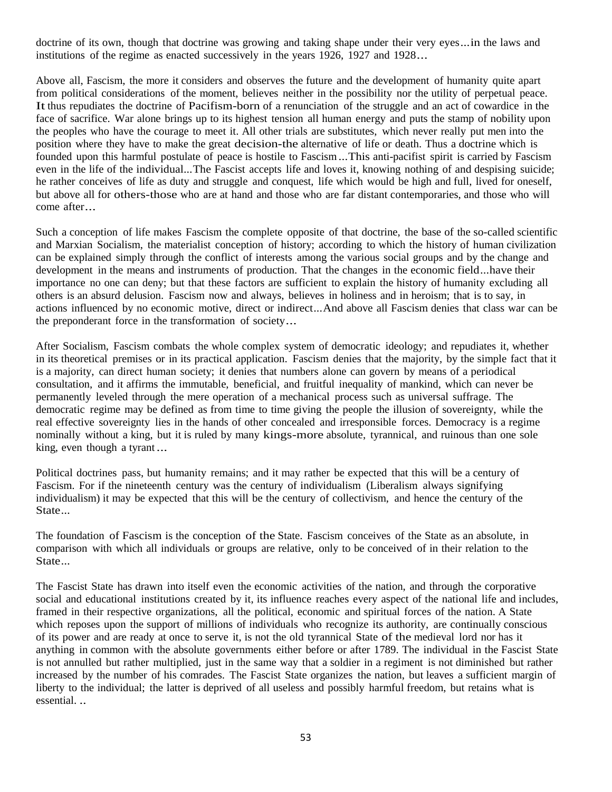doctrine of its own, though that doctrine was growing and taking shape under their very eyes...in the laws and institutions of the regime as enacted successively in the years 1926, 1927 and 1928...

Above all, Fascism, the more it considers and observes the future and the development of humanity quite apart from political considerations of the moment, believes neither in the possibility nor the utility of perpetual peace. It thus repudiates the doctrine of Pacifism-born of a renunciation of the struggle and an act of cowardice in the face of sacrifice. War alone brings up to its highest tension all human energy and puts the stamp of nobility upon the peoples who have the courage to meet it. All other trials are substitutes, which never really put men into the position where they have to make the great decision-the alternative of life or death. Thus a doctrine which is founded upon this harmful postulate of peace is hostile to Fascism...This anti-pacifist spirit is carried by Fascism even in the life of the individual...The Fascist accepts life and loves it, knowing nothing of and despising suicide; he rather conceives of life as duty and struggle and conquest, life which would be high and full, lived for oneself, but above all for others-those who are at hand and those who are far distant contemporaries, and those who will come after...

Such a conception of life makes Fascism the complete opposite of that doctrine, the base of the so-called scientific and Marxian Socialism, the materialist conception of history; according to which the history of human civilization can be explained simply through the conflict of interests among the various social groups and by the change and development in the means and instruments of production. That the changes in the economic field...have their importance no one can deny; but that these factors are sufficient to explain the history of humanity excluding all others is an absurd delusion. Fascism now and always, believes in holiness and in heroism; that is to say, in actions influenced by no economic motive, direct or indirect...And above all Fascism denies that class war can be the preponderant force in the transformation of society...

After Socialism, Fascism combats the whole complex system of democratic ideology; and repudiates it, whether in its theoretical premises or in its practical application. Fascism denies that the majority, by the simple fact that it is a majority, can direct human society; it denies that numbers alone can govern by means of a periodical consultation, and it affirms the immutable, beneficial, and fruitful inequality of mankind, which can never be permanently leveled through the mere operation of a mechanical process such as universal suffrage. The democratic regime may be defined as from time to time giving the people the illusion of sovereignty, while the real effective sovereignty lies in the hands of other concealed and irresponsible forces. Democracy is a regime nominally without a king, but it is ruled by many kings-more absolute, tyrannical, and ruinous than one sole king, even though a tyrant ...

Political doctrines pass, but humanity remains; and it may rather be expected that this will be a century of Fascism. For if the nineteenth century was the century of individualism (Liberalism always signifying individualism) it may be expected that this will be the century of collectivism, and hence the century of the State...

The foundation of Fascism is the conception of the State. Fascism conceives of the State as an absolute, in comparison with which all individuals or groups are relative, only to be conceived of in their relation to the State...

The Fascist State has drawn into itself even the economic activities of the nation, and through the corporative social and educational institutions created by it, its influence reaches every aspect of the national life and includes, framed in their respective organizations, all the political, economic and spiritual forces of the nation. A State which reposes upon the support of millions of individuals who recognize its authority, are continually conscious of its power and are ready at once to serve it, is not the old tyrannical State of the medieval lord nor has it anything in common with the absolute governments either before or after 1789. The individual in the Fascist State is not annulled but rather multiplied, just in the same way that a soldier in a regiment is not diminished but rather increased by the number of his comrades. The Fascist State organizes the nation, but leaves a sufficient margin of liberty to the individual; the latter is deprived of all useless and possibly harmful freedom, but retains what is essential. ..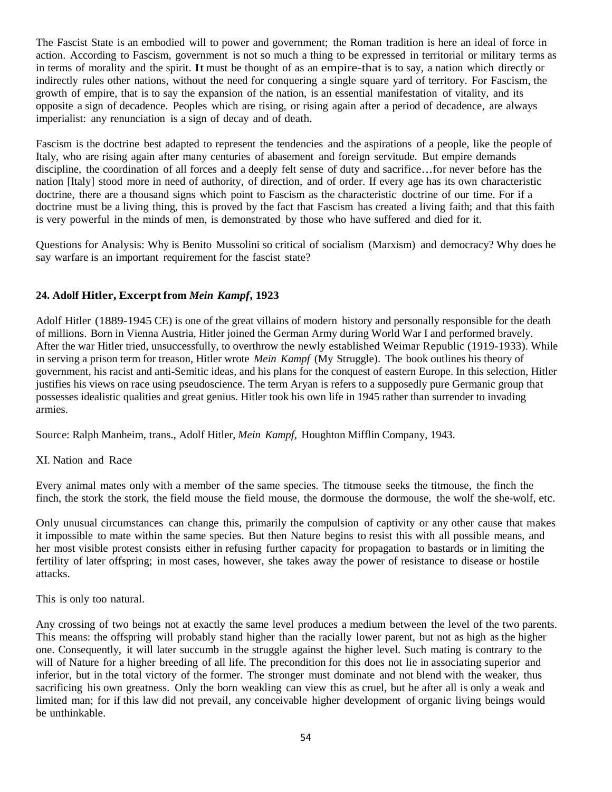The Fascist State is an embodied will to power and government; the Roman tradition is here an ideal of force in action. According to Fascism, government is not so much a thing to be expressed in territorial or military terms as in terms of morality and the spirit. Itmust be thought of as an empire-that is to say, <sup>a</sup> nation which directly or indirectly rules other nations, without the need for conquering a single square yard of territory. For Fascism, the growth of empire, that is to say the expansion of the nation, is an essential manifestation of vitality, and its opposite a sign of decadence. Peoples which are rising, or rising again after a period of decadence, are always imperialist: any renunciation is a sign of decay and of death.

Fascism is the doctrine best adapted to represent the tendencies and the aspirations of a people, like the people of Italy, who are rising again after many centuries of abasement and foreign servitude. But empire demands discipline, the coordination of all forces and a deeply felt sense of duty and sacrifice...for never before has the nation [Italy] stood more in need of authority, of direction, and of order. If every age has its own characteristic doctrine, there are a thousand signs which point to Fascism as the characteristic doctrine of our time. For if a doctrine must be a living thing, this is proved by the fact that Fascism has created a living faith; and that this faith is very powerful in the minds of men, is demonstrated by those who have suffered and died for it.

Questions for Analysis: Why is Benito Mussolini so critical of socialism (Marxism) and democracy? Why does he say warfare is an important requirement for the fascist state?

## **24. Adolf Hitler, Excerpt from** *Mein Kampf***, 1923**

Adolf Hitler (1889-1945 CE) is one of the great villains of modern history and personally responsible for the death of millions. Born in Vienna Austria, Hitler joined the German Army during World War I and performed bravely. After the war Hitler tried, unsuccessfully, to overthrow the newly established Weimar Republic (1919-1933). While in serving a prison term for treason, Hitler wrote *Mein Kampf* (My Struggle). The book outlines his theory of government, his racist and anti-Semitic ideas, and his plans for the conquest of eastern Europe. In this selection, Hitler justifies his views on race using pseudoscience. The term Aryan is refers to a supposedly pure Germanic group that possesses idealistic qualities and great genius. Hitler took his own life in 1945 rather than surrender to invading armies.

Source: Ralph Manheim, trans., Adolf Hitler, *Mein Kampf,* Houghton Mifflin Company, 1943.

XI. Nation and Race

Every animal mates only with a member of the same species. The titmouse seeks the titmouse, the finch the finch, the stork the stork, the field mouse the field mouse, the dormouse the dormouse, the wolf the she-wolf, etc.

Only unusual circumstances can change this, primarily the compulsion of captivity or any other cause that makes it impossible to mate within the same species. But then Nature begins to resist this with all possible means, and her most visible protest consists either in refusing further capacity for propagation to bastards or in limiting the fertility of later offspring; in most cases, however, she takes away the power of resistance to disease or hostile attacks.

This is only too natural.

Any crossing of two beings not at exactly the same level produces a medium between the level of the two parents. This means: the offspring will probably stand higher than the racially lower parent, but not as high as the higher one. Consequently, it will later succumb in the struggle against the higher level. Such mating is contrary to the will of Nature for a higher breeding of all life. The precondition for this does not lie in associating superior and inferior, but in the total victory of the former. The stronger must dominate and not blend with the weaker, thus sacrificing his own greatness. Only the born weakling can view this as cruel, but he after all is only a weak and limited man; for if this law did not prevail, any conceivable higher development of organic living beings would be unthinkable.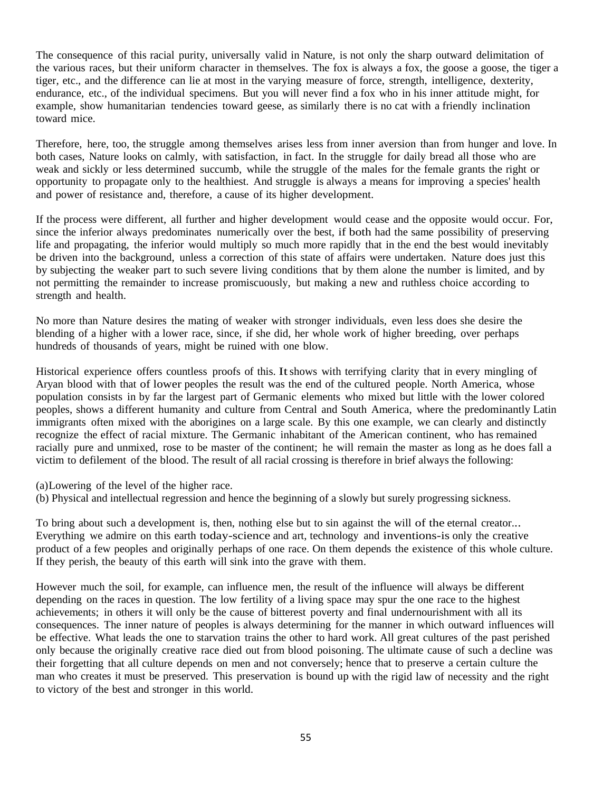The consequence of this racial purity, universally valid in Nature, is not only the sharp outward delimitation of the various races, but their uniform character in themselves. The fox is always a fox, the goose a goose, the tiger a tiger, etc., and the difference can lie at most in the varying measure of force, strength, intelligence, dexterity, endurance, etc., of the individual specimens. But you will never find a fox who in his inner attitude might, for example, show humanitarian tendencies toward geese, as similarly there is no cat with a friendly inclination toward mice.

Therefore, here, too, the struggle among themselves arises less from inner aversion than from hunger and love. In both cases, Nature looks on calmly, with satisfaction, in fact. In the struggle for daily bread all those who are weak and sickly or less determined succumb, while the struggle of the males for the female grants the right or opportunity to propagate only to the healthiest. And struggle is always a means for improving a species' health and power of resistance and, therefore, a cause of its higher development.

If the process were different, all further and higher development would cease and the opposite would occur. For, since the inferior always predominates numerically over the best, if both had the same possibility of preserving life and propagating, the inferior would multiply so much more rapidly that in the end the best would inevitably be driven into the background, unless a correction of this state of affairs were undertaken. Nature does just this by subjecting the weaker part to such severe living conditions that by them alone the number is limited, and by not permitting the remainder to increase promiscuously, but making a new and ruthless choice according to strength and health.

No more than Nature desires the mating of weaker with stronger individuals, even less does she desire the blending of a higher with a lower race, since, if she did, her whole work of higher breeding, over perhaps hundreds of thousands of years, might be ruined with one blow.

Historical experience offers countless proofs of this. Itshows with terrifying clarity that in every mingling of Aryan blood with that of lower peoples the result was the end of the cultured people. North America, whose population consists in by far the largest part of Germanic elements who mixed but little with the lower colored peoples, shows a different humanity and culture from Central and South America, where the predominantly Latin immigrants often mixed with the aborigines on a large scale. By this one example, we can clearly and distinctly recognize the effect of racial mixture. The Germanic inhabitant of the American continent, who has remained racially pure and unmixed, rose to be master of the continent; he will remain the master as long as he does fall a victim to defilement of the blood. The result of all racial crossing is therefore in brief always the following:

(a)Lowering of the level of the higher race.

(b) Physical and intellectual regression and hence the beginning of a slowly but surely progressing sickness.

To bring about such a development is, then, nothing else but to sin against the will of the eternal creator... Everything we admire on this earth today-science and art, technology and inventions-is only the creative product of a few peoples and originally perhaps of one race. On them depends the existence of this whole culture. If they perish, the beauty of this earth will sink into the grave with them.

However much the soil, for example, can influence men, the result of the influence will always be different depending on the races in question. The low fertility of a living space may spur the one race to the highest achievements; in others it will only be the cause of bitterest poverty and final undernourishment with all its consequences. The inner nature of peoples is always determining for the manner in which outward influences will be effective. What leads the one to starvation trains the other to hard work. All great cultures of the past perished only because the originally creative race died out from blood poisoning. The ultimate cause of such a decline was their forgetting that all culture depends on men and not conversely; hence that to preserve a certain culture the man who creates it must be preserved. This preservation is bound up with the rigid law of necessity and the right to victory of the best and stronger in this world.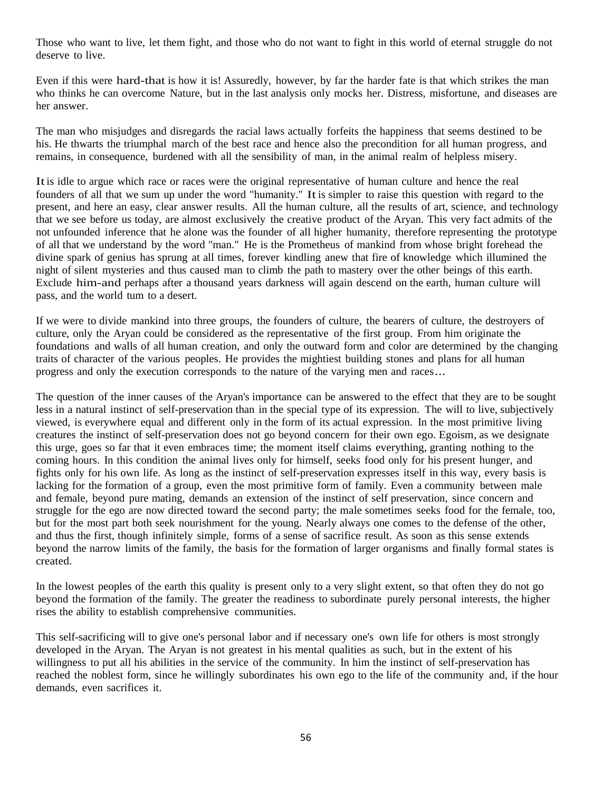Those who want to live, let them fight, and those who do not want to fight in this world of eternal struggle do not deserve to live.

Even if this were hard-that is how it is! Assuredly, however, by far the harder fate is that which strikes the man who thinks he can overcome Nature, but in the last analysis only mocks her. Distress, misfortune, and diseases are her answer.

The man who misjudges and disregards the racial laws actually forfeits the happiness that seems destined to be his. He thwarts the triumphal march of the best race and hence also the precondition for all human progress, and remains, in consequence, burdened with all the sensibility of man, in the animal realm of helpless misery.

Itis idle to argue which race or races were the original representative of human culture and hence the real founders of all that we sum up under the word "humanity." It is simpler to raise this question with regard to the present, and here an easy, clear answer results. All the human culture, all the results of art, science, and technology that we see before us today, are almost exclusively the creative product of the Aryan. This very fact admits of the not unfounded inference that he alone was the founder of all higher humanity, therefore representing the prototype of all that we understand by the word "man." He is the Prometheus of mankind from whose bright forehead the divine spark of genius has sprung at all times, forever kindling anew that fire of knowledge which illumined the night of silent mysteries and thus caused man to climb the path to mastery over the other beings of this earth. Exclude him-and perhaps after a thousand years darkness will again descend on the earth, human culture will pass, and the world tum to a desert.

If we were to divide mankind into three groups, the founders of culture, the bearers of culture, the destroyers of culture, only the Aryan could be considered as the representative of the first group. From him originate the foundations and walls of all human creation, and only the outward form and color are determined by the changing traits of character of the various peoples. He provides the mightiest building stones and plans for all human progress and only the execution corresponds to the nature of the varying men and races...

The question of the inner causes of the Aryan's importance can be answered to the effect that they are to be sought less in a natural instinct of self-preservation than in the special type of its expression. The will to live, subjectively viewed, is everywhere equal and different only in the form of its actual expression. In the most primitive living creatures the instinct of self-preservation does not go beyond concern for their own ego. Egoism, as we designate this urge, goes so far that it even embraces time; the moment itself claims everything, granting nothing to the coming hours. In this condition the animal lives only for himself, seeks food only for his present hunger, and fights only for his own life. As long as the instinct of self-preservation expresses itself in this way, every basis is lacking for the formation of a group, even the most primitive form of family. Even a community between male and female, beyond pure mating, demands an extension of the instinct of self preservation, since concern and struggle for the ego are now directed toward the second party; the male sometimes seeks food for the female, too, but for the most part both seek nourishment for the young. Nearly always one comes to the defense of the other, and thus the first, though infinitely simple, forms of a sense of sacrifice result. As soon as this sense extends beyond the narrow limits of the family, the basis for the formation of larger organisms and finally formal states is created.

In the lowest peoples of the earth this quality is present only to a very slight extent, so that often they do not go beyond the formation of the family. The greater the readiness to subordinate purely personal interests, the higher rises the ability to establish comprehensive communities.

This self-sacrificing will to give one's personal labor and if necessary one's own life for others is most strongly developed in the Aryan. The Aryan is not greatest in his mental qualities as such, but in the extent of his willingness to put all his abilities in the service of the community. In him the instinct of self-preservation has reached the noblest form, since he willingly subordinates his own ego to the life of the community and, if the hour demands, even sacrifices it.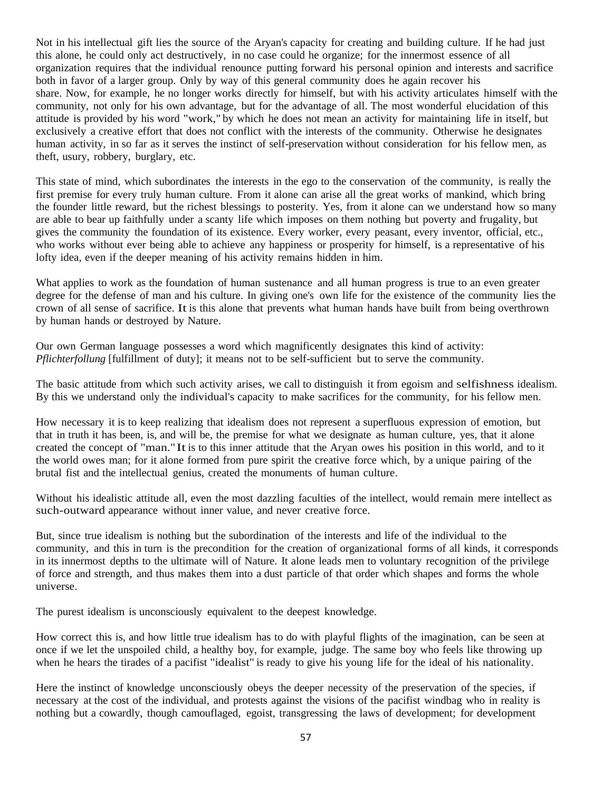Not in his intellectual gift lies the source of the Aryan's capacity for creating and building culture. If he had just this alone, he could only act destructively, in no case could he organize; for the innermost essence of all organization requires that the individual renounce putting forward his personal opinion and interests and sacrifice both in favor of a larger group. Only by way of this general community does he again recover his share. Now, for example, he no longer works directly for himself, but with his activity articulates himself with the community, not only for his own advantage, but for the advantage of all. The most wonderful elucidation of this attitude is provided by his word "work," by which he does not mean an activity for maintaining life in itself, but exclusively a creative effort that does not conflict with the interests of the community. Otherwise he designates human activity, in so far as it serves the instinct of self-preservation without consideration for his fellow men, as theft, usury, robbery, burglary, etc.

This state of mind, which subordinates the interests in the ego to the conservation of the community, is really the first premise for every truly human culture. From it alone can arise all the great works of mankind, which bring the founder little reward, but the richest blessings to posterity. Yes, from it alone can we understand how so many are able to bear up faithfully under a scanty life which imposes on them nothing but poverty and frugality, but gives the community the foundation of its existence. Every worker, every peasant, every inventor, official, etc., who works without ever being able to achieve any happiness or prosperity for himself, is a representative of his lofty idea, even if the deeper meaning of his activity remains hidden in him.

What applies to work as the foundation of human sustenance and all human progress is true to an even greater degree for the defense of man and his culture. In giving one's own life for the existence of the community lies the crown of all sense of sacrifice. It is this alone that prevents what human hands have built from being overthrown by human hands or destroyed by Nature.

Our own German language possesses a word which magnificently designates this kind of activity: *Pflichterfollung* [fulfillment of duty]; it means not to be self-sufficient but to serve the community.

The basic attitude from which such activity arises, we call to distinguish it from egoism and selfishness idealism. By this we understand only the individual's capacity to make sacrifices for the community, for his fellow men.

How necessary it is to keep realizing that idealism does not represent a superfluous expression of emotion, but that in truth it has been, is, and will be, the premise for what we designate as human culture, yes, that it alone created the concept of "man."It is to this inner attitude that the Aryan owes his position in this world, and to it the world owes man; for it alone formed from pure spirit the creative force which, by a unique pairing of the brutal fist and the intellectual genius, created the monuments of human culture.

Without his idealistic attitude all, even the most dazzling faculties of the intellect, would remain mere intellect as such-outward appearance without inner value, and never creative force.

But, since true idealism is nothing but the subordination of the interests and life of the individual to the community, and this in turn is the precondition for the creation of organizational forms of all kinds, it corresponds in its innermost depths to the ultimate will of Nature. It alone leads men to voluntary recognition of the privilege of force and strength, and thus makes them into a dust particle of that order which shapes and forms the whole universe.

The purest idealism is unconsciously equivalent to the deepest knowledge.

How correct this is, and how little true idealism has to do with playful flights of the imagination, can be seen at once if we let the unspoiled child, a healthy boy, for example, judge. The same boy who feels like throwing up when he hears the tirades of a pacifist "idealist" is ready to give his young life for the ideal of his nationality.

Here the instinct of knowledge unconsciously obeys the deeper necessity of the preservation of the species, if necessary at the cost of the individual, and protests against the visions of the pacifist windbag who in reality is nothing but a cowardly, though camouflaged, egoist, transgressing the laws of development; for development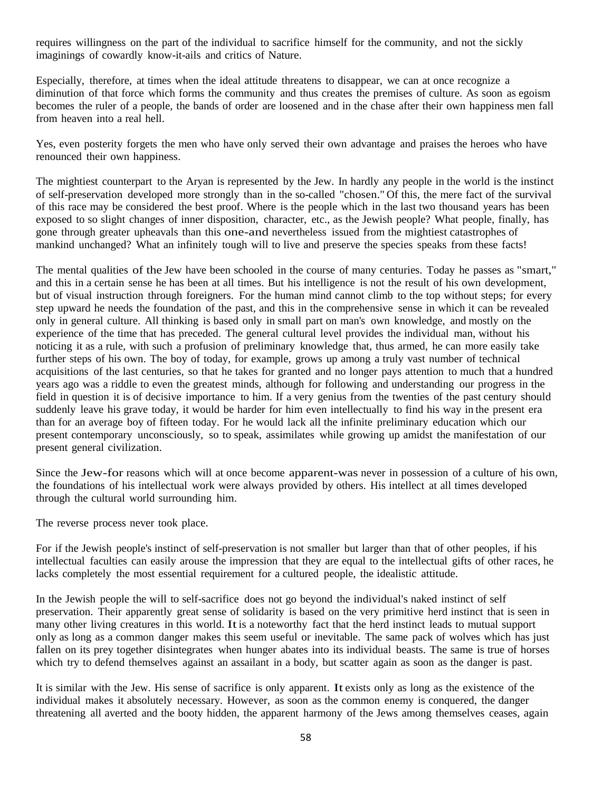requires willingness on the part of the individual to sacrifice himself for the community, and not the sickly imaginings of cowardly know-it-ails and critics of Nature.

Especially, therefore, at times when the ideal attitude threatens to disappear, we can at once recognize a diminution of that force which forms the community and thus creates the premises of culture. As soon as egoism becomes the ruler of a people, the bands of order are loosened and in the chase after their own happiness men fall from heaven into a real hell.

Yes, even posterity forgets the men who have only served their own advantage and praises the heroes who have renounced their own happiness.

The mightiest counterpart to the Aryan is represented by the Jew. In hardly any people in the world is the instinct of self-preservation developed more strongly than in the so-called "chosen." Of this, the mere fact of the survival of this race may be considered the best proof. Where is the people which in the last two thousand years has been exposed to so slight changes of inner disposition, character, etc., as the Jewish people? What people, finally, has gone through greater upheavals than this one-and nevertheless issued from the mightiest catastrophes of mankind unchanged? What an infinitely tough will to live and preserve the species speaks from these facts!

The mental qualities of the Jew have been schooled in the course of many centuries. Today he passes as "smart," and this in a certain sense he has been at all times. But his intelligence is not the result of his own development, but of visual instruction through foreigners. For the human mind cannot climb to the top without steps; for every step upward he needs the foundation of the past, and this in the comprehensive sense in which it can be revealed only in general culture. All thinking is based only in small part on man's own knowledge, and mostly on the experience of the time that has preceded. The general cultural level provides the individual man, without his noticing it as a rule, with such a profusion of preliminary knowledge that, thus armed, he can more easily take further steps of his own. The boy of today, for example, grows up among a truly vast number of technical acquisitions of the last centuries, so that he takes for granted and no longer pays attention to much that a hundred years ago was a riddle to even the greatest minds, although for following and understanding our progress in the field in question it is of decisive importance to him. If a very genius from the twenties of the past century should suddenly leave his grave today, it would be harder for him even intellectually to find his way in the present era than for an average boy of fifteen today. For he would lack all the infinite preliminary education which our present contemporary unconsciously, so to speak, assimilates while growing up amidst the manifestation of our present general civilization.

Since the Jew-for reasons which will at once become apparent-was never in possession of a culture of his own, the foundations of his intellectual work were always provided by others. His intellect at all times developed through the cultural world surrounding him.

The reverse process never took place.

For if the Jewish people's instinct of self-preservation is not smaller but larger than that of other peoples, if his intellectual faculties can easily arouse the impression that they are equal to the intellectual gifts of other races, he lacks completely the most essential requirement for a cultured people, the idealistic attitude.

In the Jewish people the will to self-sacrifice does not go beyond the individual's naked instinct of self preservation. Their apparently great sense of solidarity is based on the very primitive herd instinct that is seen in many other living creatures in this world. Itis a noteworthy fact that the herd instinct leads to mutual support only as long as a common danger makes this seem useful or inevitable. The same pack of wolves which has just fallen on its prey together disintegrates when hunger abates into its individual beasts. The same is true of horses which try to defend themselves against an assailant in a body, but scatter again as soon as the danger is past.

It is similar with the Jew. His sense of sacrifice is only apparent. It exists only as long as the existence of the individual makes it absolutely necessary. However, as soon as the common enemy is conquered, the danger threatening all averted and the booty hidden, the apparent harmony of the Jews among themselves ceases, again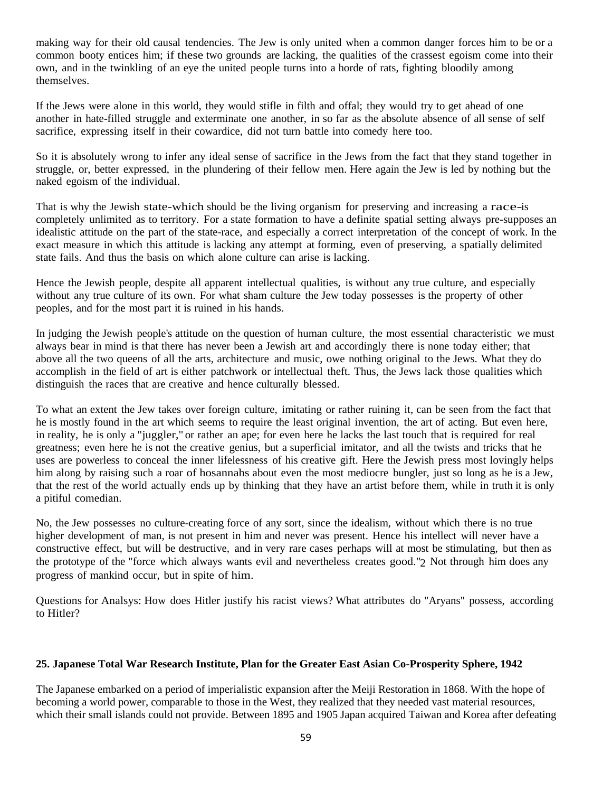making way for their old causal tendencies. The Jew is only united when a common danger forces him to be or a common booty entices him; if these two grounds are lacking, the qualities of the crassest egoism come into their own, and in the twinkling of an eye the united people turns into a horde of rats, fighting bloodily among themselves.

If the Jews were alone in this world, they would stifle in filth and offal; they would try to get ahead of one another in hate-filled struggle and exterminate one another, in so far as the absolute absence of all sense of self sacrifice, expressing itself in their cowardice, did not turn battle into comedy here too.

So it is absolutely wrong to infer any ideal sense of sacrifice in the Jews from the fact that they stand together in struggle, or, better expressed, in the plundering of their fellow men. Here again the Jew is led by nothing but the naked egoism of the individual.

That is why the Jewish state-which should be the living organism for preserving and increasing <sup>a</sup> race-is completely unlimited as to territory. For a state formation to have a definite spatial setting always pre-supposes an idealistic attitude on the part of the state-race, and especially a correct interpretation of the concept of work. In the exact measure in which this attitude is lacking any attempt at forming, even of preserving, a spatially delimited state fails. And thus the basis on which alone culture can arise is lacking.

Hence the Jewish people, despite all apparent intellectual qualities, is without any true culture, and especially without any true culture of its own. For what sham culture the Jew today possesses is the property of other peoples, and for the most part it is ruined in his hands.

In judging the Jewish people's attitude on the question of human culture, the most essential characteristic we must always bear in mind is that there has never been a Jewish art and accordingly there is none today either; that above all the two queens of all the arts, architecture and music, owe nothing original to the Jews. What they do accomplish in the field of art is either patchwork or intellectual theft. Thus, the Jews lack those qualities which distinguish the races that are creative and hence culturally blessed.

To what an extent the Jew takes over foreign culture, imitating or rather ruining it, can be seen from the fact that he is mostly found in the art which seems to require the least original invention, the art of acting. But even here, in reality, he is only a "juggler," or rather an ape; for even here he lacks the last touch that is required for real greatness; even here he is not the creative genius, but a superficial imitator, and all the twists and tricks that he uses are powerless to conceal the inner lifelessness of his creative gift. Here the Jewish press most lovingly helps him along by raising such a roar of hosannahs about even the most mediocre bungler, just so long as he is a Jew, that the rest of the world actually ends up by thinking that they have an artist before them, while in truth it is only a pitiful comedian.

No, the Jew possesses no culture-creating force of any sort, since the idealism, without which there is no true higher development of man, is not present in him and never was present. Hence his intellect will never have a constructive effect, but will be destructive, and in very rare cases perhaps will at most be stimulating, but then as the prototype of the "force which always wants evil and nevertheless creates good."2 Not through him does any progress of mankind occur, but in spite of him.

Questions for Analsys: How does Hitler justify his racist views? What attributes do "Aryans" possess, according to Hitler?

### **25. Japanese Total War Research Institute, Plan for the Greater East Asian Co-Prosperity Sphere, 1942**

The Japanese embarked on a period of imperialistic expansion after the Meiji Restoration in 1868. With the hope of becoming a world power, comparable to those in the West, they realized that they needed vast material resources, which their small islands could not provide. Between 1895 and 1905 Japan acquired Taiwan and Korea after defeating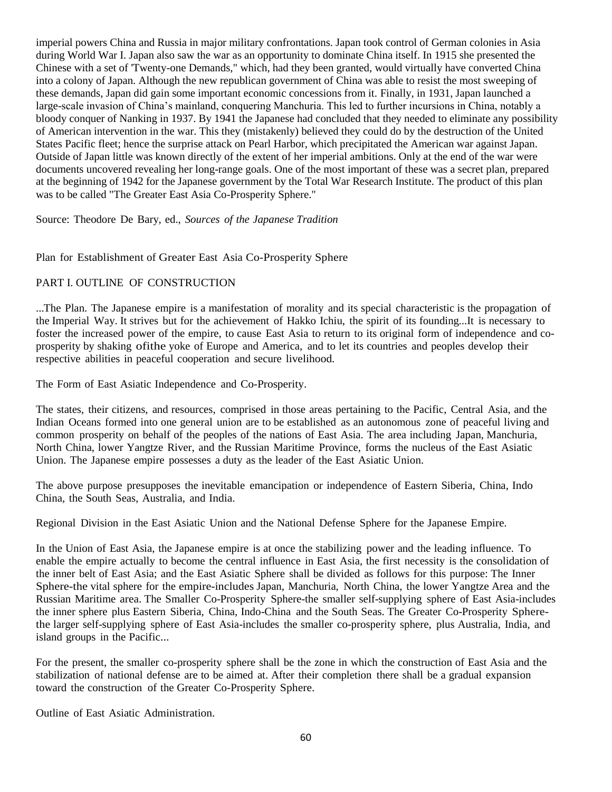imperial powers China and Russia in major military confrontations. Japan took control of German colonies in Asia during World War I. Japan also saw the war as an opportunity to dominate China itself. In 1915 she presented the Chinese with a set of 'Twenty-one Demands," which, had they been granted, would virtually have converted China into a colony of Japan. Although the new republican government of China was able to resist the most sweeping of these demands, Japan did gain some important economic concessions from it. Finally, in 1931, Japan launched a large-scale invasion of China's mainland, conquering Manchuria. This led to further incursions in China, notably a bloody conquer of Nanking in 1937. By 1941 the Japanese had concluded that they needed to eliminate any possibility of American intervention in the war. This they (mistakenly) believed they could do by the destruction of the United States Pacific fleet; hence the surprise attack on Pearl Harbor, which precipitated the American war against Japan. Outside of Japan little was known directly of the extent of her imperial ambitions. Only at the end of the war were documents uncovered revealing her long-range goals. One of the most important of these was a secret plan, prepared at the beginning of 1942 for the Japanese government by the Total War Research Institute. The product of this plan was to be called "The Greater East Asia Co-Prosperity Sphere."

Source: Theodore De Bary, ed., *Sources of the Japanese Tradition*

Plan for Establishment of Greater East Asia Co-Prosperity Sphere

## PART I. OUTLINE OF CONSTRUCTION

...The Plan. The Japanese empire is a manifestation of morality and its special characteristic is the propagation of the Imperial Way. It strives but for the achievement of Hakko Ichiu, the spirit of its founding...It is necessary to foster the increased power of the empire, to cause East Asia to return to its original form of independence and coprosperity by shaking ofithe yoke of Europe and America, and to let its countries and peoples develop their respective abilities in peaceful cooperation and secure livelihood.

The Form of East Asiatic Independence and Co-Prosperity.

The states, their citizens, and resources, comprised in those areas pertaining to the Pacific, Central Asia, and the Indian Oceans formed into one general union are to be established as an autonomous zone of peaceful living and common prosperity on behalf of the peoples of the nations of East Asia. The area including Japan, Manchuria, North China, lower Yangtze River, and the Russian Maritime Province, forms the nucleus of the East Asiatic Union. The Japanese empire possesses a duty as the leader of the East Asiatic Union.

The above purpose presupposes the inevitable emancipation or independence of Eastern Siberia, China, Indo China, the South Seas, Australia, and India.

Regional Division in the East Asiatic Union and the National Defense Sphere for the Japanese Empire.

In the Union of East Asia, the Japanese empire is at once the stabilizing power and the leading influence. To enable the empire actually to become the central influence in East Asia, the first necessity is the consolidation of the inner belt of East Asia; and the East Asiatic Sphere shall be divided as follows for this purpose: The Inner Sphere-the vital sphere for the empire-includes Japan, Manchuria, North China, the lower Yangtze Area and the Russian Maritime area. The Smaller Co-Prosperity Sphere-the smaller self-supplying sphere of East Asia-includes the inner sphere plus Eastern Siberia, China, Indo-China and the South Seas. The Greater Co-Prosperity Spherethe larger self-supplying sphere of East Asia-includes the smaller co-prosperity sphere, plus Australia, India, and island groups in the Pacific...

For the present, the smaller co-prosperity sphere shall be the zone in which the construction of East Asia and the stabilization of national defense are to be aimed at. After their completion there shall be a gradual expansion toward the construction of the Greater Co-Prosperity Sphere.

Outline of East Asiatic Administration.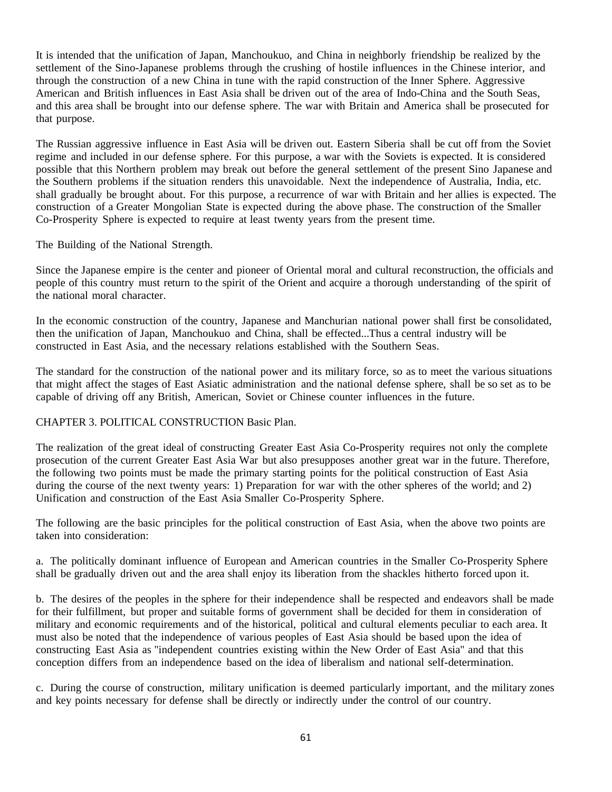It is intended that the unification of Japan, Manchoukuo, and China in neighborly friendship be realized by the settlement of the Sino-Japanese problems through the crushing of hostile influences in the Chinese interior, and through the construction of a new China in tune with the rapid construction of the Inner Sphere. Aggressive American and British influences in East Asia shall be driven out of the area of Indo-China and the South Seas, and this area shall be brought into our defense sphere. The war with Britain and America shall be prosecuted for that purpose.

The Russian aggressive influence in East Asia will be driven out. Eastern Siberia shall be cut off from the Soviet regime and included in our defense sphere. For this purpose, a war with the Soviets is expected. It is considered possible that this Northern problem may break out before the general settlement of the present Sino Japanese and the Southern problems if the situation renders this unavoidable. Next the independence of Australia, India, etc. shall gradually be brought about. For this purpose, a recurrence of war with Britain and her allies is expected. The construction of a Greater Mongolian State is expected during the above phase. The construction of the Smaller Co-Prosperity Sphere is expected to require at least twenty years from the present time.

The Building of the National Strength.

Since the Japanese empire is the center and pioneer of Oriental moral and cultural reconstruction, the officials and people of this country must return to the spirit of the Orient and acquire a thorough understanding of the spirit of the national moral character.

In the economic construction of the country, Japanese and Manchurian national power shall first be consolidated, then the unification of Japan, Manchoukuo and China, shall be effected...Thus a central industry will be constructed in East Asia, and the necessary relations established with the Southern Seas.

The standard for the construction of the national power and its military force, so as to meet the various situations that might affect the stages of East Asiatic administration and the national defense sphere, shall be so set as to be capable of driving off any British, American, Soviet or Chinese counter influences in the future.

### CHAPTER 3. POLITICAL CONSTRUCTION Basic Plan.

The realization of the great ideal of constructing Greater East Asia Co-Prosperity requires not only the complete prosecution of the current Greater East Asia War but also presupposes another great war in the future. Therefore, the following two points must be made the primary starting points for the political construction of East Asia during the course of the next twenty years: 1) Preparation for war with the other spheres of the world; and 2) Unification and construction of the East Asia Smaller Co-Prosperity Sphere.

The following are the basic principles for the political construction of East Asia, when the above two points are taken into consideration:

a. The politically dominant influence of European and American countries in the Smaller Co-Prosperity Sphere shall be gradually driven out and the area shall enjoy its liberation from the shackles hitherto forced upon it.

b. The desires of the peoples in the sphere for their independence shall be respected and endeavors shall be made for their fulfillment, but proper and suitable forms of government shall be decided for them in consideration of military and economic requirements and of the historical, political and cultural elements peculiar to each area. It must also be noted that the independence of various peoples of East Asia should be based upon the idea of constructing East Asia as "independent countries existing within the New Order of East Asia" and that this conception differs from an independence based on the idea of liberalism and national self-determination.

c. During the course of construction, military unification is deemed particularly important, and the military zones and key points necessary for defense shall be directly or indirectly under the control of our country.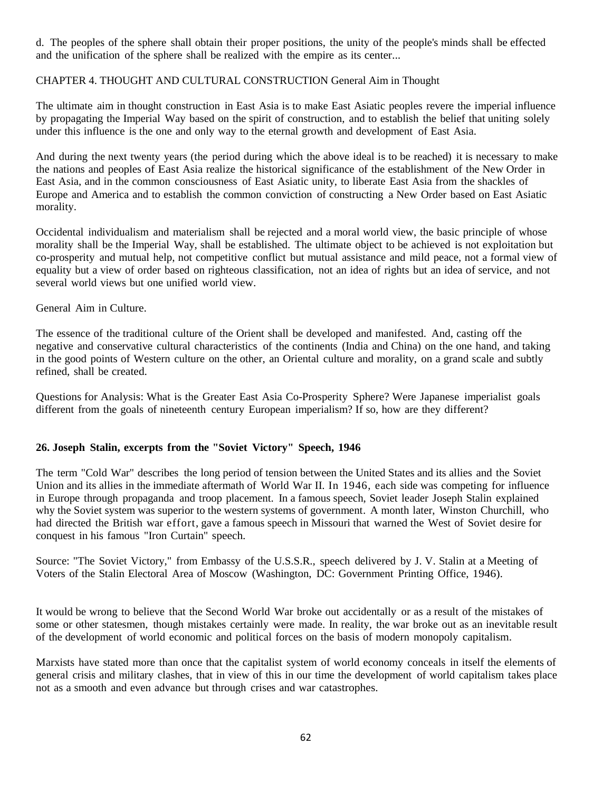d. The peoples of the sphere shall obtain their proper positions, the unity of the people's minds shall be effected and the unification of the sphere shall be realized with the empire as its center...

## CHAPTER 4. THOUGHT AND CULTURAL CONSTRUCTION General Aim in Thought

The ultimate aim in thought construction in East Asia is to make East Asiatic peoples revere the imperial influence by propagating the Imperial Way based on the spirit of construction, and to establish the belief that uniting solely under this influence is the one and only way to the eternal growth and development of East Asia.

And during the next twenty years (the period during which the above ideal is to be reached) it is necessary to make the nations and peoples of East Asia realize the historical significance of the establishment of the New Order in East Asia, and in the common consciousness of East Asiatic unity, to liberate East Asia from the shackles of Europe and America and to establish the common conviction of constructing a New Order based on East Asiatic morality.

Occidental individualism and materialism shall be rejected and a moral world view, the basic principle of whose morality shall be the Imperial Way, shall be established. The ultimate object to be achieved is not exploitation but co-prosperity and mutual help, not competitive conflict but mutual assistance and mild peace, not a formal view of equality but a view of order based on righteous classification, not an idea of rights but an idea of service, and not several world views but one unified world view.

## General Aim in Culture.

The essence of the traditional culture of the Orient shall be developed and manifested. And, casting off the negative and conservative cultural characteristics of the continents (India and China) on the one hand, and taking in the good points of Western culture on the other, an Oriental culture and morality, on a grand scale and subtly refined, shall be created.

Questions for Analysis: What is the Greater East Asia Co-Prosperity Sphere? Were Japanese imperialist goals different from the goals of nineteenth century European imperialism? If so, how are they different?

### **26. Joseph Stalin, excerpts from the "Soviet Victory" Speech, 1946**

The term "Cold War" describes the long period of tension between the United States and its allies and the Soviet Union and its allies in the immediate aftermath of World War II. In 1946, each side was competing for influence in Europe through propaganda and troop placement. In a famous speech, Soviet leader Joseph Stalin explained why the Soviet system was superior to the western systems of government. A month later, Winston Churchill, who had directed the British war effort, gave a famous speech in Missouri that warned the West of Soviet desire for conquest in his famous "Iron Curtain" speech.

Source: "The Soviet Victory," from Embassy of the U.S.S.R., speech delivered by J. V. Stalin at a Meeting of Voters of the Stalin Electoral Area of Moscow (Washington, DC: Government Printing Office, 1946).

It would be wrong to believe that the Second World War broke out accidentally or as a result of the mistakes of some or other statesmen, though mistakes certainly were made. In reality, the war broke out as an inevitable result of the development of world economic and political forces on the basis of modern monopoly capitalism.

Marxists have stated more than once that the capitalist system of world economy conceals in itself the elements of general crisis and military clashes, that in view of this in our time the development of world capitalism takes place not as a smooth and even advance but through crises and war catastrophes.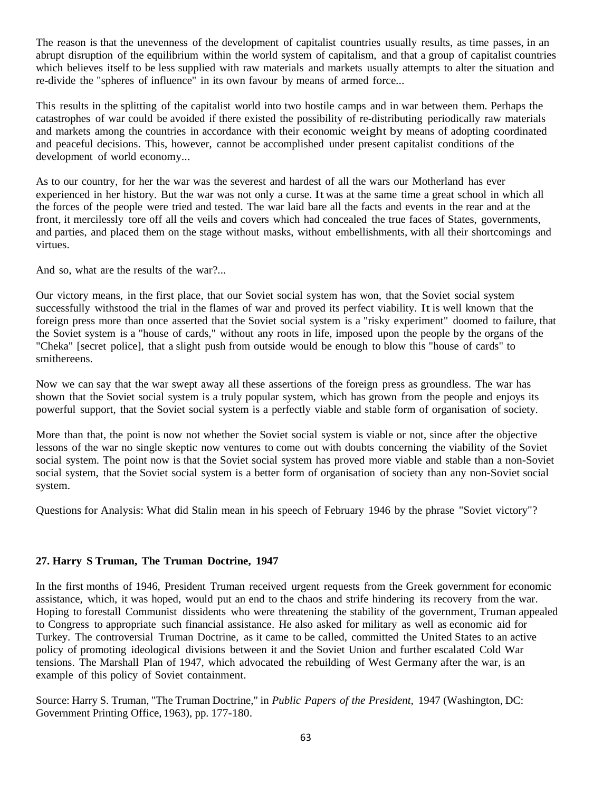The reason is that the unevenness of the development of capitalist countries usually results, as time passes, in an abrupt disruption of the equilibrium within the world system of capitalism, and that a group of capitalist countries which believes itself to be less supplied with raw materials and markets usually attempts to alter the situation and re-divide the "spheres of influence" in its own favour by means of armed force...

This results in the splitting of the capitalist world into two hostile camps and in war between them. Perhaps the catastrophes of war could be avoided if there existed the possibility of re-distributing periodically raw materials and markets among the countries in accordance with their economic weight by means of adopting coordinated and peaceful decisions. This, however, cannot be accomplished under present capitalist conditions of the development of world economy...

As to our country, for her the war was the severest and hardest of all the wars our Motherland has ever experienced in her history. But the war was not only a curse. Itwas at the same time a great school in which all the forces of the people were tried and tested. The war laid bare all the facts and events in the rear and at the front, it mercilessly tore off all the veils and covers which had concealed the true faces of States, governments, and parties, and placed them on the stage without masks, without embellishments, with all their shortcomings and virtues.

And so, what are the results of the war?...

Our victory means, in the first place, that our Soviet social system has won, that the Soviet social system successfully withstood the trial in the flames of war and proved its perfect viability. It is well known that the foreign press more than once asserted that the Soviet social system is a "risky experiment" doomed to failure, that the Soviet system is a "house of cards," without any roots in life, imposed upon the people by the organs of the "Cheka" [secret police], that a slight push from outside would be enough to blow this "house of cards" to smithereens.

Now we can say that the war swept away all these assertions of the foreign press as groundless. The war has shown that the Soviet social system is a truly popular system, which has grown from the people and enjoys its powerful support, that the Soviet social system is a perfectly viable and stable form of organisation of society.

More than that, the point is now not whether the Soviet social system is viable or not, since after the objective lessons of the war no single skeptic now ventures to come out with doubts concerning the viability of the Soviet social system. The point now is that the Soviet social system has proved more viable and stable than a non-Soviet social system, that the Soviet social system is a better form of organisation of society than any non-Soviet social system.

Questions for Analysis: What did Stalin mean in his speech of February 1946 by the phrase "Soviet victory"?

### **27. Harry S Truman, The Truman Doctrine, 1947**

In the first months of 1946, President Truman received urgent requests from the Greek government for economic assistance, which, it was hoped, would put an end to the chaos and strife hindering its recovery from the war. Hoping to forestall Communist dissidents who were threatening the stability of the government, Truman appealed to Congress to appropriate such financial assistance. He also asked for military as well as economic aid for Turkey. The controversial Truman Doctrine, as it came to be called, committed the United States to an active policy of promoting ideological divisions between it and the Soviet Union and further escalated Cold War tensions. The Marshall Plan of 1947, which advocated the rebuilding of West Germany after the war, is an example of this policy of Soviet containment.

Source: Harry S. Truman, "The Truman Doctrine," in *Public Papers of the President,* 1947 (Washington, DC: Government Printing Office, 1963), pp. 177-180.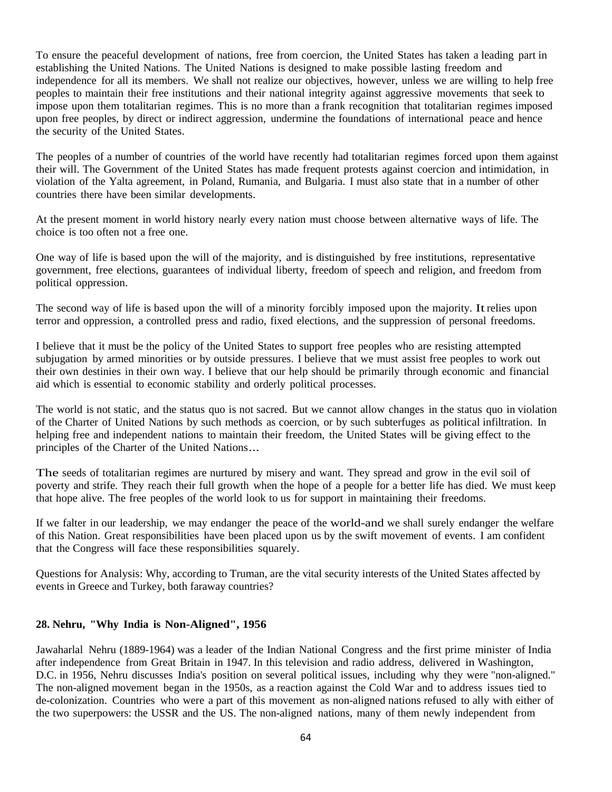To ensure the peaceful development of nations, free from coercion, the United States has taken a leading part in establishing the United Nations. The United Nations is designed to make possible lasting freedom and independence for all its members. We shall not realize our objectives, however, unless we are willing to help free peoples to maintain their free institutions and their national integrity against aggressive movements that seek to impose upon them totalitarian regimes. This is no more than a frank recognition that totalitarian regimes imposed upon free peoples, by direct or indirect aggression, undermine the foundations of international peace and hence the security of the United States.

The peoples of a number of countries of the world have recently had totalitarian regimes forced upon them against their will. The Government of the United States has made frequent protests against coercion and intimidation, in violation of the Yalta agreement, in Poland, Rumania, and Bulgaria. I must also state that in a number of other countries there have been similar developments.

At the present moment in world history nearly every nation must choose between alternative ways of life. The choice is too often not a free one.

One way of life is based upon the will of the majority, and is distinguished by free institutions, representative government, free elections, guarantees of individual liberty, freedom of speech and religion, and freedom from political oppression.

The second way of life is based upon the will of a minority forcibly imposed upon the majority. Itrelies upon terror and oppression, a controlled press and radio, fixed elections, and the suppression of personal freedoms.

I believe that it must be the policy of the United States to support free peoples who are resisting attempted subjugation by armed minorities or by outside pressures. I believe that we must assist free peoples to work out their own destinies in their own way. I believe that our help should be primarily through economic and financial aid which is essential to economic stability and orderly political processes.

The world is not static, and the status quo is not sacred. But we cannot allow changes in the status quo in violation of the Charter of United Nations by such methods as coercion, or by such subterfuges as political infiltration. In helping free and independent nations to maintain their freedom, the United States will be giving effect to the principles of the Charter of the United Nations...

The seeds of totalitarian regimes are nurtured by misery and want. They spread and grow in the evil soil of poverty and strife. They reach their full growth when the hope of a people for a better life has died. We must keep that hope alive. The free peoples of the world look to us for support in maintaining their freedoms.

If we falter in our leadership, we may endanger the peace of the world-and we shall surely endanger the welfare of this Nation. Great responsibilities have been placed upon us by the swift movement of events. I am confident that the Congress will face these responsibilities squarely.

Questions for Analysis: Why, according to Truman, are the vital security interests of the United States affected by events in Greece and Turkey, both faraway countries?

### **28. Nehru, "Why India is Non-Aligned", 1956**

Jawaharlal Nehru (1889-1964) was a leader of the Indian National Congress and the first prime minister of India after independence from Great Britain in 1947. In this television and radio address, delivered in Washington, D.C. in 1956, Nehru discusses India's position on several political issues, including why they were "non-aligned." The non-aligned movement began in the 1950s, as a reaction against the Cold War and to address issues tied to de-colonization. Countries who were a part of this movement as non-aligned nations refused to ally with either of the two superpowers: the USSR and the US. The non-aligned nations, many of them newly independent from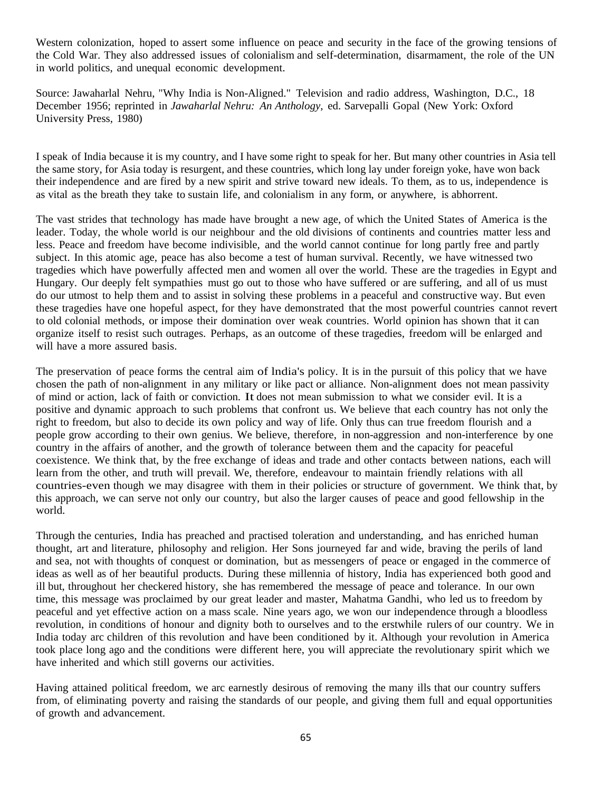Western colonization, hoped to assert some influence on peace and security in the face of the growing tensions of the Cold War. They also addressed issues of colonialism and self-determination, disarmament, the role of the UN in world politics, and unequal economic development.

Source: Jawaharlal Nehru, "Why India is Non-Aligned." Television and radio address, Washington, D.C., 18 December 1956; reprinted in *Jawaharlal Nehru: An Anthology,* ed. Sarvepalli Gopal (New York: Oxford University Press, 1980)

I speak of India because it is my country, and I have some right to speak for her. But many other countries in Asia tell the same story, for Asia today is resurgent, and these countries, which long lay under foreign yoke, have won back their independence and are fired by a new spirit and strive toward new ideals. To them, as to us, independence is as vital as the breath they take to sustain life, and colonialism in any form, or anywhere, is abhorrent.

The vast strides that technology has made have brought a new age, of which the United States of America is the leader. Today, the whole world is our neighbour and the old divisions of continents and countries matter less and less. Peace and freedom have become indivisible, and the world cannot continue for long partly free and partly subject. In this atomic age, peace has also become a test of human survival. Recently, we have witnessed two tragedies which have powerfully affected men and women all over the world. These are the tragedies in Egypt and Hungary. Our deeply felt sympathies must go out to those who have suffered or are suffering, and all of us must do our utmost to help them and to assist in solving these problems in a peaceful and constructive way. But even these tragedies have one hopeful aspect, for they have demonstrated that the most powerful countries cannot revert to old colonial methods, or impose their domination over weak countries. World opinion has shown that it can organize itself to resist such outrages. Perhaps, as an outcome of these tragedies, freedom will be enlarged and will have a more assured basis.

The preservation of peace forms the central aim of lndia's policy. It is in the pursuit of this policy that we have chosen the path of non-alignment in any military or like pact or alliance. Non-alignment does not mean passivity of mind or action, lack of faith or conviction. It does not mean submission to what we consider evil. It is a positive and dynamic approach to such problems that confront us. We believe that each country has not only the right to freedom, but also to decide its own policy and way of life. Only thus can true freedom flourish and a people grow according to their own genius. We believe, therefore, in non-aggression and non-interference by one country in the affairs of another, and the growth of tolerance between them and the capacity for peaceful coexistence. We think that, by the free exchange of ideas and trade and other contacts between nations, each will learn from the other, and truth will prevail. We, therefore, endeavour to maintain friendly relations with all countries-even though we may disagree with them in their policies or structure of government. We think that, by this approach, we can serve not only our country, but also the larger causes of peace and good fellowship in the world.

Through the centuries, India has preached and practised toleration and understanding, and has enriched human thought, art and literature, philosophy and religion. Her Sons journeyed far and wide, braving the perils of land and sea, not with thoughts of conquest or domination, but as messengers of peace or engaged in the commerce of ideas as well as of her beautiful products. During these millennia of history, India has experienced both good and ill but, throughout her checkered history, she has remembered the message of peace and tolerance. In our own time, this message was proclaimed by our great leader and master, Mahatma Gandhi, who led us to freedom by peaceful and yet effective action on a mass scale. Nine years ago, we won our independence through a bloodless revolution, in conditions of honour and dignity both to ourselves and to the erstwhile rulers of our country. We in India today arc children of this revolution and have been conditioned by it. Although your revolution in America took place long ago and the conditions were different here, you will appreciate the revolutionary spirit which we have inherited and which still governs our activities.

Having attained political freedom, we arc earnestly desirous of removing the many ills that our country suffers from, of eliminating poverty and raising the standards of our people, and giving them full and equal opportunities of growth and advancement.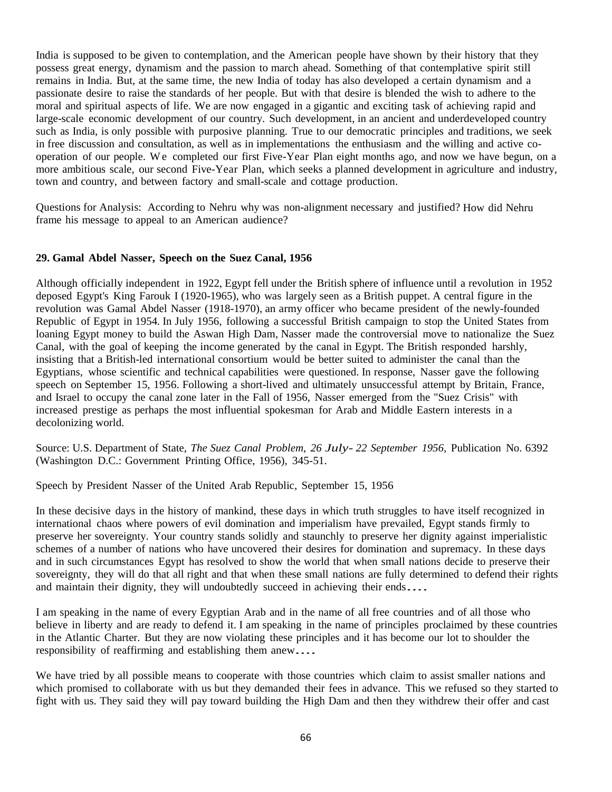India is supposed to be given to contemplation, and the American people have shown by their history that they possess great energy, dynamism and the passion to march ahead. Something of that contemplative spirit still remains in India. But, at the same time, the new India of today has also developed a certain dynamism and a passionate desire to raise the standards of her people. But with that desire is blended the wish to adhere to the moral and spiritual aspects of life. We are now engaged in a gigantic and exciting task of achieving rapid and large-scale economic development of our country. Such development, in an ancient and underdeveloped country such as India, is only possible with purposive planning. True to our democratic principles and traditions, we seek in free discussion and consultation, as well as in implementations the enthusiasm and the willing and active cooperation of our people. We completed our first Five-Year Plan eight months ago, and now we have begun, on a more ambitious scale, our second Five-Year Plan, which seeks a planned development in agriculture and industry, town and country, and between factory and small-scale and cottage production.

Questions for Analysis: According to Nehru why was non-alignment necessary and justified? How did Nehru frame his message to appeal to an American audience?

#### **29. Gamal Abdel Nasser, Speech on the Suez Canal, 1956**

Although officially independent in 1922, Egypt fell under the British sphere of influence until a revolution in 1952 deposed Egypt's King Farouk I (1920-1965), who was largely seen as a British puppet. A central figure in the revolution was Gamal Abdel Nasser (1918-1970), an army officer who became president of the newly-founded Republic of Egypt in 1954. In July 1956, following a successful British campaign to stop the United States from loaning Egypt money to build the Aswan High Dam, Nasser made the controversial move to nationalize the Suez Canal, with the goal of keeping the income generated by the canal in Egypt. The British responded harshly, insisting that a British-led international consortium would be better suited to administer the canal than the Egyptians, whose scientific and technical capabilities were questioned. In response, Nasser gave the following speech on September 15, 1956. Following a short-lived and ultimately unsuccessful attempt by Britain, France, and Israel to occupy the canal zone later in the Fall of 1956, Nasser emerged from the "Suez Crisis" with increased prestige as perhaps the most influential spokesman for Arab and Middle Eastern interests in a decolonizing world.

Source: U.S. Department of State, *The Suez Canal Problem, 26 July- 22 September 1956,* Publication No. 6392 (Washington D.C.: Government Printing Office, 1956), 345-51.

Speech by President Nasser of the United Arab Republic, September 15, 1956

In these decisive days in the history of mankind, these days in which truth struggles to have itself recognized in international chaos where powers of evil domination and imperialism have prevailed, Egypt stands firmly to preserve her sovereignty. Your country stands solidly and staunchly to preserve her dignity against imperialistic schemes of a number of nations who have uncovered their desires for domination and supremacy. In these days and in such circumstances Egypt has resolved to show the world that when small nations decide to preserve their sovereignty, they will do that all right and that when these small nations are fully determined to defend their rights and maintain their dignity, they will undoubtedly succeed in achieving their ends....

I am speaking in the name of every Egyptian Arab and in the name of all free countries and of all those who believe in liberty and are ready to defend it. I am speaking in the name of principles proclaimed by these countries in the Atlantic Charter. But they are now violating these principles and it has become our lot to shoulder the responsibility of reaffirming and establishing them anew....

We have tried by all possible means to cooperate with those countries which claim to assist smaller nations and which promised to collaborate with us but they demanded their fees in advance. This we refused so they started to fight with us. They said they will pay toward building the High Dam and then they withdrew their offer and cast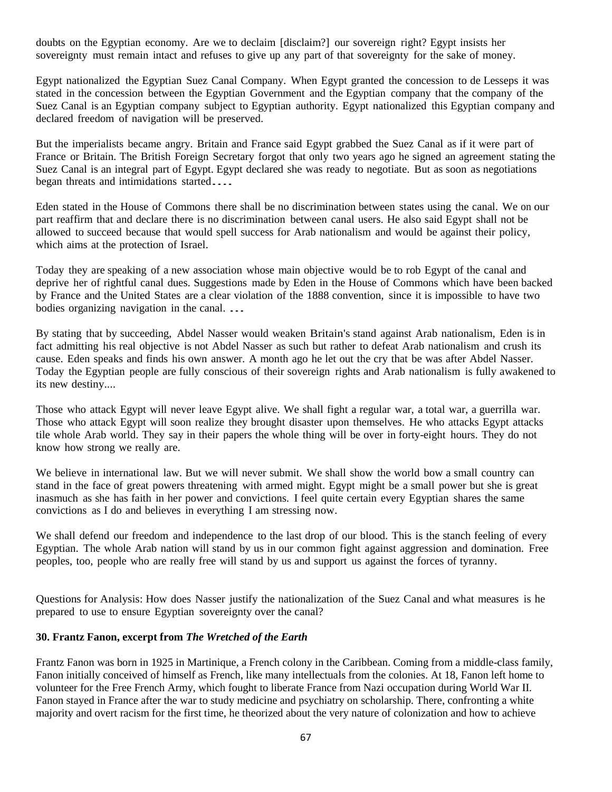doubts on the Egyptian economy. Are we to declaim [disclaim?] our sovereign right? Egypt insists her sovereignty must remain intact and refuses to give up any part of that sovereignty for the sake of money.

Egypt nationalized the Egyptian Suez Canal Company. When Egypt granted the concession to de Lesseps it was stated in the concession between the Egyptian Government and the Egyptian company that the company of the Suez Canal is an Egyptian company subject to Egyptian authority. Egypt nationalized this Egyptian company and declared freedom of navigation will be preserved.

But the imperialists became angry. Britain and France said Egypt grabbed the Suez Canal as if it were part of France or Britain. The British Foreign Secretary forgot that only two years ago he signed an agreement stating the Suez Canal is an integral part of Egypt. Egypt declared she was ready to negotiate. But as soon as negotiations began threats and intimidations started....

Eden stated in the House of Commons there shall be no discrimination between states using the canal. We on our part reaffirm that and declare there is no discrimination between canal users. He also said Egypt shall not be allowed to succeed because that would spell success for Arab nationalism and would be against their policy, which aims at the protection of Israel.

Today they are speaking of a new association whose main objective would be to rob Egypt of the canal and deprive her of rightful canal dues. Suggestions made by Eden in the House of Commons which have been backed by France and the United States are a clear violation of the 1888 convention, since it is impossible to have two bodies organizing navigation in the canal. ...

By stating that by succeeding, Abdel Nasser would weaken Britain's stand against Arab nationalism, Eden is in fact admitting his real objective is not Abdel Nasser as such but rather to defeat Arab nationalism and crush its cause. Eden speaks and finds his own answer. A month ago he let out the cry that be was after Abdel Nasser. Today the Egyptian people are fully conscious of their sovereign rights and Arab nationalism is fully awakened to its new destiny....

Those who attack Egypt will never leave Egypt alive. We shall fight a regular war, a total war, a guerrilla war. Those who attack Egypt will soon realize they brought disaster upon themselves. He who attacks Egypt attacks tile whole Arab world. They say in their papers the whole thing will be over in forty-eight hours. They do not know how strong we really are.

We believe in international law. But we will never submit. We shall show the world bow a small country can stand in the face of great powers threatening with armed might. Egypt might be a small power but she is great inasmuch as she has faith in her power and convictions. I feel quite certain every Egyptian shares the same convictions as I do and believes in everything I am stressing now.

We shall defend our freedom and independence to the last drop of our blood. This is the stanch feeling of every Egyptian. The whole Arab nation will stand by us in our common fight against aggression and domination. Free peoples, too, people who are really free will stand by us and support us against the forces of tyranny.

Questions for Analysis: How does Nasser justify the nationalization of the Suez Canal and what measures is he prepared to use to ensure Egyptian sovereignty over the canal?

#### **30. Frantz Fanon, excerpt from** *The Wretched of the Earth*

Frantz Fanon was born in 1925 in Martinique, a French colony in the Caribbean. Coming from a middle-class family, Fanon initially conceived of himself as French, like many intellectuals from the colonies. At 18, Fanon left home to volunteer for the Free French Army, which fought to liberate France from Nazi occupation during World War II. Fanon stayed in France after the war to study medicine and psychiatry on scholarship. There, confronting a white majority and overt racism for the first time, he theorized about the very nature of colonization and how to achieve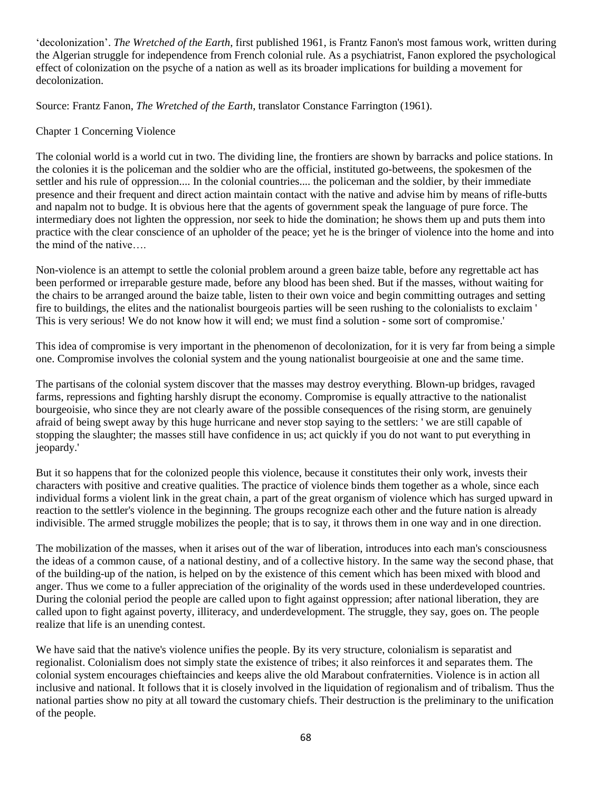'decolonization'. *The Wretched of the Earth*, first published 1961, is Frantz Fanon's most famous work, written during the Algerian struggle for independence from French colonial rule. As a psychiatrist, Fanon explored the psychological effect of colonization on the psyche of a nation as well as its broader implications for building a movement for decolonization.

Source: Frantz Fanon, *The Wretched of the Earth*, translator Constance Farrington (1961).

Chapter 1 Concerning Violence

The colonial world is a world cut in two. The dividing line, the frontiers are shown by barracks and police stations. In the colonies it is the policeman and the soldier who are the official, instituted go-betweens, the spokesmen of the settler and his rule of oppression.... In the colonial countries.... the policeman and the soldier, by their immediate presence and their frequent and direct action maintain contact with the native and advise him by means of rifle-butts and napalm not to budge. It is obvious here that the agents of government speak the language of pure force. The intermediary does not lighten the oppression, nor seek to hide the domination; he shows them up and puts them into practice with the clear conscience of an upholder of the peace; yet he is the bringer of violence into the home and into the mind of the native….

Non-violence is an attempt to settle the colonial problem around a green baize table, before any regrettable act has been performed or irreparable gesture made, before any blood has been shed. But if the masses, without waiting for the chairs to be arranged around the baize table, listen to their own voice and begin committing outrages and setting fire to buildings, the elites and the nationalist bourgeois parties will be seen rushing to the colonialists to exclaim ' This is very serious! We do not know how it will end; we must find a solution - some sort of compromise.'

This idea of compromise is very important in the phenomenon of decolonization, for it is very far from being a simple one. Compromise involves the colonial system and the young nationalist bourgeoisie at one and the same time.

The partisans of the colonial system discover that the masses may destroy everything. Blown-up bridges, ravaged farms, repressions and fighting harshly disrupt the economy. Compromise is equally attractive to the nationalist bourgeoisie, who since they are not clearly aware of the possible consequences of the rising storm, are genuinely afraid of being swept away by this huge hurricane and never stop saying to the settlers: ' we are still capable of stopping the slaughter; the masses still have confidence in us; act quickly if you do not want to put everything in jeopardy.'

But it so happens that for the colonized people this violence, because it constitutes their only work, invests their characters with positive and creative qualities. The practice of violence binds them together as a whole, since each individual forms a violent link in the great chain, a part of the great organism of violence which has surged upward in reaction to the settler's violence in the beginning. The groups recognize each other and the future nation is already indivisible. The armed struggle mobilizes the people; that is to say, it throws them in one way and in one direction.

The mobilization of the masses, when it arises out of the war of liberation, introduces into each man's consciousness the ideas of a common cause, of a national destiny, and of a collective history. In the same way the second phase, that of the building-up of the nation, is helped on by the existence of this cement which has been mixed with blood and anger. Thus we come to a fuller appreciation of the originality of the words used in these underdeveloped countries. During the colonial period the people are called upon to fight against oppression; after national liberation, they are called upon to fight against poverty, illiteracy, and underdevelopment. The struggle, they say, goes on. The people realize that life is an unending contest.

We have said that the native's violence unifies the people. By its very structure, colonialism is separatist and regionalist. Colonialism does not simply state the existence of tribes; it also reinforces it and separates them. The colonial system encourages chieftaincies and keeps alive the old Marabout confraternities. Violence is in action all inclusive and national. It follows that it is closely involved in the liquidation of regionalism and of tribalism. Thus the national parties show no pity at all toward the customary chiefs. Their destruction is the preliminary to the unification of the people.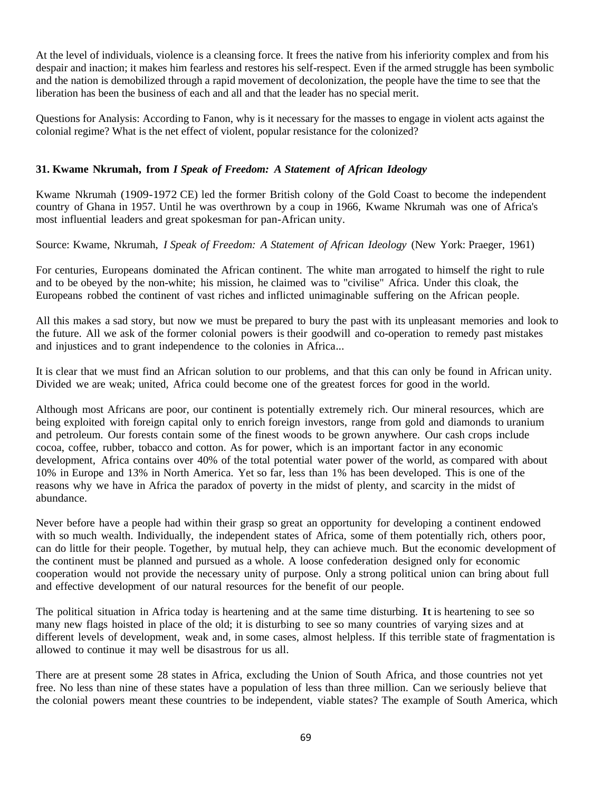At the level of individuals, violence is a cleansing force. It frees the native from his inferiority complex and from his despair and inaction; it makes him fearless and restores his self-respect. Even if the armed struggle has been symbolic and the nation is demobilized through a rapid movement of decolonization, the people have the time to see that the liberation has been the business of each and all and that the leader has no special merit.

Questions for Analysis: According to Fanon, why is it necessary for the masses to engage in violent acts against the colonial regime? What is the net effect of violent, popular resistance for the colonized?

## **31. Kwame Nkrumah, from** *I Speak of Freedom: A Statement of African Ideology*

Kwame Nkrumah (1909-1972 CE) led the former British colony of the Gold Coast to become the independent country of Ghana in 1957. Until he was overthrown by a coup in 1966, Kwame Nkrumah was one of Africa's most influential leaders and great spokesman for pan-African unity.

Source: Kwame, Nkrumah, *I Speak of Freedom: A Statement of African Ideology* (New York: Praeger, 1961)

For centuries, Europeans dominated the African continent. The white man arrogated to himself the right to rule and to be obeyed by the non-white; his mission, he claimed was to "civilise" Africa. Under this cloak, the Europeans robbed the continent of vast riches and inflicted unimaginable suffering on the African people.

All this makes a sad story, but now we must be prepared to bury the past with its unpleasant memories and look to the future. All we ask of the former colonial powers is their goodwill and co-operation to remedy past mistakes and injustices and to grant independence to the colonies in Africa...

It is clear that we must find an African solution to our problems, and that this can only be found in African unity. Divided we are weak; united, Africa could become one of the greatest forces for good in the world.

Although most Africans are poor, our continent is potentially extremely rich. Our mineral resources, which are being exploited with foreign capital only to enrich foreign investors, range from gold and diamonds to uranium and petroleum. Our forests contain some of the finest woods to be grown anywhere. Our cash crops include cocoa, coffee, rubber, tobacco and cotton. As for power, which is an important factor in any economic development, Africa contains over 40% of the total potential water power of the world, as compared with about 10% in Europe and 13% in North America. Yet so far, less than 1% has been developed. This is one of the reasons why we have in Africa the paradox of poverty in the midst of plenty, and scarcity in the midst of abundance.

Never before have a people had within their grasp so great an opportunity for developing a continent endowed with so much wealth. Individually, the independent states of Africa, some of them potentially rich, others poor, can do little for their people. Together, by mutual help, they can achieve much. But the economic development of the continent must be planned and pursued as a whole. A loose confederation designed only for economic cooperation would not provide the necessary unity of purpose. Only a strong political union can bring about full and effective development of our natural resources for the benefit of our people.

The political situation in Africa today is heartening and at the same time disturbing. It is heartening to see so many new flags hoisted in place of the old; it is disturbing to see so many countries of varying sizes and at different levels of development, weak and, in some cases, almost helpless. If this terrible state of fragmentation is allowed to continue it may well be disastrous for us all.

There are at present some 28 states in Africa, excluding the Union of South Africa, and those countries not yet free. No less than nine of these states have a population of less than three million. Can we seriously believe that the colonial powers meant these countries to be independent, viable states? The example of South America, which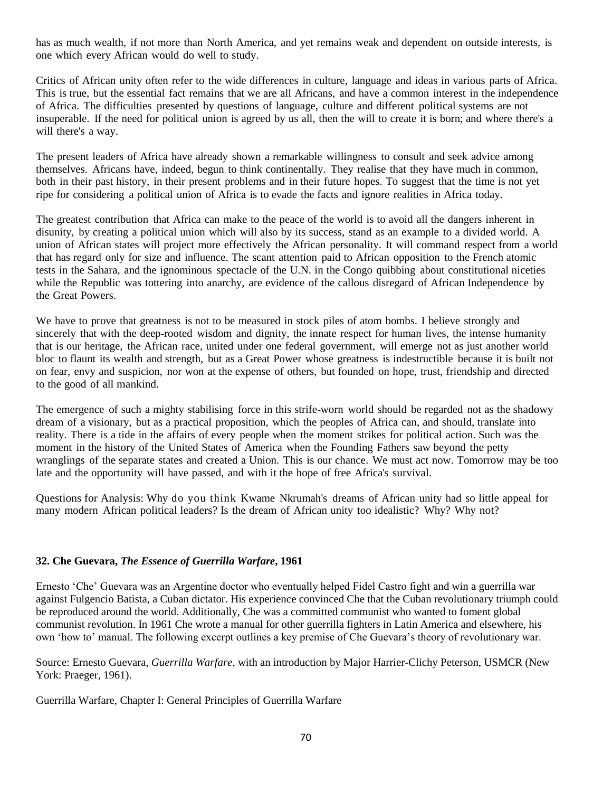has as much wealth, if not more than North America, and yet remains weak and dependent on outside interests, is one which every African would do well to study.

Critics of African unity often refer to the wide differences in culture, language and ideas in various parts of Africa. This is true, but the essential fact remains that we are all Africans, and have a common interest in the independence of Africa. The difficulties presented by questions of language, culture and different political systems are not insuperable. If the need for political union is agreed by us all, then the will to create it is born; and where there's a will there's a way.

The present leaders of Africa have already shown a remarkable willingness to consult and seek advice among themselves. Africans have, indeed, begun to think continentally. They realise that they have much in common, both in their past history, in their present problems and in their future hopes. To suggest that the time is not yet ripe for considering a political union of Africa is to evade the facts and ignore realities in Africa today.

The greatest contribution that Africa can make to the peace of the world is to avoid all the dangers inherent in disunity, by creating a political union which will also by its success, stand as an example to a divided world. A union of African states will project more effectively the African personality. It will command respect from a world that has regard only for size and influence. The scant attention paid to African opposition to the French atomic tests in the Sahara, and the ignominous spectacle of the U.N. in the Congo quibbing about constitutional niceties while the Republic was tottering into anarchy, are evidence of the callous disregard of African Independence by the Great Powers.

We have to prove that greatness is not to be measured in stock piles of atom bombs. I believe strongly and sincerely that with the deep-rooted wisdom and dignity, the innate respect for human lives, the intense humanity that is our heritage, the African race, united under one federal government, will emerge not as just another world bloc to flaunt its wealth and strength, but as a Great Power whose greatness is indestructible because it is built not on fear, envy and suspicion, nor won at the expense of others, but founded on hope, trust, friendship and directed to the good of all mankind.

The emergence of such a mighty stabilising force in this strife-worn world should be regarded not as the shadowy dream of a visionary, but as a practical proposition, which the peoples of Africa can, and should, translate into reality. There is a tide in the affairs of every people when the moment strikes for political action. Such was the moment in the history of the United States of America when the Founding Fathers saw beyond the petty wranglings of the separate states and created a Union. This is our chance. We must act now. Tomorrow may be too late and the opportunity will have passed, and with it the hope of free Africa's survival.

Questions for Analysis: Why do you think Kwame Nkrumah's dreams of African unity had so little appeal for many modern African political leaders? Is the dream of African unity too idealistic? Why? Why not?

### **32. Che Guevara,** *The Essence of Guerrilla Warfare***, 1961**

Ernesto 'Che' Guevara was an Argentine doctor who eventually helped Fidel Castro fight and win a guerrilla war against Fulgencio Batista, a Cuban dictator. His experience convinced Che that the Cuban revolutionary triumph could be reproduced around the world. Additionally, Che was a committed communist who wanted to foment global communist revolution. In 1961 Che wrote a manual for other guerrilla fighters in Latin America and elsewhere, his own 'how to' manual. The following excerpt outlines a key premise of Che Guevara's theory of revolutionary war.

Source: Ernesto Guevara, *Guerrilla Warfare*, with an introduction by Major Harrier-Clichy Peterson, USMCR (New York: Praeger, 1961).

Guerrilla Warfare, Chapter I: General Principles of Guerrilla Warfare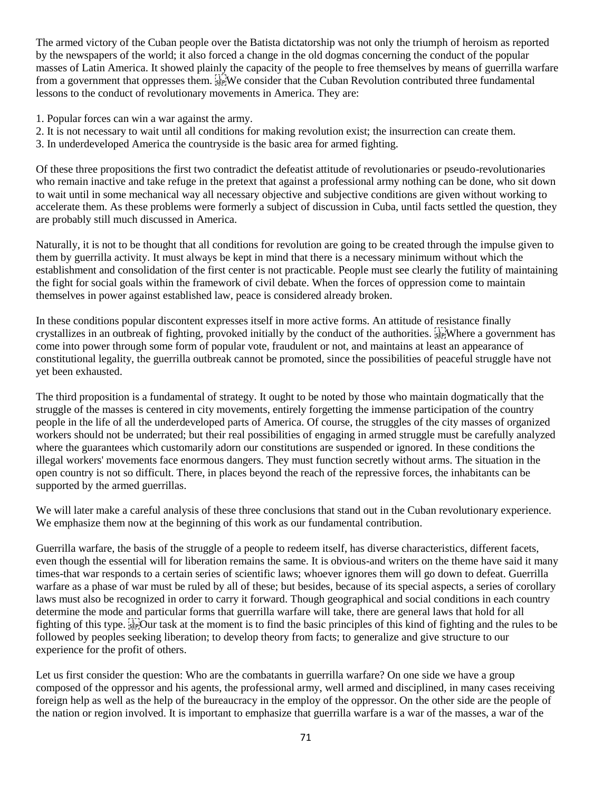The armed victory of the Cuban people over the Batista dictatorship was not only the triumph of heroism as reported by the newspapers of the world; it also forced a change in the old dogmas concerning the conduct of the popular masses of Latin America. It showed plainly the capacity of the people to free themselves by means of guerrilla warfare from a government that oppresses them.  $\frac{1}{12}$  We consider that the Cuban Revolution contributed three fundamental lessons to the conduct of revolutionary movements in America. They are:

- 1. Popular forces can win a war against the army.
- 2. It is not necessary to wait until all conditions for making revolution exist; the insurrection can create them.
- 3. In underdeveloped America the countryside is the basic area for armed fighting.

Of these three propositions the first two contradict the defeatist attitude of revolutionaries or pseudo-revolutionaries who remain inactive and take refuge in the pretext that against a professional army nothing can be done, who sit down to wait until in some mechanical way all necessary objective and subjective conditions are given without working to accelerate them. As these problems were formerly a subject of discussion in Cuba, until facts settled the question, they are probably still much discussed in America.

Naturally, it is not to be thought that all conditions for revolution are going to be created through the impulse given to them by guerrilla activity. It must always be kept in mind that there is a necessary minimum without which the establishment and consolidation of the first center is not practicable. People must see clearly the futility of maintaining the fight for social goals within the framework of civil debate. When the forces of oppression come to maintain themselves in power against established law, peace is considered already broken.

In these conditions popular discontent expresses itself in more active forms. An attitude of resistance finally crystallizes in an outbreak of fighting, provoked initially by the conduct of the authorities. 
Where a government has come into power through some form of popular vote, fraudulent or not, and maintains at least an appearance of constitutional legality, the guerrilla outbreak cannot be promoted, since the possibilities of peaceful struggle have not yet been exhausted.

The third proposition is a fundamental of strategy. It ought to be noted by those who maintain dogmatically that the struggle of the masses is centered in city movements, entirely forgetting the immense participation of the country people in the life of all the underdeveloped parts of America. Of course, the struggles of the city masses of organized workers should not be underrated; but their real possibilities of engaging in armed struggle must be carefully analyzed where the guarantees which customarily adorn our constitutions are suspended or ignored. In these conditions the illegal workers' movements face enormous dangers. They must function secretly without arms. The situation in the open country is not so difficult. There, in places beyond the reach of the repressive forces, the inhabitants can be supported by the armed guerrillas.

We will later make a careful analysis of these three conclusions that stand out in the Cuban revolutionary experience. We emphasize them now at the beginning of this work as our fundamental contribution.

Guerrilla warfare, the basis of the struggle of a people to redeem itself, has diverse characteristics, different facets, even though the essential will for liberation remains the same. It is obvious-and writers on the theme have said it many times-that war responds to a certain series of scientific laws; whoever ignores them will go down to defeat. Guerrilla warfare as a phase of war must be ruled by all of these; but besides, because of its special aspects, a series of corollary laws must also be recognized in order to carry it forward. Though geographical and social conditions in each country determine the mode and particular forms that guerrilla warfare will take, there are general laws that hold for all fighting of this type. 
Our task at the moment is to find the basic principles of this kind of fighting and the rules to be followed by peoples seeking liberation; to develop theory from facts; to generalize and give structure to our experience for the profit of others.

Let us first consider the question: Who are the combatants in guerrilla warfare? On one side we have a group composed of the oppressor and his agents, the professional army, well armed and disciplined, in many cases receiving foreign help as well as the help of the bureaucracy in the employ of the oppressor. On the other side are the people of the nation or region involved. It is important to emphasize that guerrilla warfare is a war of the masses, a war of the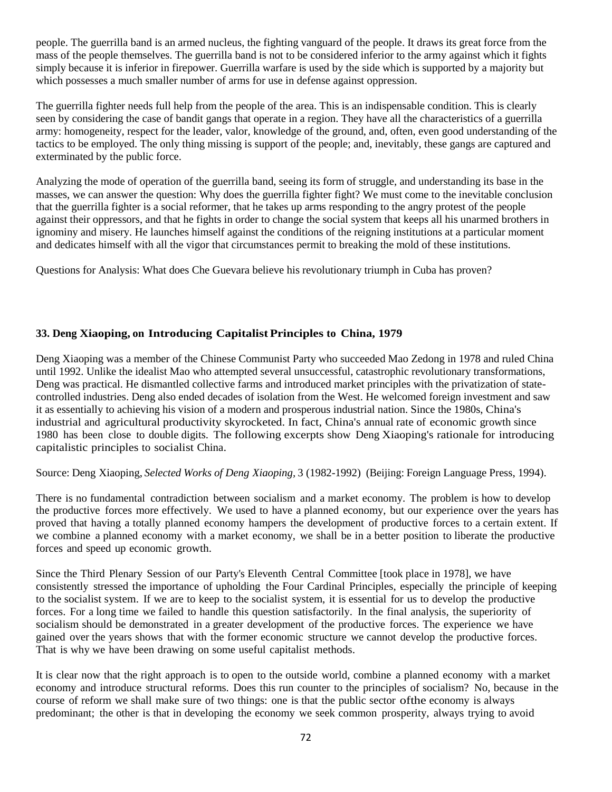people. The guerrilla band is an armed nucleus, the fighting vanguard of the people. It draws its great force from the mass of the people themselves. The guerrilla band is not to be considered inferior to the army against which it fights simply because it is inferior in firepower. Guerrilla warfare is used by the side which is supported by a majority but which possesses a much smaller number of arms for use in defense against oppression.

The guerrilla fighter needs full help from the people of the area. This is an indispensable condition. This is clearly seen by considering the case of bandit gangs that operate in a region. They have all the characteristics of a guerrilla army: homogeneity, respect for the leader, valor, knowledge of the ground, and, often, even good understanding of the tactics to be employed. The only thing missing is support of the people; and, inevitably, these gangs are captured and exterminated by the public force.

Analyzing the mode of operation of the guerrilla band, seeing its form of struggle, and understanding its base in the masses, we can answer the question: Why does the guerrilla fighter fight? We must come to the inevitable conclusion that the guerrilla fighter is a social reformer, that he takes up arms responding to the angry protest of the people against their oppressors, and that he fights in order to change the social system that keeps all his unarmed brothers in ignominy and misery. He launches himself against the conditions of the reigning institutions at a particular moment and dedicates himself with all the vigor that circumstances permit to breaking the mold of these institutions.

Questions for Analysis: What does Che Guevara believe his revolutionary triumph in Cuba has proven?

# **33. Deng Xiaoping, on Introducing CapitalistPrinciples to China, 1979**

Deng Xiaoping was a member of the Chinese Communist Party who succeeded Mao Zedong in 1978 and ruled China until 1992. Unlike the idealist Mao who attempted several unsuccessful, catastrophic revolutionary transformations, Deng was practical. He dismantled collective farms and introduced market principles with the privatization of statecontrolled industries. Deng also ended decades of isolation from the West. He welcomed foreign investment and saw it as essentially to achieving his vision of a modern and prosperous industrial nation. Since the 1980s, China's industrial and agricultural productivity skyrocketed. In fact, China's annual rate of economic growth since 1980 has been close to double digits. The following excerpts show Deng Xiaoping's rationale for introducing capitalistic principles to socialist China.

Source: Deng Xiaoping, *Selected Works of Deng Xiaoping,* 3 (1982-1992) (Beijing: Foreign Language Press, 1994).

There is no fundamental contradiction between socialism and a market economy. The problem is how to develop the productive forces more effectively. We used to have a planned economy, but our experience over the years has proved that having a totally planned economy hampers the development of productive forces to a certain extent. If we combine a planned economy with a market economy, we shall be in a better position to liberate the productive forces and speed up economic growth.

Since the Third Plenary Session of our Party's Eleventh Central Committee [took place in 1978], we have consistently stressed the importance of upholding the Four Cardinal Principles, especially the principle of keeping to the socialist system. If we are to keep to the socialist system, it is essential for us to develop the productive forces. For a long time we failed to handle this question satisfactorily. In the final analysis, the superiority of socialism should be demonstrated in a greater development of the productive forces. The experience we have gained over the years shows that with the former economic structure we cannot develop the productive forces. That is why we have been drawing on some useful capitalist methods.

It is clear now that the right approach is to open to the outside world, combine a planned economy with a market economy and introduce structural reforms. Does this run counter to the principles of socialism? No, because in the course of reform we shall make sure of two things: one is that the public sector ofthe economy is always predominant; the other is that in developing the economy we seek common prosperity, always trying to avoid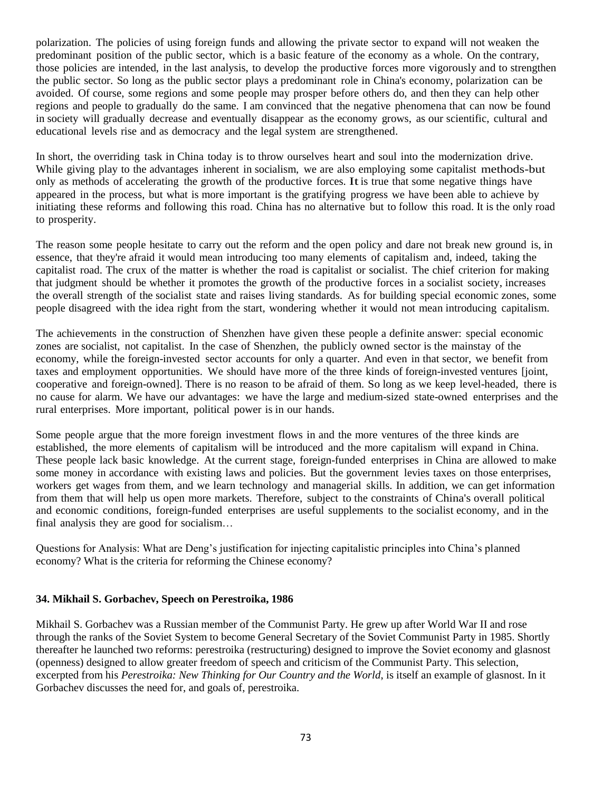polarization. The policies of using foreign funds and allowing the private sector to expand will not weaken the predominant position of the public sector, which is a basic feature of the economy as a whole. On the contrary, those policies are intended, in the last analysis, to develop the productive forces more vigorously and to strengthen the public sector. So long as the public sector plays a predominant role in China's economy, polarization can be avoided. Of course, some regions and some people may prosper before others do, and then they can help other regions and people to gradually do the same. I am convinced that the negative phenomena that can now be found in society will gradually decrease and eventually disappear as the economy grows, as our scientific, cultural and educational levels rise and as democracy and the legal system are strengthened.

In short, the overriding task in China today is to throw ourselves heart and soul into the modernization drive. While giving play to the advantages inherent in socialism, we are also employing some capitalist methods-but only as methods of accelerating the growth of the productive forces. Itis true that some negative things have appeared in the process, but what is more important is the gratifying progress we have been able to achieve by initiating these reforms and following this road. China has no alternative but to follow this road. It is the only road to prosperity.

The reason some people hesitate to carry out the reform and the open policy and dare not break new ground is, in essence, that they're afraid it would mean introducing too many elements of capitalism and, indeed, taking the capitalist road. The crux of the matter is whether the road is capitalist or socialist. The chief criterion for making that judgment should be whether it promotes the growth of the productive forces in a socialist society, increases the overall strength of the socialist state and raises living standards. As for building special economic zones, some people disagreed with the idea right from the start, wondering whether it would not mean introducing capitalism.

The achievements in the construction of Shenzhen have given these people a definite answer: special economic zones are socialist, not capitalist. In the case of Shenzhen, the publicly owned sector is the mainstay of the economy, while the foreign-invested sector accounts for only a quarter. And even in that sector, we benefit from taxes and employment opportunities. We should have more of the three kinds of foreign-invested ventures [joint, cooperative and foreign-owned]. There is no reason to be afraid of them. So long as we keep level-headed, there is no cause for alarm. We have our advantages: we have the large and medium-sized state-owned enterprises and the rural enterprises. More important, political power is in our hands.

Some people argue that the more foreign investment flows in and the more ventures of the three kinds are established, the more elements of capitalism will be introduced and the more capitalism will expand in China. These people lack basic knowledge. At the current stage, foreign-funded enterprises in China are allowed to make some money in accordance with existing laws and policies. But the government levies taxes on those enterprises, workers get wages from them, and we learn technology and managerial skills. In addition, we can get information from them that will help us open more markets. Therefore, subject to the constraints of China's overall political and economic conditions, foreign-funded enterprises are useful supplements to the socialist economy, and in the final analysis they are good for socialism…

Questions for Analysis: What are Deng's justification for injecting capitalistic principles into China's planned economy? What is the criteria for reforming the Chinese economy?

## **34. Mikhail S. Gorbachev, Speech on Perestroika, 1986**

Mikhail S. Gorbachev was a Russian member of the Communist Party. He grew up after World War II and rose through the ranks of the Soviet System to become General Secretary of the Soviet Communist Party in 1985. Shortly thereafter he launched two reforms: perestroika (restructuring) designed to improve the Soviet economy and glasnost (openness) designed to allow greater freedom of speech and criticism of the Communist Party. This selection, excerpted from his *Perestroika: New Thinking for Our Country and the World*, is itself an example of glasnost. In it Gorbachev discusses the need for, and goals of, perestroika.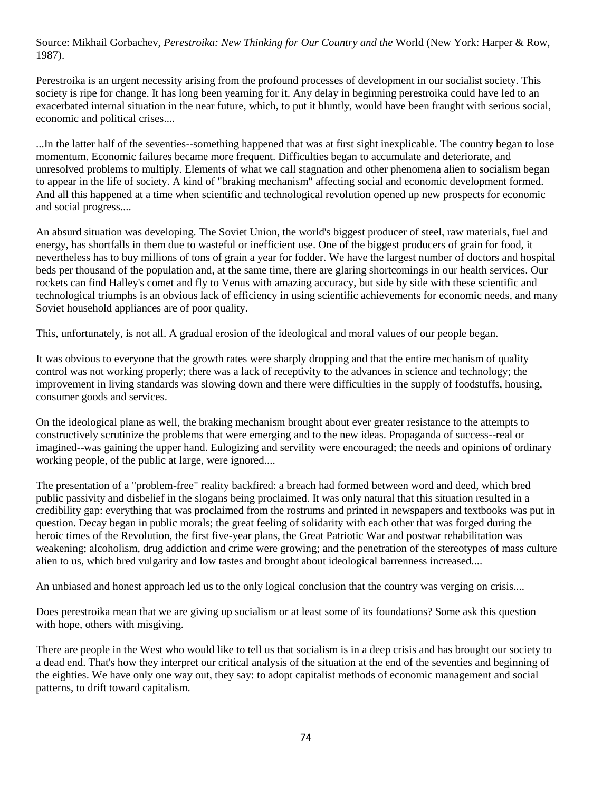Source: Mikhail Gorbachev, *Perestroika: New Thinking for Our Country and the* World (New York: Harper & Row, 1987).

Perestroika is an urgent necessity arising from the profound processes of development in our socialist society. This society is ripe for change. It has long been yearning for it. Any delay in beginning perestroika could have led to an exacerbated internal situation in the near future, which, to put it bluntly, would have been fraught with serious social, economic and political crises....

...In the latter half of the seventies--something happened that was at first sight inexplicable. The country began to lose momentum. Economic failures became more frequent. Difficulties began to accumulate and deteriorate, and unresolved problems to multiply. Elements of what we call stagnation and other phenomena alien to socialism began to appear in the life of society. A kind of "braking mechanism" affecting social and economic development formed. And all this happened at a time when scientific and technological revolution opened up new prospects for economic and social progress....

An absurd situation was developing. The Soviet Union, the world's biggest producer of steel, raw materials, fuel and energy, has shortfalls in them due to wasteful or inefficient use. One of the biggest producers of grain for food, it nevertheless has to buy millions of tons of grain a year for fodder. We have the largest number of doctors and hospital beds per thousand of the population and, at the same time, there are glaring shortcomings in our health services. Our rockets can find Halley's comet and fly to Venus with amazing accuracy, but side by side with these scientific and technological triumphs is an obvious lack of efficiency in using scientific achievements for economic needs, and many Soviet household appliances are of poor quality.

This, unfortunately, is not all. A gradual erosion of the ideological and moral values of our people began.

It was obvious to everyone that the growth rates were sharply dropping and that the entire mechanism of quality control was not working properly; there was a lack of receptivity to the advances in science and technology; the improvement in living standards was slowing down and there were difficulties in the supply of foodstuffs, housing, consumer goods and services.

On the ideological plane as well, the braking mechanism brought about ever greater resistance to the attempts to constructively scrutinize the problems that were emerging and to the new ideas. Propaganda of success--real or imagined--was gaining the upper hand. Eulogizing and servility were encouraged; the needs and opinions of ordinary working people, of the public at large, were ignored....

The presentation of a "problem-free" reality backfired: a breach had formed between word and deed, which bred public passivity and disbelief in the slogans being proclaimed. It was only natural that this situation resulted in a credibility gap: everything that was proclaimed from the rostrums and printed in newspapers and textbooks was put in question. Decay began in public morals; the great feeling of solidarity with each other that was forged during the heroic times of the Revolution, the first five-year plans, the Great Patriotic War and postwar rehabilitation was weakening; alcoholism, drug addiction and crime were growing; and the penetration of the stereotypes of mass culture alien to us, which bred vulgarity and low tastes and brought about ideological barrenness increased....

An unbiased and honest approach led us to the only logical conclusion that the country was verging on crisis....

Does perestroika mean that we are giving up socialism or at least some of its foundations? Some ask this question with hope, others with misgiving.

There are people in the West who would like to tell us that socialism is in a deep crisis and has brought our society to a dead end. That's how they interpret our critical analysis of the situation at the end of the seventies and beginning of the eighties. We have only one way out, they say: to adopt capitalist methods of economic management and social patterns, to drift toward capitalism.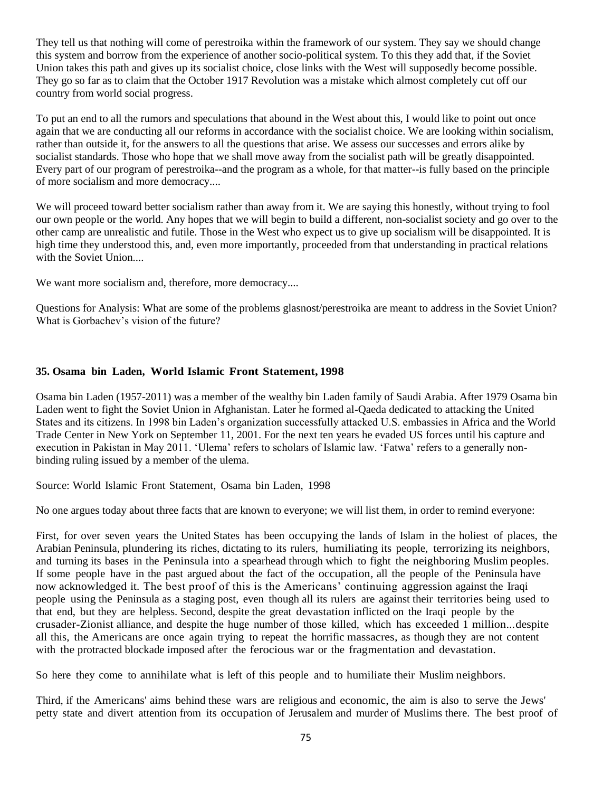They tell us that nothing will come of perestroika within the framework of our system. They say we should change this system and borrow from the experience of another socio-political system. To this they add that, if the Soviet Union takes this path and gives up its socialist choice, close links with the West will supposedly become possible. They go so far as to claim that the October 1917 Revolution was a mistake which almost completely cut off our country from world social progress.

To put an end to all the rumors and speculations that abound in the West about this, I would like to point out once again that we are conducting all our reforms in accordance with the socialist choice. We are looking within socialism, rather than outside it, for the answers to all the questions that arise. We assess our successes and errors alike by socialist standards. Those who hope that we shall move away from the socialist path will be greatly disappointed. Every part of our program of perestroika--and the program as a whole, for that matter--is fully based on the principle of more socialism and more democracy....

We will proceed toward better socialism rather than away from it. We are saying this honestly, without trying to fool our own people or the world. Any hopes that we will begin to build a different, non-socialist society and go over to the other camp are unrealistic and futile. Those in the West who expect us to give up socialism will be disappointed. It is high time they understood this, and, even more importantly, proceeded from that understanding in practical relations with the Soviet Union....

We want more socialism and, therefore, more democracy....

Questions for Analysis: What are some of the problems glasnost/perestroika are meant to address in the Soviet Union? What is Gorbachev's vision of the future?

## **35. Osama bin Laden, World Islamic Front Statement, 1998**

Osama bin Laden (1957-2011) was a member of the wealthy bin Laden family of Saudi Arabia. After 1979 Osama bin Laden went to fight the Soviet Union in Afghanistan. Later he formed al-Qaeda dedicated to attacking the United States and its citizens. In 1998 bin Laden's organization successfully attacked U.S. embassies in Africa and the World Trade Center in New York on September 11, 2001. For the next ten years he evaded US forces until his capture and execution in Pakistan in May 2011. 'Ulema' refers to scholars of Islamic law. 'Fatwa' refers to a generally nonbinding ruling issued by a member of the ulema.

Source: World Islamic Front Statement, Osama bin Laden, 1998

No one argues today about three facts that are known to everyone; we will list them, in order to remind everyone:

First, for over seven years the United States has been occupying the lands of Islam in the holiest of places, the Arabian Peninsula, plundering its riches, dictating to its rulers, humiliating its people, terrorizing its neighbors, and turning its bases in the Peninsula into a spearhead through which to fight the neighboring Muslim peoples. If some people have in the past argued about the fact of the occupation, all the people of the Peninsula have now acknowledged it. The best proof of this is the Americans' continuing aggression against the Iraqi people using the Peninsula as a staging post, even though all its rulers are against their territories being used to that end, but they are helpless. Second, despite the great devastation inflicted on the Iraqi people by the crusader-Zionist alliance, and despite the huge number of those killed, which has exceeded 1 million...despite all this, the Americans are once again trying to repeat the horrific massacres, as though they are not content with the protracted blockade imposed after the ferocious war or the fragmentation and devastation.

So here they come to annihilate what is left of this people and to humiliate their Muslim neighbors.

Third, if the Americans' aims behind these wars are religious and economic, the aim is also to serve the Jews' petty state and divert attention from its occupation of Jerusalem and murder of Muslims there. The best proof of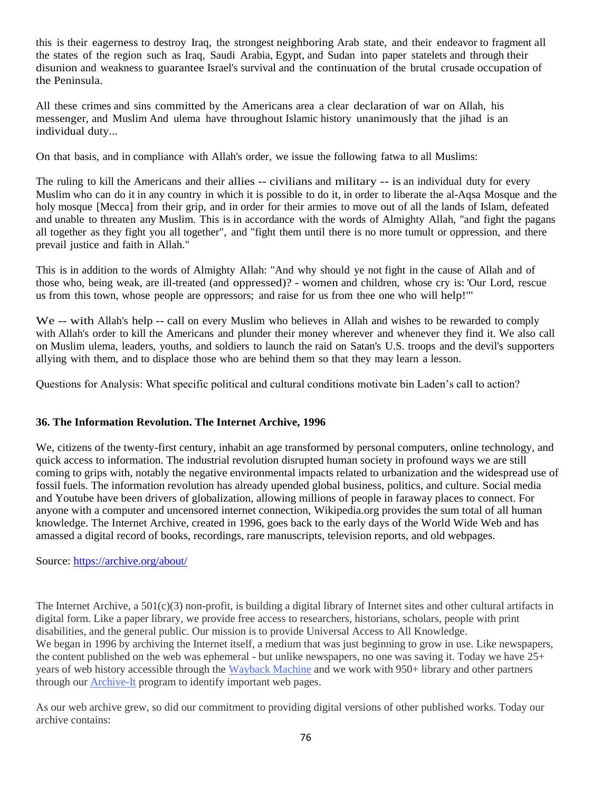this is their eagerness to destroy Iraq, the strongest neighboring Arab state, and their endeavor to fragment all the states of the region such as Iraq, Saudi Arabia, Egypt, and Sudan into paper statelets and through their disunion and weakness to guarantee Israel's survival and the continuation of the brutal crusade occupation of the Peninsula.

All these crimes and sins committed by the Americans area a clear declaration of war on Allah, his messenger, and Muslim And ulema have throughout Islamic history unanimously that the jihad is an individual duty...

On that basis, and in compliance with Allah's order, we issue the following fatwa to all Muslims:

The ruling to kill the Americans and their allies -- civilians and military -- is an individual duty for every Muslim who can do it in any country in which it is possible to do it, in order to liberate the al-Aqsa Mosque and the holy mosque [Mecca] from their grip, and in order for their armies to move out of all the lands of Islam, defeated and unable to threaten any Muslim. This is in accordance with the words of Almighty Allah, "and fight the pagans all together as they fight you all together", and "fight them until there is no more tumult or oppression, and there prevail justice and faith in Allah."

This is in addition to the words of Almighty Allah: "And why should ye not fight in the cause of Allah and of those who, being weak, are ill-treated (and oppressed)? - women and children, whose cry is: 'Our Lord, rescue us from this town, whose people are oppressors; and raise for us from thee one who will help!'"

We -- with Allah's help -- call on every Muslim who believes in Allah and wishes to be rewarded to comply with Allah's order to kill the Americans and plunder their money wherever and whenever they find it. We also call on Muslim ulema, leaders, youths, and soldiers to launch the raid on Satan's U.S. troops and the devil's supporters allying with them, and to displace those who are behind them so that they may learn a lesson.

Questions for Analysis: What specific political and cultural conditions motivate bin Laden's call to action?

## **36. The Information Revolution. The Internet Archive, 1996**

We, citizens of the twenty-first century, inhabit an age transformed by personal computers, online technology, and quick access to information. The industrial revolution disrupted human society in profound ways we are still coming to grips with, notably the negative environmental impacts related to urbanization and the widespread use of fossil fuels. The information revolution has already upended global business, politics, and culture. Social media and Youtube have been drivers of globalization, allowing millions of people in faraway places to connect. For anyone with a computer and uncensored internet connection, Wikipedia.org provides the sum total of all human knowledge. The Internet Archive, created in 1996, goes back to the early days of the World Wide Web and has amassed a digital record of books, recordings, rare manuscripts, television reports, and old webpages.

Source:<https://archive.org/about/>

The Internet Archive, a  $501(c)(3)$  non-profit, is building a digital library of Internet sites and other cultural artifacts in digital form. Like a paper library, we provide free access to researchers, historians, scholars, people with print disabilities, and the general public. Our mission is to provide Universal Access to All Knowledge. We began in 1996 by archiving the Internet itself, a medium that was just beginning to grow in use. Like newspapers, the content published on the web was ephemeral - but unlike newspapers, no one was saving it. Today we have 25+ years of web history accessible through the [Wayback Machine](https://archive.org/web/) and we work with 950+ library and other partners through our [Archive-It](https://archive-it.org/) program to identify important web pages.

As our web archive grew, so did our commitment to providing digital versions of other published works. Today our archive contains: